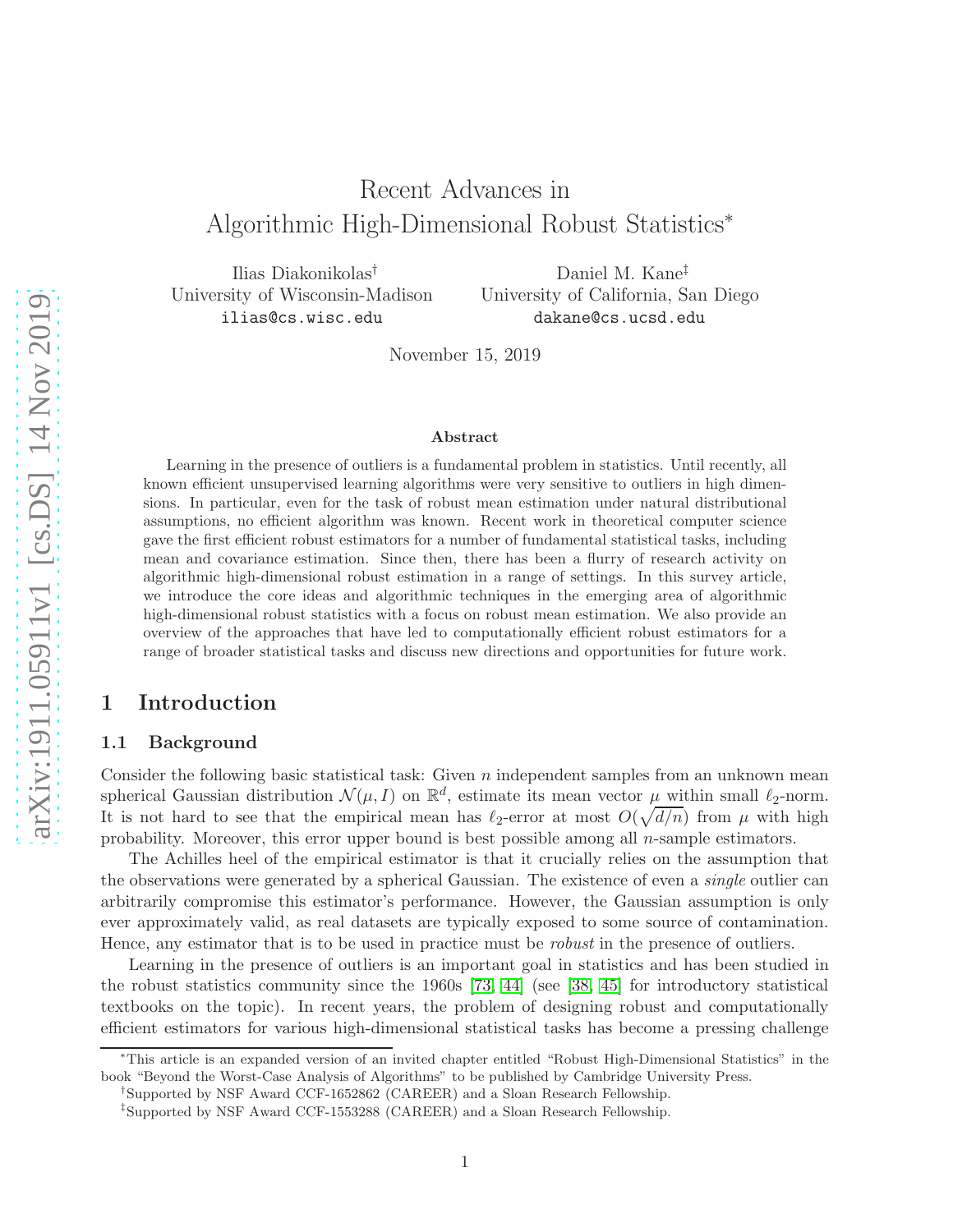# Recent Advances in Algorithmic High-Dimensional Robust Statistics<sup>∗</sup>

Ilias Diakonikolas† University of Wisconsin-Madison ilias@cs.wisc.edu

Daniel M. Kane‡ University of California, San Diego dakane@cs.ucsd.edu

November 15, 2019

#### Abstract

Learning in the presence of outliers is a fundamental problem in statistics. Until recently, all known efficient unsupervised learning algorithms were very sensitive to outliers in high dimensions. In particular, even for the task of robust mean estimation under natural distributional assumptions, no efficient algorithm was known. Recent work in theoretical computer science gave the first efficient robust estimators for a number of fundamental statistical tasks, including mean and covariance estimation. Since then, there has been a flurry of research activity on algorithmic high-dimensional robust estimation in a range of settings. In this survey article, we introduce the core ideas and algorithmic techniques in the emerging area of algorithmic high-dimensional robust statistics with a focus on robust mean estimation. We also provide an overview of the approaches that have led to computationally efficient robust estimators for a range of broader statistical tasks and discuss new directions and opportunities for future work.

# 1 Introduction

#### 1.1 Background

Consider the following basic statistical task: Given  $n$  independent samples from an unknown mean spherical Gaussian distribution  $\mathcal{N}(\mu, I)$  on  $\mathbb{R}^d$ , estimate its mean vector  $\mu$  within small  $\ell_2$ -norm. It is not hard to see that the empirical mean has  $\ell_2$ -error at most  $O(\sqrt{d/n})$  from  $\mu$  with high probability. Moreover, this error upper bound is best possible among all *n*-sample estimators.

The Achilles heel of the empirical estimator is that it crucially relies on the assumption that the observations were generated by a spherical Gaussian. The existence of even a *single* outlier can arbitrarily compromise this estimator's performance. However, the Gaussian assumption is only ever approximately valid, as real datasets are typically exposed to some source of contamination. Hence, any estimator that is to be used in practice must be *robust* in the presence of outliers.

Learning in the presence of outliers is an important goal in statistics and has been studied in the robust statistics community since the 1960s [\[73,](#page-37-0) [44\]](#page-35-0) (see [\[38,](#page-35-1) [45\]](#page-35-2) for introductory statistical textbooks on the topic). In recent years, the problem of designing robust and computationally efficient estimators for various high-dimensional statistical tasks has become a pressing challenge

<sup>∗</sup>This article is an expanded version of an invited chapter entitled "Robust High-Dimensional Statistics" in the book "Beyond the Worst-Case Analysis of Algorithms" to be published by Cambridge University Press.

<sup>†</sup> Supported by NSF Award CCF-1652862 (CAREER) and a Sloan Research Fellowship.

<sup>‡</sup> Supported by NSF Award CCF-1553288 (CAREER) and a Sloan Research Fellowship.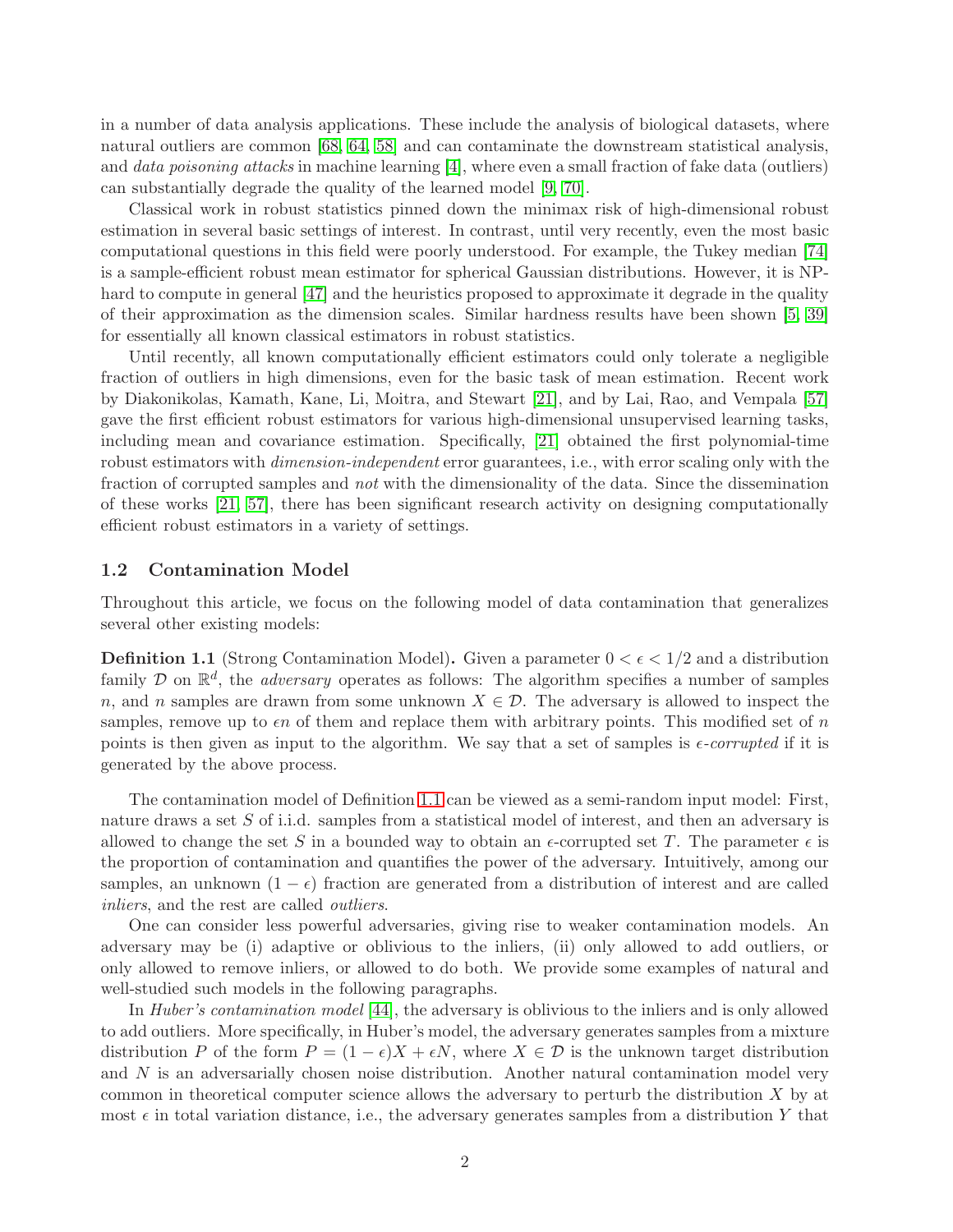in a number of data analysis applications. These include the analysis of biological datasets, where natural outliers are common [\[68,](#page-37-1) [64,](#page-37-2) [58\]](#page-36-0) and can contaminate the downstream statistical analysis, and *data poisoning attacks* in machine learning [\[4\]](#page-33-0), where even a small fraction of fake data (outliers) can substantially degrade the quality of the learned model [\[9,](#page-33-1) [70\]](#page-37-3).

Classical work in robust statistics pinned down the minimax risk of high-dimensional robust estimation in several basic settings of interest. In contrast, until very recently, even the most basic computational questions in this field were poorly understood. For example, the Tukey median [\[74\]](#page-37-4) is a sample-efficient robust mean estimator for spherical Gaussian distributions. However, it is NP-hard to compute in general [\[47\]](#page-36-1) and the heuristics proposed to approximate it degrade in the quality of their approximation as the dimension scales. Similar hardness results have been shown [\[5,](#page-33-2) [39\]](#page-35-3) for essentially all known classical estimators in robust statistics.

Until recently, all known computationally efficient estimators could only tolerate a negligible fraction of outliers in high dimensions, even for the basic task of mean estimation. Recent work by Diakonikolas, Kamath, Kane, Li, Moitra, and Stewart [\[21\]](#page-34-0), and by Lai, Rao, and Vempala [\[57\]](#page-36-2) gave the first efficient robust estimators for various high-dimensional unsupervised learning tasks, including mean and covariance estimation. Specifically, [\[21\]](#page-34-0) obtained the first polynomial-time robust estimators with *dimension-independent* error guarantees, i.e., with error scaling only with the fraction of corrupted samples and not with the dimensionality of the data. Since the dissemination of these works [\[21,](#page-34-0) [57\]](#page-36-2), there has been significant research activity on designing computationally efficient robust estimators in a variety of settings.

#### 1.2 Contamination Model

Throughout this article, we focus on the following model of data contamination that generalizes several other existing models:

<span id="page-1-0"></span>**Definition 1.1** (Strong Contamination Model). Given a parameter  $0 < \epsilon < 1/2$  and a distribution family D on  $\mathbb{R}^d$ , the *adversary* operates as follows: The algorithm specifies a number of samples n, and n samples are drawn from some unknown  $X \in \mathcal{D}$ . The adversary is allowed to inspect the samples, remove up to  $\epsilon n$  of them and replace them with arbitrary points. This modified set of n points is then given as input to the algorithm. We say that a set of samples is  $\epsilon$ -corrupted if it is generated by the above process.

The contamination model of Definition [1.1](#page-1-0) can be viewed as a semi-random input model: First, nature draws a set S of i.i.d. samples from a statistical model of interest, and then an adversary is allowed to change the set S in a bounded way to obtain an  $\epsilon$ -corrupted set T. The parameter  $\epsilon$  is the proportion of contamination and quantifies the power of the adversary. Intuitively, among our samples, an unknown  $(1 - \epsilon)$  fraction are generated from a distribution of interest and are called inliers, and the rest are called outliers.

One can consider less powerful adversaries, giving rise to weaker contamination models. An adversary may be (i) adaptive or oblivious to the inliers, (ii) only allowed to add outliers, or only allowed to remove inliers, or allowed to do both. We provide some examples of natural and well-studied such models in the following paragraphs.

In Huber's contamination model [\[44\]](#page-35-0), the adversary is oblivious to the inliers and is only allowed to add outliers. More specifically, in Huber's model, the adversary generates samples from a mixture distribution P of the form  $P = (1 - \epsilon)X + \epsilon N$ , where  $X \in \mathcal{D}$  is the unknown target distribution and  $N$  is an adversarially chosen noise distribution. Another natural contamination model very common in theoretical computer science allows the adversary to perturb the distribution X by at most  $\epsilon$  in total variation distance, i.e., the adversary generates samples from a distribution Y that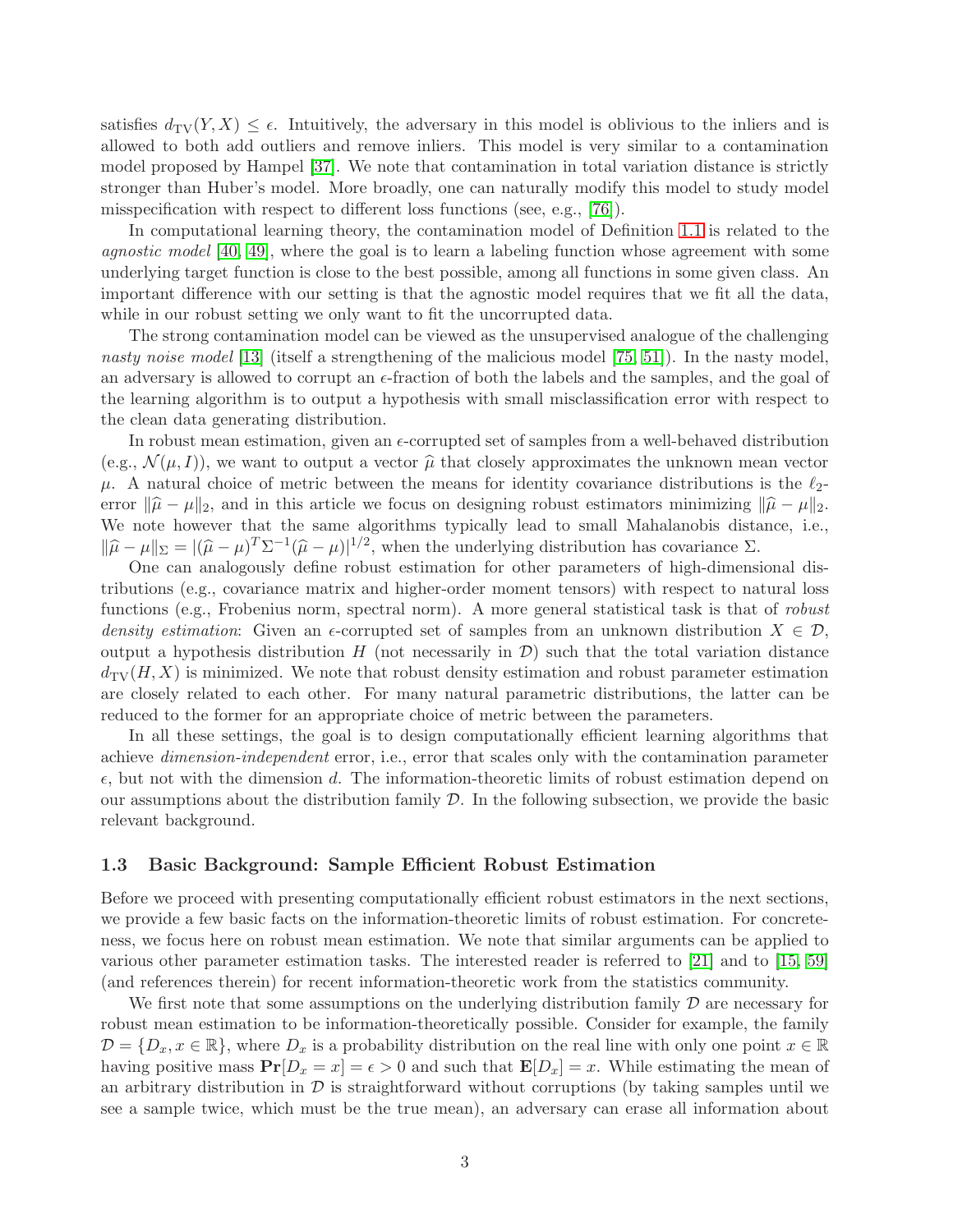satisfies  $d_{\text{TV}}(Y, X) \leq \epsilon$ . Intuitively, the adversary in this model is oblivious to the inliers and is allowed to both add outliers and remove inliers. This model is very similar to a contamination model proposed by Hampel [\[37\]](#page-35-4). We note that contamination in total variation distance is strictly stronger than Huber's model. More broadly, one can naturally modify this model to study model misspecification with respect to different loss functions (see, e.g., [\[76\]](#page-37-5)).

In computational learning theory, the contamination model of Definition [1.1](#page-1-0) is related to the agnostic model [\[40,](#page-35-5) [49\]](#page-36-3), where the goal is to learn a labeling function whose agreement with some underlying target function is close to the best possible, among all functions in some given class. An important difference with our setting is that the agnostic model requires that we fit all the data, while in our robust setting we only want to fit the uncorrupted data.

The strong contamination model can be viewed as the unsupervised analogue of the challenging nasty noise model [\[13\]](#page-33-3) (itself a strengthening of the malicious model [\[75,](#page-37-6) [51\]](#page-36-4)). In the nasty model, an adversary is allowed to corrupt an  $\epsilon$ -fraction of both the labels and the samples, and the goal of the learning algorithm is to output a hypothesis with small misclassification error with respect to the clean data generating distribution.

In robust mean estimation, given an  $\epsilon$ -corrupted set of samples from a well-behaved distribution (e.g.,  $\mathcal{N}(\mu, I)$ ), we want to output a vector  $\hat{\mu}$  that closely approximates the unknown mean vector  $\mu$ . A natural choice of metric between the means for identity covariance distributions is the  $\ell_2$ error  $\|\hat{\mu} - \mu\|_2$ , and in this article we focus on designing robust estimators minimizing  $\|\hat{\mu} - \mu\|_2$ . We note however that the same algorithms typically lead to small Mahalanobis distance, i.e.,  $\|\hat{\mu} - \mu\|_{\Sigma} = |(\hat{\mu} - \mu)^{T} \Sigma^{-1} (\hat{\mu} - \mu)|^{1/2}$ , when the underlying distribution has covariance  $\Sigma$ .

One can analogously define robust estimation for other parameters of high-dimensional distributions (e.g., covariance matrix and higher-order moment tensors) with respect to natural loss functions (e.g., Frobenius norm, spectral norm). A more general statistical task is that of robust density estimation: Given an  $\epsilon$ -corrupted set of samples from an unknown distribution  $X \in \mathcal{D}$ , output a hypothesis distribution H (not necessarily in  $\mathcal{D}$ ) such that the total variation distance  $d_{\text{TV}}(H, X)$  is minimized. We note that robust density estimation and robust parameter estimation are closely related to each other. For many natural parametric distributions, the latter can be reduced to the former for an appropriate choice of metric between the parameters.

In all these settings, the goal is to design computationally efficient learning algorithms that achieve *dimension-independent* error, i.e., error that scales only with the contamination parameter  $\epsilon$ , but not with the dimension d. The information-theoretic limits of robust estimation depend on our assumptions about the distribution family  $\mathcal{D}$ . In the following subsection, we provide the basic relevant background.

#### 1.3 Basic Background: Sample Efficient Robust Estimation

Before we proceed with presenting computationally efficient robust estimators in the next sections, we provide a few basic facts on the information-theoretic limits of robust estimation. For concreteness, we focus here on robust mean estimation. We note that similar arguments can be applied to various other parameter estimation tasks. The interested reader is referred to [\[21\]](#page-34-0) and to [\[15,](#page-33-4) [59\]](#page-36-5) (and references therein) for recent information-theoretic work from the statistics community.

We first note that some assumptions on the underlying distribution family  $\mathcal D$  are necessary for robust mean estimation to be information-theoretically possible. Consider for example, the family  $\mathcal{D} = \{D_x, x \in \mathbb{R}\},\$  where  $D_x$  is a probability distribution on the real line with only one point  $x \in \mathbb{R}$ having positive mass  $Pr[D_x = x] = \epsilon > 0$  and such that  $E[D_x] = x$ . While estimating the mean of an arbitrary distribution in  $\mathcal D$  is straightforward without corruptions (by taking samples until we see a sample twice, which must be the true mean), an adversary can erase all information about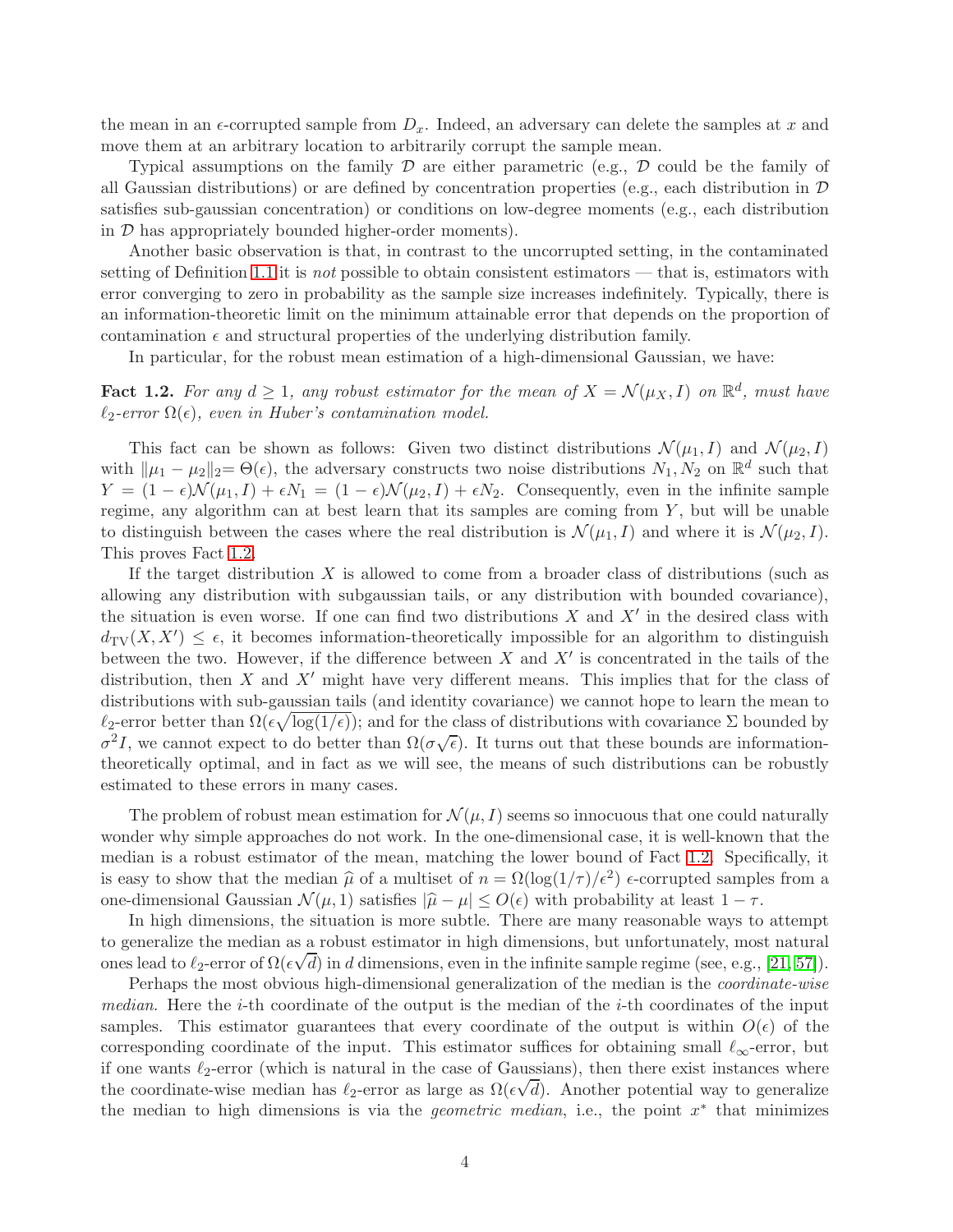the mean in an  $\epsilon$ -corrupted sample from  $D_x$ . Indeed, an adversary can delete the samples at x and move them at an arbitrary location to arbitrarily corrupt the sample mean.

Typical assumptions on the family  $\mathcal D$  are either parametric (e.g.,  $\mathcal D$  could be the family of all Gaussian distributions) or are defined by concentration properties (e.g., each distribution in  $\mathcal D$ satisfies sub-gaussian concentration) or conditions on low-degree moments (e.g., each distribution in  $D$  has appropriately bounded higher-order moments).

Another basic observation is that, in contrast to the uncorrupted setting, in the contaminated setting of Definition [1.1](#page-1-0) it is *not* possible to obtain consistent estimators — that is, estimators with error converging to zero in probability as the sample size increases indefinitely. Typically, there is an information-theoretic limit on the minimum attainable error that depends on the proportion of contamination  $\epsilon$  and structural properties of the underlying distribution family.

In particular, for the robust mean estimation of a high-dimensional Gaussian, we have:

<span id="page-3-0"></span>**Fact 1.2.** For any  $d \geq 1$ , any robust estimator for the mean of  $X = \mathcal{N}(\mu_X, I)$  on  $\mathbb{R}^d$ , must have  $\ell_2$ -error  $\Omega(\epsilon)$ , even in Huber's contamination model.

This fact can be shown as follows: Given two distinct distributions  $\mathcal{N}(\mu_1, I)$  and  $\mathcal{N}(\mu_2, I)$ with  $\|\mu_1 - \mu_2\|_2 = \Theta(\epsilon)$ , the adversary constructs two noise distributions  $N_1, N_2$  on  $\mathbb{R}^d$  such that  $Y = (1 - \epsilon)\mathcal{N}(\mu_1, I) + \epsilon N_1 = (1 - \epsilon)\mathcal{N}(\mu_2, I) + \epsilon N_2$ . Consequently, even in the infinite sample regime, any algorithm can at best learn that its samples are coming from Y, but will be unable to distinguish between the cases where the real distribution is  $\mathcal{N}(\mu_1, I)$  and where it is  $\mathcal{N}(\mu_2, I)$ . This proves Fact [1.2.](#page-3-0)

If the target distribution X is allowed to come from a broader class of distributions (such as allowing any distribution with subgaussian tails, or any distribution with bounded covariance), the situation is even worse. If one can find two distributions  $X$  and  $X'$  in the desired class with  $d_{\text{TV}}(X, X') \leq \epsilon$ , it becomes information-theoretically impossible for an algorithm to distinguish between the two. However, if the difference between X and  $X'$  is concentrated in the tails of the distribution, then  $X$  and  $X'$  might have very different means. This implies that for the class of distributions with sub-gaussian tails (and identity covariance) we cannot hope to learn the mean to  $\ell_2$ -error better than  $\Omega(\epsilon \sqrt{\log(1/\epsilon)})$ ; and for the class of distributions with covariance  $\Sigma$  bounded by  $\sigma^2 I$ , we cannot expect to do better than  $\Omega(\sigma\sqrt{\epsilon})$ . It turns out that these bounds are informationtheoretically optimal, and in fact as we will see, the means of such distributions can be robustly estimated to these errors in many cases.

The problem of robust mean estimation for  $\mathcal{N}(\mu, I)$  seems so innocuous that one could naturally wonder why simple approaches do not work. In the one-dimensional case, it is well-known that the median is a robust estimator of the mean, matching the lower bound of Fact [1.2.](#page-3-0) Specifically, it is easy to show that the median  $\hat{\mu}$  of a multiset of  $n = \Omega(\log(1/\tau)/\epsilon^2)$   $\epsilon$ -corrupted samples from a one-dimensional Gaussian  $\mathcal{N}(\mu, 1)$  satisfies  $|\hat{\mu} - \mu| \le O(\epsilon)$  with probability at least  $1 - \tau$ .

In high dimensions, the situation is more subtle. There are many reasonable ways to attempt to generalize the median as a robust estimator in high dimensions, but unfortunately, most natural ones lead to  $\ell_2$ -error of  $\Omega(\epsilon\sqrt{d})$  in d dimensions, even in the infinite sample regime (see, e.g., [\[21,](#page-34-0) [57\]](#page-36-2)).

Perhaps the most obvious high-dimensional generalization of the median is the *coordinate-wise median.* Here the *i*-th coordinate of the output is the median of the *i*-th coordinates of the input samples. This estimator guarantees that every coordinate of the output is within  $O(\epsilon)$  of the corresponding coordinate of the input. This estimator suffices for obtaining small  $\ell_{\infty}$ -error, but if one wants  $\ell_2$ -error (which is natural in the case of Gaussians), then there exist instances where the coordinate-wise median has  $\ell_2$ -error as large as  $\Omega(\epsilon \sqrt{d})$ . Another potential way to generalize the median to high dimensions is via the *geometric median*, i.e., the point  $x^*$  that minimizes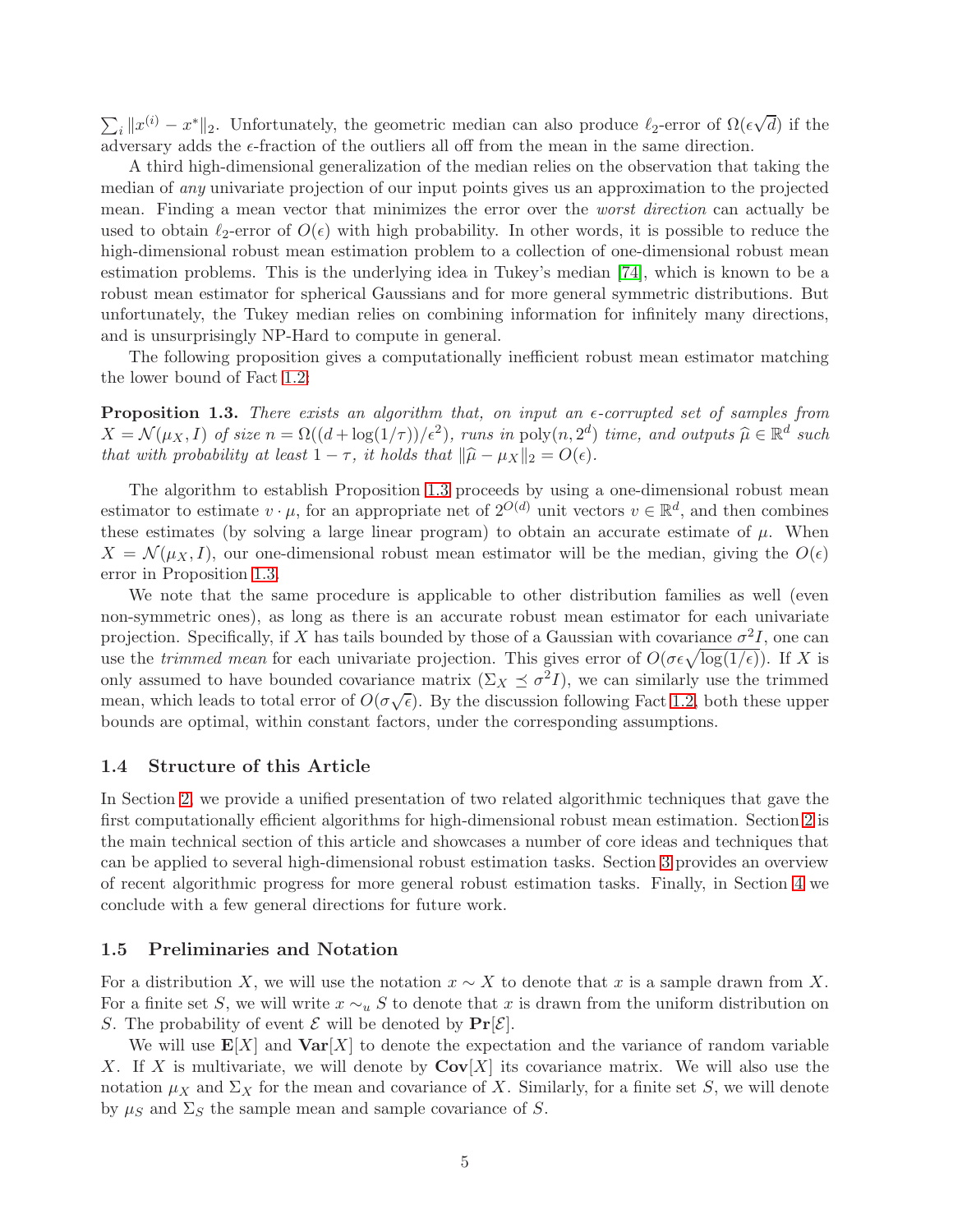$\sum_i ||x^{(i)} - x^*||_2$ . Unfortunately, the geometric median can also produce  $\ell_2$ -error of  $\Omega(\epsilon \sqrt{d})$  if the adversary adds the  $\epsilon$ -fraction of the outliers all off from the mean in the same direction.

A third high-dimensional generalization of the median relies on the observation that taking the median of any univariate projection of our input points gives us an approximation to the projected mean. Finding a mean vector that minimizes the error over the *worst direction* can actually be used to obtain  $\ell_2$ -error of  $O(\epsilon)$  with high probability. In other words, it is possible to reduce the high-dimensional robust mean estimation problem to a collection of one-dimensional robust mean estimation problems. This is the underlying idea in Tukey's median [\[74\]](#page-37-4), which is known to be a robust mean estimator for spherical Gaussians and for more general symmetric distributions. But unfortunately, the Tukey median relies on combining information for infinitely many directions, and is unsurprisingly NP-Hard to compute in general.

The following proposition gives a computationally inefficient robust mean estimator matching the lower bound of Fact [1.2:](#page-3-0)

<span id="page-4-0"></span>**Proposition 1.3.** There exists an algorithm that, on input an  $\epsilon$ -corrupted set of samples from  $X = \mathcal{N}(\mu_X, I)$  of size  $n = \Omega((d + \log(1/\tau))/\epsilon^2)$ , runs in poly $(n, 2^d)$  time, and outputs  $\widehat{\mu} \in \mathbb{R}^d$  such that with probability at least  $1 - \tau$ , it holds that  $\|\widehat{\mu} - \mu_X\|_2 = O(\epsilon)$ .

The algorithm to establish Proposition [1.3](#page-4-0) proceeds by using a one-dimensional robust mean estimator to estimate  $v \cdot \mu$ , for an appropriate net of  $2^{O(d)}$  unit vectors  $v \in \mathbb{R}^d$ , and then combines these estimates (by solving a large linear program) to obtain an accurate estimate of  $\mu$ . When  $X = \mathcal{N}(\mu_X, I)$ , our one-dimensional robust mean estimator will be the median, giving the  $O(\epsilon)$ error in Proposition [1.3.](#page-4-0)

We note that the same procedure is applicable to other distribution families as well (even non-symmetric ones), as long as there is an accurate robust mean estimator for each univariate projection. Specifically, if X has tails bounded by those of a Gaussian with covariance  $\sigma^2 I$ , one can use the *trimmed mean* for each univariate projection. This gives error of  $O(\sigma \epsilon \sqrt{\log(1/\epsilon)})$ . If X is only assumed to have bounded covariance matrix  $(\Sigma_X \preceq \sigma^2 I)$ , we can similarly use the trimmed mean, which leads to total error of  $O(\sigma\sqrt{\epsilon})$ . By the discussion following Fact [1.2,](#page-3-0) both these upper bounds are optimal, within constant factors, under the corresponding assumptions.

#### 1.4 Structure of this Article

In Section [2,](#page-5-0) we provide a unified presentation of two related algorithmic techniques that gave the first computationally efficient algorithms for high-dimensional robust mean estimation. Section [2](#page-5-0) is the main technical section of this article and showcases a number of core ideas and techniques that can be applied to several high-dimensional robust estimation tasks. Section [3](#page-17-0) provides an overview of recent algorithmic progress for more general robust estimation tasks. Finally, in Section [4](#page-32-0) we conclude with a few general directions for future work.

#### 1.5 Preliminaries and Notation

For a distribution X, we will use the notation  $x \sim X$  to denote that x is a sample drawn from X. For a finite set S, we will write  $x \sim_u S$  to denote that x is drawn from the uniform distribution on S. The probability of event  $\mathcal E$  will be denoted by  $\Pr[\mathcal E]$ .

We will use  $\mathbf{E}[X]$  and  $\mathbf{Var}[X]$  to denote the expectation and the variance of random variable X. If X is multivariate, we will denote by  $\mathbf{Cov}[X]$  its covariance matrix. We will also use the notation  $\mu_X$  and  $\Sigma_X$  for the mean and covariance of X. Similarly, for a finite set S, we will denote by  $\mu_S$  and  $\Sigma_S$  the sample mean and sample covariance of S.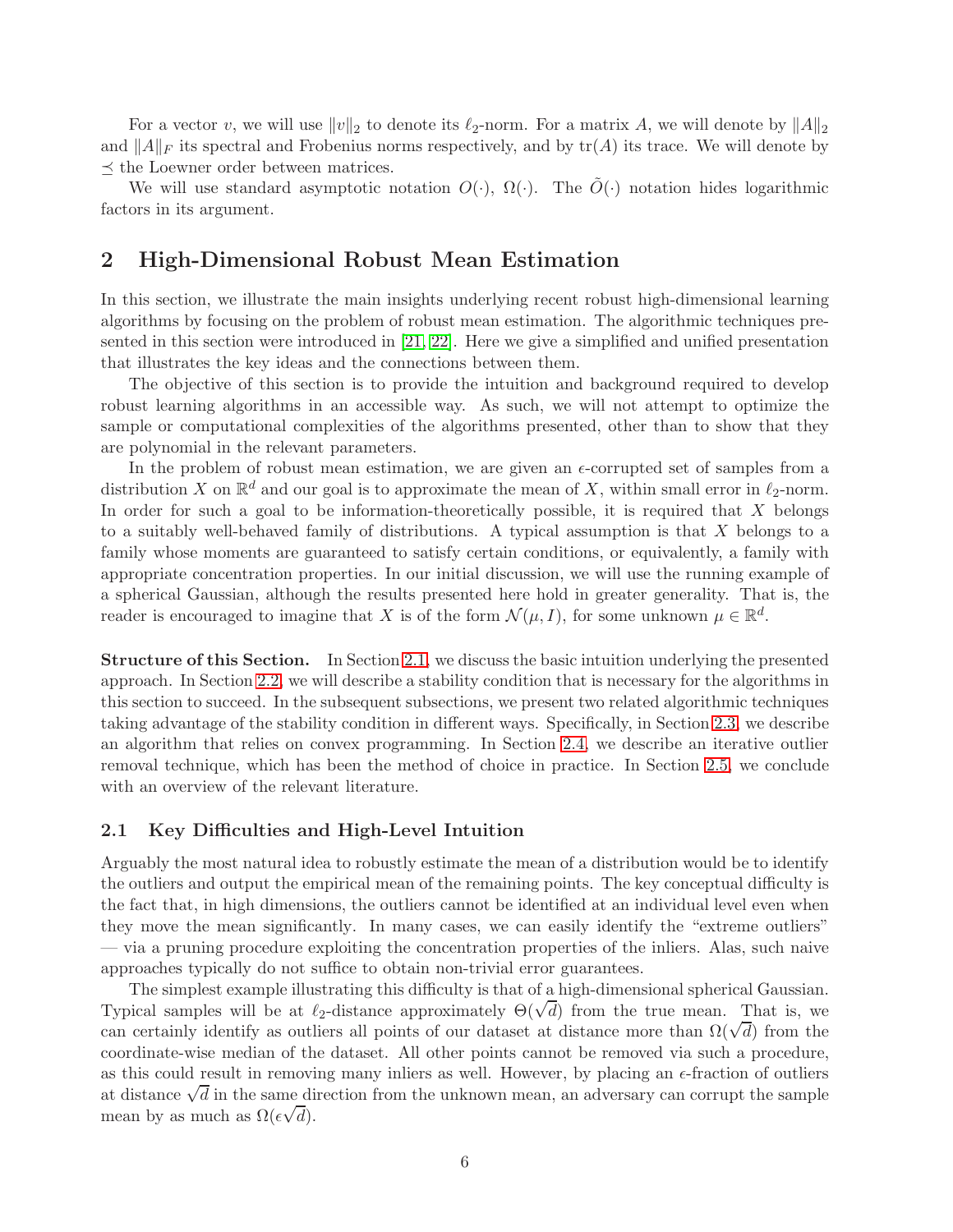For a vector v, we will use  $||v||_2$  to denote its  $\ell_2$ -norm. For a matrix A, we will denote by  $||A||_2$ and  $||A||_F$  its spectral and Frobenius norms respectively, and by  $tr(A)$  its trace. We will denote by  $\preceq$  the Loewner order between matrices.

We will use standard asymptotic notation  $O(\cdot)$ ,  $\Omega(\cdot)$ . The  $\tilde{O}(\cdot)$  notation hides logarithmic factors in its argument.

# <span id="page-5-0"></span>2 High-Dimensional Robust Mean Estimation

In this section, we illustrate the main insights underlying recent robust high-dimensional learning algorithms by focusing on the problem of robust mean estimation. The algorithmic techniques presented in this section were introduced in [\[21,](#page-34-0) [22\]](#page-34-1). Here we give a simplified and unified presentation that illustrates the key ideas and the connections between them.

The objective of this section is to provide the intuition and background required to develop robust learning algorithms in an accessible way. As such, we will not attempt to optimize the sample or computational complexities of the algorithms presented, other than to show that they are polynomial in the relevant parameters.

In the problem of robust mean estimation, we are given an  $\epsilon$ -corrupted set of samples from a distribution X on  $\mathbb{R}^d$  and our goal is to approximate the mean of X, within small error in  $\ell_2$ -norm. In order for such a goal to be information-theoretically possible, it is required that  $X$  belongs to a suitably well-behaved family of distributions. A typical assumption is that X belongs to a family whose moments are guaranteed to satisfy certain conditions, or equivalently, a family with appropriate concentration properties. In our initial discussion, we will use the running example of a spherical Gaussian, although the results presented here hold in greater generality. That is, the reader is encouraged to imagine that X is of the form  $\mathcal{N}(\mu, I)$ , for some unknown  $\mu \in \mathbb{R}^d$ .

**Structure of this Section.** In Section [2.1,](#page-5-1) we discuss the basic intuition underlying the presented approach. In Section [2.2,](#page-6-0) we will describe a stability condition that is necessary for the algorithms in this section to succeed. In the subsequent subsections, we present two related algorithmic techniques taking advantage of the stability condition in different ways. Specifically, in Section [2.3,](#page-10-0) we describe an algorithm that relies on convex programming. In Section [2.4,](#page-11-0) we describe an iterative outlier removal technique, which has been the method of choice in practice. In Section [2.5,](#page-16-0) we conclude with an overview of the relevant literature.

#### <span id="page-5-1"></span>2.1 Key Difficulties and High-Level Intuition

Arguably the most natural idea to robustly estimate the mean of a distribution would be to identify the outliers and output the empirical mean of the remaining points. The key conceptual difficulty is the fact that, in high dimensions, the outliers cannot be identified at an individual level even when they move the mean significantly. In many cases, we can easily identify the "extreme outliers" — via a pruning procedure exploiting the concentration properties of the inliers. Alas, such naive approaches typically do not suffice to obtain non-trivial error guarantees.

The simplest example illustrating this difficulty is that of a high-dimensional spherical Gaussian. Typical samples will be at  $\ell_2$ -distance approximately  $\Theta(\sqrt{d})$  from the true mean. That is, we can certainly identify as outliers all points of our dataset at distance more than  $\Omega(\sqrt{d})$  from the coordinate-wise median of the dataset. All other points cannot be removed via such a procedure, as this could result in removing many inliers as well. However, by placing an  $\epsilon$ -fraction of outliers at distance  $\sqrt{d}$  in the same direction from the unknown mean, an adversary can corrupt the sample mean by as much as  $\Omega(\epsilon \sqrt{d})$ .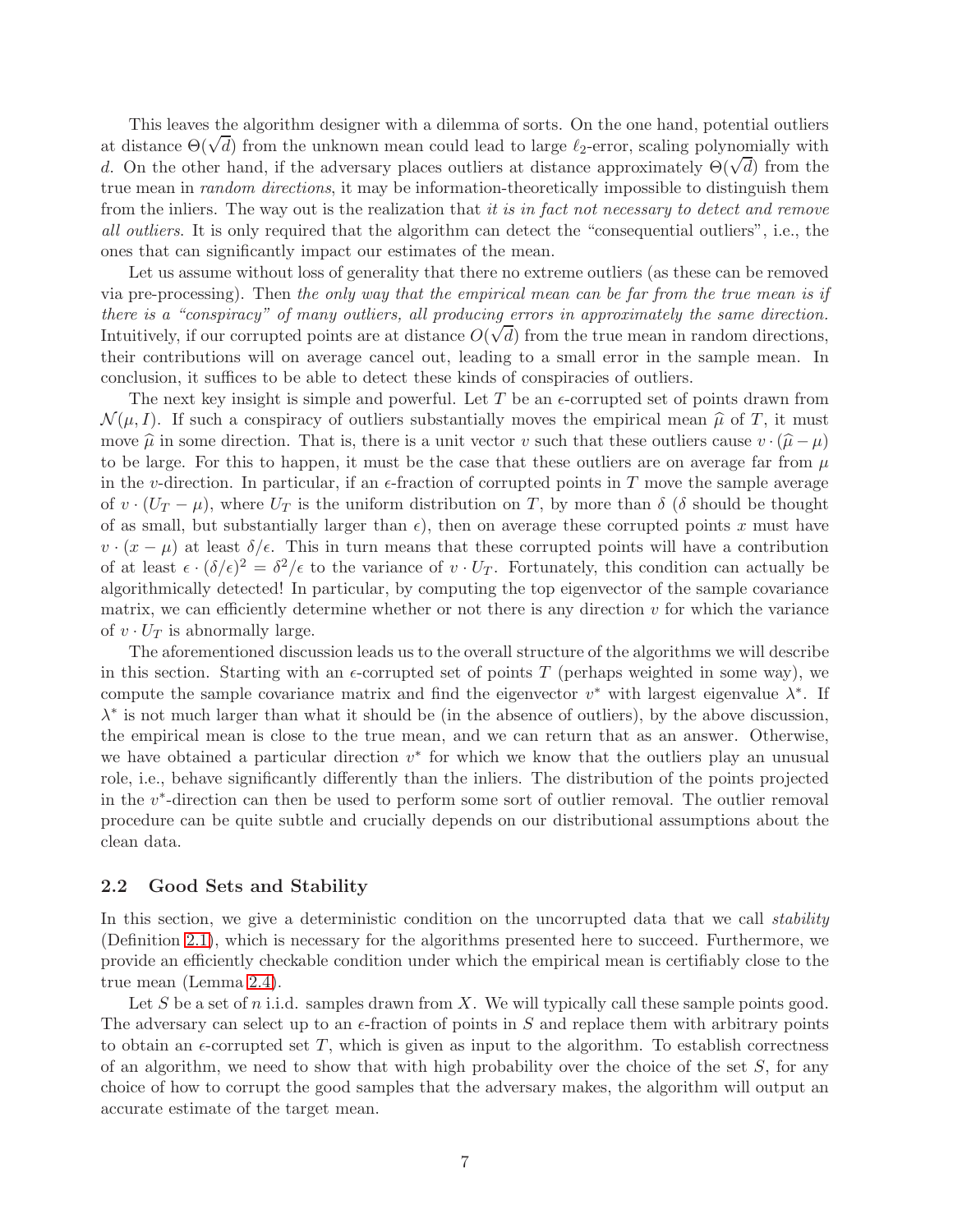This leaves the algorithm designer with a dilemma of sorts. On the one hand, potential outliers at distance  $Θ(\sqrt{d})$  from the unknown mean could lead to large  $\ell_2$ -error, scaling polynomially with d. On the other hand, if the adversary places outliers at distance approximately  $\Theta(\sqrt{d})$  from the true mean in *random directions*, it may be information-theoretically impossible to distinguish them from the inliers. The way out is the realization that it is in fact not necessary to detect and remove all outliers. It is only required that the algorithm can detect the "consequential outliers", i.e., the ones that can significantly impact our estimates of the mean.

Let us assume without loss of generality that there no extreme outliers (as these can be removed via pre-processing). Then the only way that the empirical mean can be far from the true mean is if there is a "conspiracy" of many outliers, all producing errors in approximately the same direction. Intuitively, if our corrupted points are at distance  $O(\sqrt{d})$  from the true mean in random directions, their contributions will on average cancel out, leading to a small error in the sample mean. In conclusion, it suffices to be able to detect these kinds of conspiracies of outliers.

The next key insight is simple and powerful. Let T be an  $\epsilon$ -corrupted set of points drawn from  $\mathcal{N}(\mu, I)$ . If such a conspiracy of outliers substantially moves the empirical mean  $\hat{\mu}$  of T, it must move  $\hat{\mu}$  in some direction. That is, there is a unit vector v such that these outliers cause  $v \cdot (\hat{\mu} - \mu)$ to be large. For this to happen, it must be the case that these outliers are on average far from  $\mu$ in the v-direction. In particular, if an  $\epsilon$ -fraction of corrupted points in T move the sample average of  $v \cdot (U_T - \mu)$ , where  $U_T$  is the uniform distribution on T, by more than  $\delta$  ( $\delta$  should be thought of as small, but substantially larger than  $\epsilon$ ), then on average these corrupted points x must have  $v \cdot (x - \mu)$  at least  $\delta/\epsilon$ . This in turn means that these corrupted points will have a contribution of at least  $\epsilon \cdot (\delta/\epsilon)^2 = \delta^2/\epsilon$  to the variance of  $v \cdot U_T$ . Fortunately, this condition can actually be algorithmically detected! In particular, by computing the top eigenvector of the sample covariance matrix, we can efficiently determine whether or not there is any direction  $\nu$  for which the variance of  $v \cdot U_T$  is abnormally large.

The aforementioned discussion leads us to the overall structure of the algorithms we will describe in this section. Starting with an  $\epsilon$ -corrupted set of points T (perhaps weighted in some way), we compute the sample covariance matrix and find the eigenvector  $v^*$  with largest eigenvalue  $\lambda^*$ . If  $\lambda^*$  is not much larger than what it should be (in the absence of outliers), by the above discussion, the empirical mean is close to the true mean, and we can return that as an answer. Otherwise, we have obtained a particular direction  $v^*$  for which we know that the outliers play an unusual role, i.e., behave significantly differently than the inliers. The distribution of the points projected in the  $v^*$ -direction can then be used to perform some sort of outlier removal. The outlier removal procedure can be quite subtle and crucially depends on our distributional assumptions about the clean data.

#### <span id="page-6-0"></span>2.2 Good Sets and Stability

In this section, we give a deterministic condition on the uncorrupted data that we call *stability* (Definition [2.1\)](#page-7-0), which is necessary for the algorithms presented here to succeed. Furthermore, we provide an efficiently checkable condition under which the empirical mean is certifiably close to the true mean (Lemma [2.4\)](#page-8-0).

Let S be a set of n i.i.d. samples drawn from X. We will typically call these sample points good. The adversary can select up to an  $\epsilon$ -fraction of points in S and replace them with arbitrary points to obtain an  $\epsilon$ -corrupted set T, which is given as input to the algorithm. To establish correctness of an algorithm, we need to show that with high probability over the choice of the set  $S$ , for any choice of how to corrupt the good samples that the adversary makes, the algorithm will output an accurate estimate of the target mean.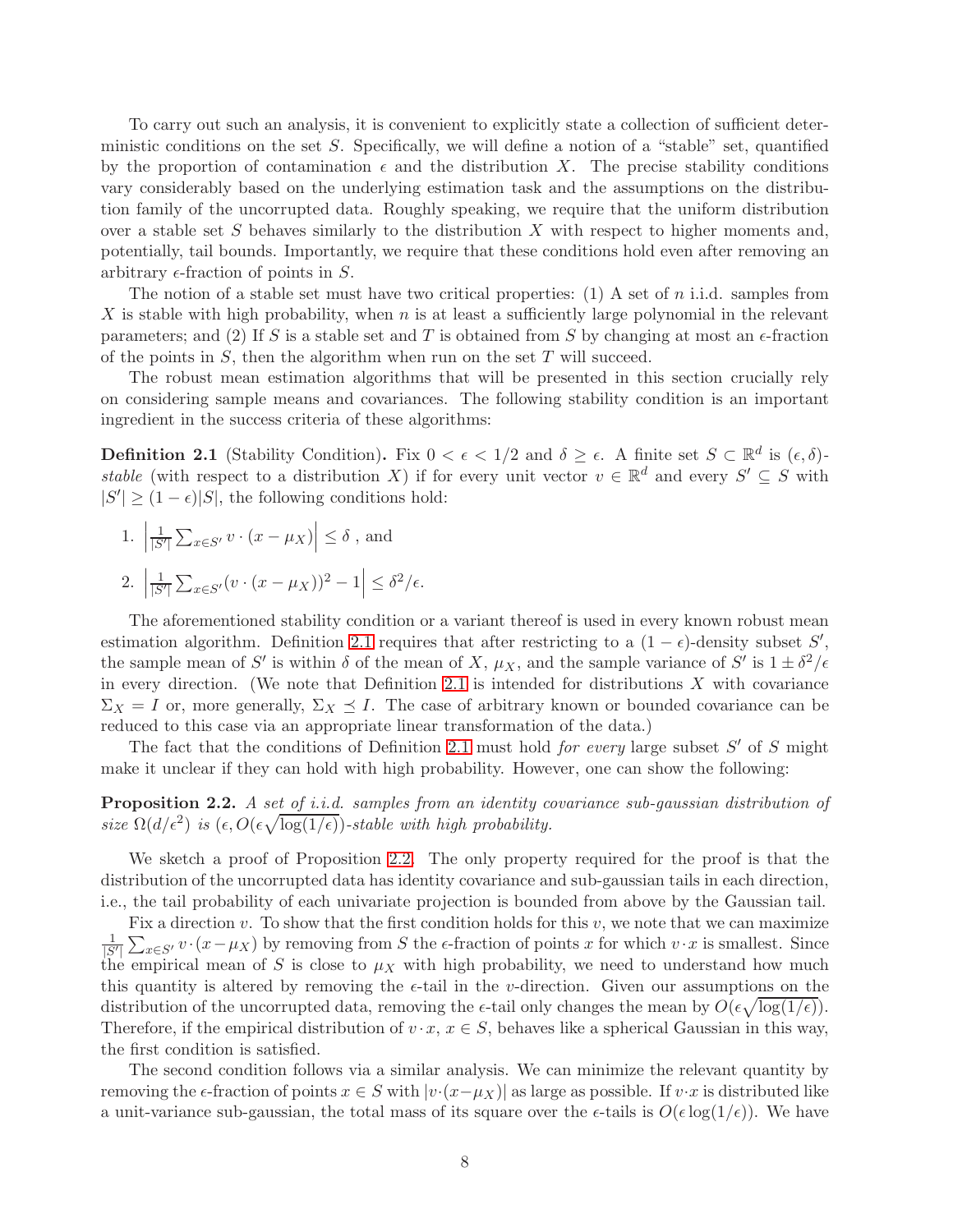To carry out such an analysis, it is convenient to explicitly state a collection of sufficient deterministic conditions on the set S. Specifically, we will define a notion of a "stable" set, quantified by the proportion of contamination  $\epsilon$  and the distribution X. The precise stability conditions vary considerably based on the underlying estimation task and the assumptions on the distribution family of the uncorrupted data. Roughly speaking, we require that the uniform distribution over a stable set S behaves similarly to the distribution  $X$  with respect to higher moments and, potentially, tail bounds. Importantly, we require that these conditions hold even after removing an arbitrary  $\epsilon$ -fraction of points in S.

The notion of a stable set must have two critical properties:  $(1)$  A set of *n* i.i.d. samples from X is stable with high probability, when  $n$  is at least a sufficiently large polynomial in the relevant parameters; and (2) If S is a stable set and T is obtained from S by changing at most an  $\epsilon$ -fraction of the points in  $S$ , then the algorithm when run on the set  $T$  will succeed.

The robust mean estimation algorithms that will be presented in this section crucially rely on considering sample means and covariances. The following stability condition is an important ingredient in the success criteria of these algorithms:

<span id="page-7-0"></span>**Definition 2.1** (Stability Condition). Fix  $0 < \epsilon < 1/2$  and  $\delta \geq \epsilon$ . A finite set  $S \subset \mathbb{R}^d$  is  $(\epsilon, \delta)$ stable (with respect to a distribution X) if for every unit vector  $v \in \mathbb{R}^d$  and every  $S' \subseteq S$  with  $|S'| \geq (1 - \epsilon)|S|$ , the following conditions hold:

1.     $\frac{1}{|S'|}\sum_{x\in S'} v\cdot (x-\mu_X)\Big| \leq \delta$ , and 2.  $\vert$  $\frac{1}{|S'|}\sum_{x\in S'}(v\cdot(x-\mu_X))^2-1\Big|\leq \delta^2/\epsilon.$ 

The aforementioned stability condition or a variant thereof is used in every known robust mean estimation algorithm. Definition [2.1](#page-7-0) requires that after restricting to a  $(1 - \epsilon)$ -density subset S', the sample mean of S' is within  $\delta$  of the mean of X,  $\mu_X$ , and the sample variance of S' is  $1 \pm \delta^2/\epsilon$ in every direction. (We note that Definition [2.1](#page-7-0) is intended for distributions  $X$  with covariance  $\Sigma_X = I$  or, more generally,  $\Sigma_X \preceq I$ . The case of arbitrary known or bounded covariance can be reduced to this case via an appropriate linear transformation of the data.)

The fact that the conditions of Definition [2.1](#page-7-0) must hold *for every* large subset  $S'$  of  $S$  might make it unclear if they can hold with high probability. However, one can show the following:

<span id="page-7-1"></span>Proposition 2.2. A set of *i.i.d.* samples from an identity covariance sub-qaussian distribution of size  $\Omega(d/\epsilon^2)$  is  $(\epsilon, O(\epsilon \sqrt{\log(1/\epsilon)})$ -stable with high probability.

We sketch a proof of Proposition [2.2.](#page-7-1) The only property required for the proof is that the distribution of the uncorrupted data has identity covariance and sub-gaussian tails in each direction, i.e., the tail probability of each univariate projection is bounded from above by the Gaussian tail.

Fix a direction v. To show that the first condition holds for this  $v$ , we note that we can maximize  $\frac{1}{|S'|}\sum_{x\in S'} v\cdot(x-\mu_X)$  by removing from S the  $\epsilon$ -fraction of points x for which  $v\cdot x$  is smallest. Since the empirical mean of S is close to  $\mu_X$  with high probability, we need to understand how much this quantity is altered by removing the  $\epsilon$ -tail in the v-direction. Given our assumptions on the distribution of the uncorrupted data, removing the  $\epsilon$ -tail only changes the mean by  $O(\epsilon \sqrt{\log(1/\epsilon)})$ . Therefore, if the empirical distribution of  $v \cdot x$ ,  $x \in S$ , behaves like a spherical Gaussian in this way, the first condition is satisfied.

The second condition follows via a similar analysis. We can minimize the relevant quantity by removing the  $\epsilon$ -fraction of points  $x \in S$  with  $|v \cdot (x - \mu_X)|$  as large as possible. If  $v \cdot x$  is distributed like a unit-variance sub-gaussian, the total mass of its square over the  $\epsilon$ -tails is  $O(\epsilon \log(1/\epsilon))$ . We have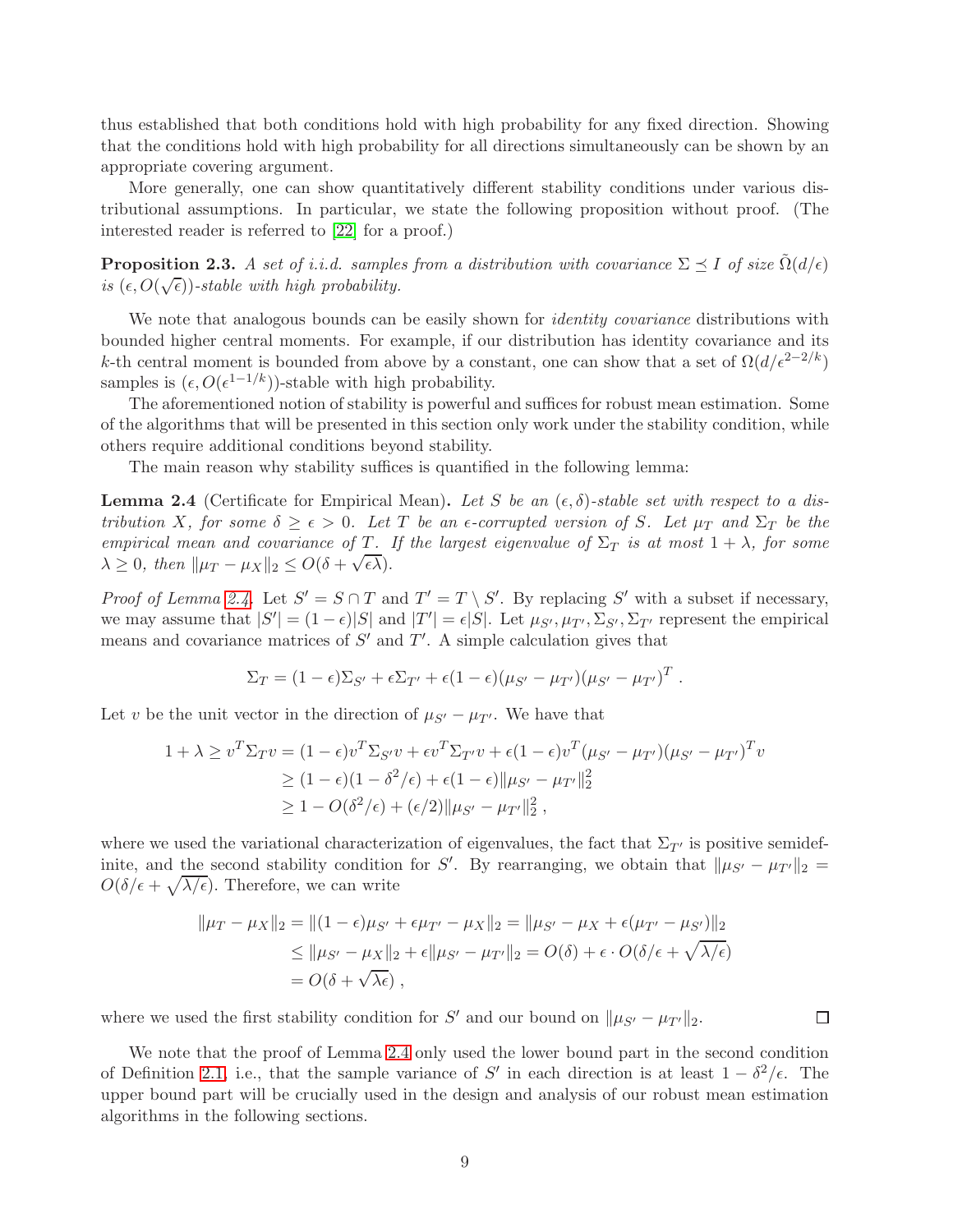thus established that both conditions hold with high probability for any fixed direction. Showing that the conditions hold with high probability for all directions simultaneously can be shown by an appropriate covering argument.

More generally, one can show quantitatively different stability conditions under various distributional assumptions. In particular, we state the following proposition without proof. (The interested reader is referred to [\[22\]](#page-34-1) for a proof.)

<span id="page-8-1"></span>**Proposition 2.3.** A set of i.i.d. samples from a distribution with covariance  $\Sigma \preceq I$  of size  $\Omega(d/\epsilon)$ is  $(\epsilon, O(\sqrt{\epsilon}))$ -stable with high probability.

We note that analogous bounds can be easily shown for *identity covariance* distributions with bounded higher central moments. For example, if our distribution has identity covariance and its k-th central moment is bounded from above by a constant, one can show that a set of  $\Omega(d/\epsilon^{2-2/k})$ samples is  $(\epsilon, O(\epsilon^{1-1/k}))$ -stable with high probability.

The aforementioned notion of stability is powerful and suffices for robust mean estimation. Some of the algorithms that will be presented in this section only work under the stability condition, while others require additional conditions beyond stability.

The main reason why stability suffices is quantified in the following lemma:

<span id="page-8-0"></span>**Lemma 2.4** (Certificate for Empirical Mean). Let S be an  $(\epsilon, \delta)$ -stable set with respect to a distribution X, for some  $\delta \geq \epsilon > 0$ . Let T be an  $\epsilon$ -corrupted version of S. Let  $\mu_T$  and  $\Sigma_T$  be the empirical mean and covariance of T. If the largest eigenvalue of  $\Sigma_T$  is at most  $1 + \lambda$ , for some  $\lambda \geq 0$ , then  $||\mu_T - \mu_X||_2 \leq O(\delta + \sqrt{\epsilon \lambda}).$ 

*Proof of Lemma [2.4.](#page-8-0)* Let  $S' = S \cap T$  and  $T' = T \setminus S'$ . By replacing S' with a subset if necessary, we may assume that  $|S'| = (1 - \epsilon)|S|$  and  $|T'| = \epsilon|S|$ . Let  $\mu_{S'}, \mu_{T'}, \Sigma_{S'}, \Sigma_{T'}$  represent the empirical means and covariance matrices of  $S'$  and  $T'$ . A simple calculation gives that

$$
\Sigma_T = (1 - \epsilon) \Sigma_{S'} + \epsilon \Sigma_{T'} + \epsilon (1 - \epsilon) (\mu_{S'} - \mu_{T'}) (\mu_{S'} - \mu_{T'})^T.
$$

Let v be the unit vector in the direction of  $\mu_{S'} - \mu_{T'}$ . We have that

$$
1 + \lambda \ge v^T \Sigma_T v = (1 - \epsilon) v^T \Sigma_{S'} v + \epsilon v^T \Sigma_{T'} v + \epsilon (1 - \epsilon) v^T (\mu_{S'} - \mu_{T'}) (\mu_{S'} - \mu_{T'})^T v
$$
  
\n
$$
\ge (1 - \epsilon) (1 - \delta^2 / \epsilon) + \epsilon (1 - \epsilon) ||\mu_{S'} - \mu_{T'}||_2^2
$$
  
\n
$$
\ge 1 - O(\delta^2 / \epsilon) + (\epsilon / 2) ||\mu_{S'} - \mu_{T'}||_2^2,
$$

where we used the variational characterization of eigenvalues, the fact that  $\Sigma_{T'}$  is positive semidefinite, and the second stability condition for S'. By rearranging, we obtain that  $\|\mu_{S'} - \mu_{T'}\|_2 =$  $O(\delta/\epsilon + \sqrt{\lambda/\epsilon})$ . Therefore, we can write

$$
\|\mu_T - \mu_X\|_2 = \|(1 - \epsilon)\mu_{S'} + \epsilon \mu_{T'} - \mu_X\|_2 = \|\mu_{S'} - \mu_X + \epsilon(\mu_{T'} - \mu_{S'})\|_2
$$
  
\n
$$
\leq \|\mu_{S'} - \mu_X\|_2 + \epsilon \|\mu_{S'} - \mu_{T'}\|_2 = O(\delta) + \epsilon \cdot O(\delta/\epsilon + \sqrt{\lambda/\epsilon})
$$
  
\n
$$
= O(\delta + \sqrt{\lambda \epsilon}),
$$

where we used the first stability condition for S' and our bound on  $\|\mu_{S'} - \mu_{T'}\|_2$ .

 $\Box$ 

We note that the proof of Lemma [2.4](#page-8-0) only used the lower bound part in the second condition of Definition [2.1,](#page-7-0) i.e., that the sample variance of S' in each direction is at least  $1 - \delta^2/\epsilon$ . The upper bound part will be crucially used in the design and analysis of our robust mean estimation algorithms in the following sections.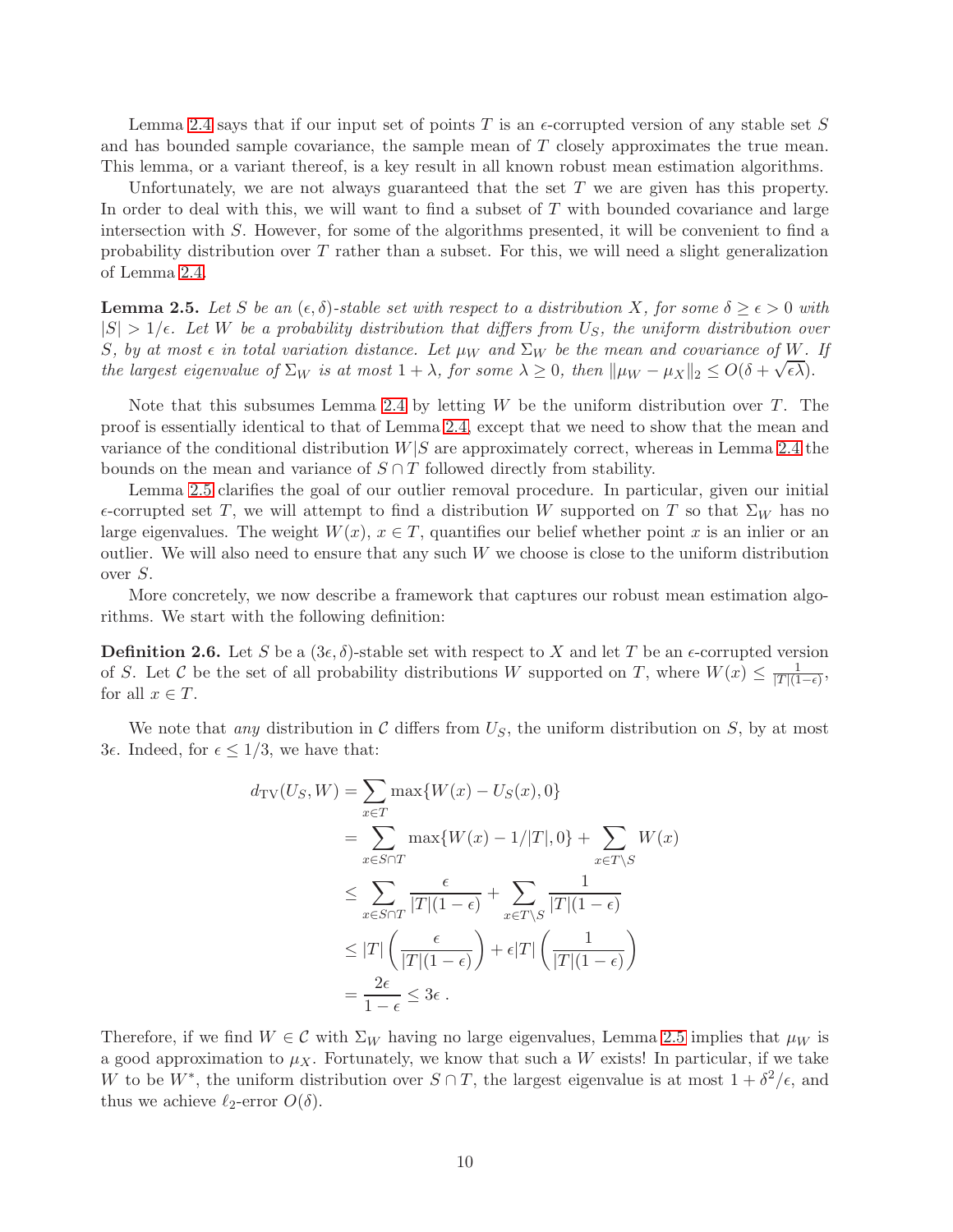Lemma [2.4](#page-8-0) says that if our input set of points T is an  $\epsilon$ -corrupted version of any stable set S and has bounded sample covariance, the sample mean of  $T$  closely approximates the true mean. This lemma, or a variant thereof, is a key result in all known robust mean estimation algorithms.

Unfortunately, we are not always guaranteed that the set T we are given has this property. In order to deal with this, we will want to find a subset of  $T$  with bounded covariance and large intersection with S. However, for some of the algorithms presented, it will be convenient to find a probability distribution over  $T$  rather than a subset. For this, we will need a slight generalization of Lemma [2.4.](#page-8-0)

<span id="page-9-0"></span>**Lemma 2.5.** Let S be an  $(\epsilon, \delta)$ -stable set with respect to a distribution X, for some  $\delta \geq \epsilon > 0$  with  $|S| > 1/\epsilon$ . Let W be a probability distribution that differs from  $U_S$ , the uniform distribution over S, by at most  $\epsilon$  in total variation distance. Let  $\mu_W$  and  $\Sigma_W$  be the mean and covariance of W. If the largest eigenvalue of  $\Sigma_W$  is at most  $1 + \lambda$ , for some  $\lambda \ge 0$ , then  $\|\mu_W - \mu_X\|_2 \le O(\delta + \sqrt{\epsilon \lambda})$ .

Note that this subsumes Lemma [2.4](#page-8-0) by letting  $W$  be the uniform distribution over  $T$ . The proof is essentially identical to that of Lemma [2.4,](#page-8-0) except that we need to show that the mean and variance of the conditional distribution  $W|S$  are approximately correct, whereas in Lemma [2.4](#page-8-0) the bounds on the mean and variance of  $S \cap T$  followed directly from stability.

Lemma [2.5](#page-9-0) clarifies the goal of our outlier removal procedure. In particular, given our initial  $\epsilon$ -corrupted set T, we will attempt to find a distribution W supported on T so that  $\Sigma_W$  has no large eigenvalues. The weight  $W(x)$ ,  $x \in T$ , quantifies our belief whether point x is an inlier or an outlier. We will also need to ensure that any such  $W$  we choose is close to the uniform distribution over S.

More concretely, we now describe a framework that captures our robust mean estimation algorithms. We start with the following definition:

**Definition 2.6.** Let S be a  $(3\epsilon, \delta)$ -stable set with respect to X and let T be an  $\epsilon$ -corrupted version of S. Let C be the set of all probability distributions W supported on T, where  $W(x) \leq \frac{1}{|T| (1)}$  $\frac{1}{|T|(1-\epsilon)}$ for all  $x \in T$ .

We note that *any* distribution in C differs from  $U<sub>S</sub>$ , the uniform distribution on S, by at most 3 $\epsilon$ . Indeed, for  $\epsilon \leq 1/3$ , we have that:

$$
d_{\text{TV}}(U_S, W) = \sum_{x \in T} \max\{W(x) - U_S(x), 0\}
$$
  
= 
$$
\sum_{x \in S \cap T} \max\{W(x) - 1/|T|, 0\} + \sum_{x \in T \setminus S} W(x)
$$
  

$$
\leq \sum_{x \in S \cap T} \frac{\epsilon}{|T|(1 - \epsilon)} + \sum_{x \in T \setminus S} \frac{1}{|T|(1 - \epsilon)}
$$
  

$$
\leq |T| \left(\frac{\epsilon}{|T|(1 - \epsilon)}\right) + \epsilon |T| \left(\frac{1}{|T|(1 - \epsilon)}\right)
$$
  
= 
$$
\frac{2\epsilon}{1 - \epsilon} \leq 3\epsilon.
$$

Therefore, if we find  $W \in \mathcal{C}$  with  $\Sigma_W$  having no large eigenvalues, Lemma [2.5](#page-9-0) implies that  $\mu_W$  is a good approximation to  $\mu_X$ . Fortunately, we know that such a W exists! In particular, if we take W to be  $W^*$ , the uniform distribution over  $S \cap T$ , the largest eigenvalue is at most  $1 + \delta^2/\epsilon$ , and thus we achieve  $\ell_2$ -error  $O(\delta)$ .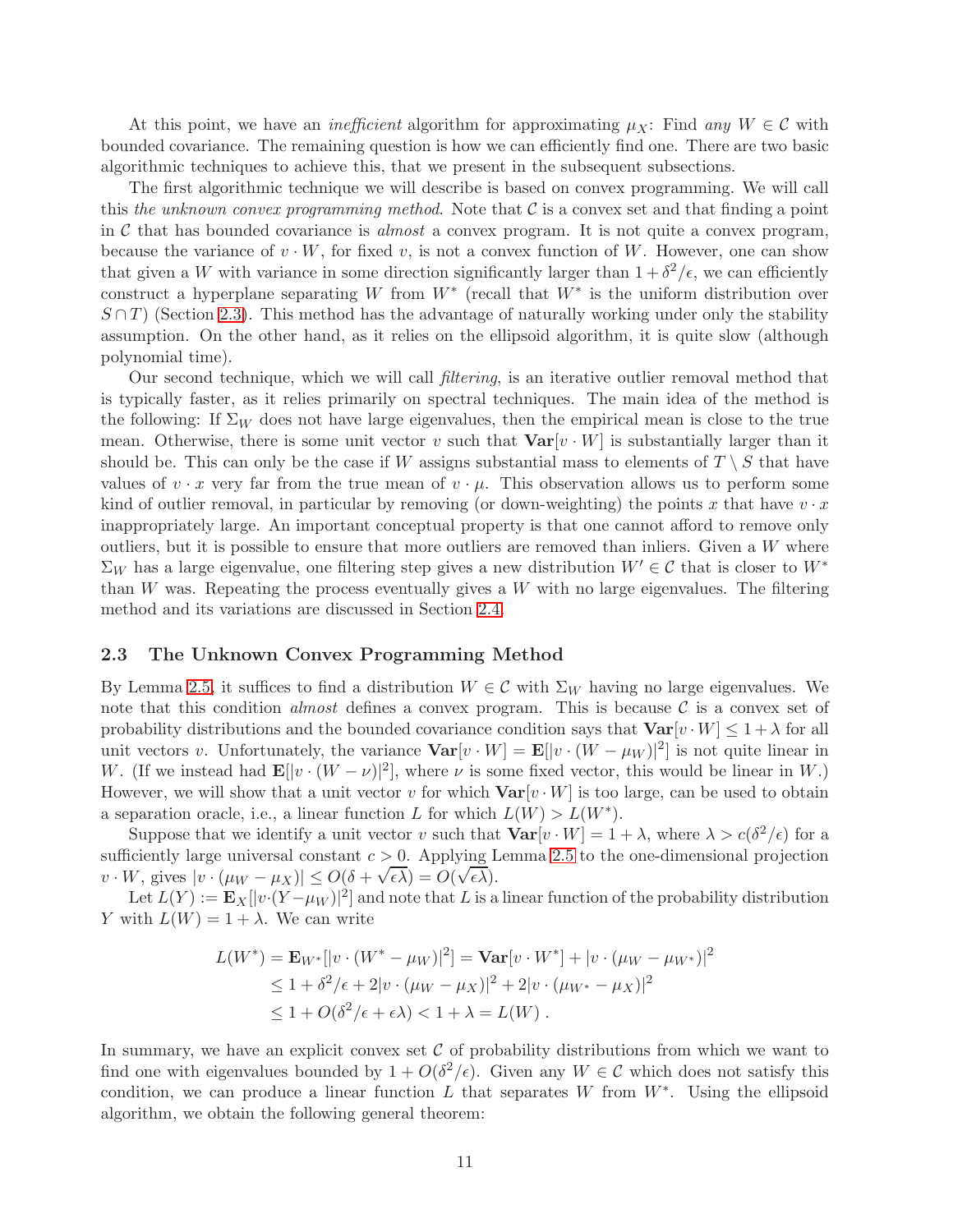At this point, we have an *inefficient* algorithm for approximating  $\mu_X$ : Find any  $W \in \mathcal{C}$  with bounded covariance. The remaining question is how we can efficiently find one. There are two basic algorithmic techniques to achieve this, that we present in the subsequent subsections.

The first algorithmic technique we will describe is based on convex programming. We will call this the unknown convex programming method. Note that  $\mathcal C$  is a convex set and that finding a point in  $\mathcal C$  that has bounded covariance is *almost* a convex program. It is not quite a convex program, because the variance of  $v \cdot W$ , for fixed v, is not a convex function of W. However, one can show that given a W with variance in some direction significantly larger than  $1 + \delta^2/\epsilon$ , we can efficiently construct a hyperplane separating W from  $W^*$  (recall that  $W^*$  is the uniform distribution over  $S \cap T$ ) (Section [2.3\)](#page-10-0). This method has the advantage of naturally working under only the stability assumption. On the other hand, as it relies on the ellipsoid algorithm, it is quite slow (although polynomial time).

Our second technique, which we will call filtering, is an iterative outlier removal method that is typically faster, as it relies primarily on spectral techniques. The main idea of the method is the following: If  $\Sigma_W$  does not have large eigenvalues, then the empirical mean is close to the true mean. Otherwise, there is some unit vector v such that  $\text{Var}[v \cdot W]$  is substantially larger than it should be. This can only be the case if W assigns substantial mass to elements of  $T \setminus S$  that have values of  $v \cdot x$  very far from the true mean of  $v \cdot \mu$ . This observation allows us to perform some kind of outlier removal, in particular by removing (or down-weighting) the points x that have  $v \cdot x$ inappropriately large. An important conceptual property is that one cannot afford to remove only outliers, but it is possible to ensure that more outliers are removed than inliers. Given a  $W$  where  $\Sigma_W$  has a large eigenvalue, one filtering step gives a new distribution  $W' \in \mathcal{C}$  that is closer to  $W^*$ than  $W$  was. Repeating the process eventually gives a  $W$  with no large eigenvalues. The filtering method and its variations are discussed in Section [2.4.](#page-11-0)

#### <span id="page-10-0"></span>2.3 The Unknown Convex Programming Method

By Lemma [2.5,](#page-9-0) it suffices to find a distribution  $W \in \mathcal{C}$  with  $\Sigma_W$  having no large eigenvalues. We note that this condition *almost* defines a convex program. This is because  $\mathcal C$  is a convex set of probability distributions and the bounded covariance condition says that  $\text{Var}[v \cdot W] \leq 1 + \lambda$  for all unit vectors v. Unfortunately, the variance  $\text{Var}[v \cdot W] = \mathbf{E}[|v \cdot (W - \mu_W)|^2]$  is not quite linear in W. (If we instead had  $\mathbf{E}[|v \cdot (W - \nu)|^2]$ , where  $\nu$  is some fixed vector, this would be linear in W.) However, we will show that a unit vector v for which  $\text{Var}[v \cdot W]$  is too large, can be used to obtain a separation oracle, i.e., a linear function L for which  $L(W) > L(W^*)$ .

Suppose that we identify a unit vector v such that  $\text{Var}[v \cdot W] = 1 + \lambda$ , where  $\lambda > c(\delta^2/\epsilon)$  for a sufficiently large universal constant  $c > 0$ . Applying Lemma [2.5](#page-9-0) to the one-dimensional projection v · W, gives  $|v \cdot (\mu_W - \mu_X)| \le O(\delta + \sqrt{\epsilon \lambda}) = O(\sqrt{\epsilon \lambda}).$ 

Let  $L(Y) := \mathbf{E}_X[|v \cdot (Y - \mu_W)|^2]$  and note that L is a linear function of the probability distribution Y with  $L(W) = 1 + \lambda$ . We can write

$$
L(W^*) = \mathbf{E}_{W^*} [ |v \cdot (W^* - \mu_W)|^2 ] = \mathbf{Var} [v \cdot W^*] + |v \cdot (\mu_W - \mu_{W^*})|^2
$$
  
\n
$$
\leq 1 + \delta^2 / \epsilon + 2 |v \cdot (\mu_W - \mu_X)|^2 + 2 |v \cdot (\mu_{W^*} - \mu_X)|^2
$$
  
\n
$$
\leq 1 + O(\delta^2 / \epsilon + \epsilon \lambda) < 1 + \lambda = L(W).
$$

In summary, we have an explicit convex set  $\mathcal C$  of probability distributions from which we want to find one with eigenvalues bounded by  $1 + O(\delta^2/\epsilon)$ . Given any  $W \in \mathcal{C}$  which does not satisfy this condition, we can produce a linear function L that separates W from  $W^*$ . Using the ellipsoid algorithm, we obtain the following general theorem: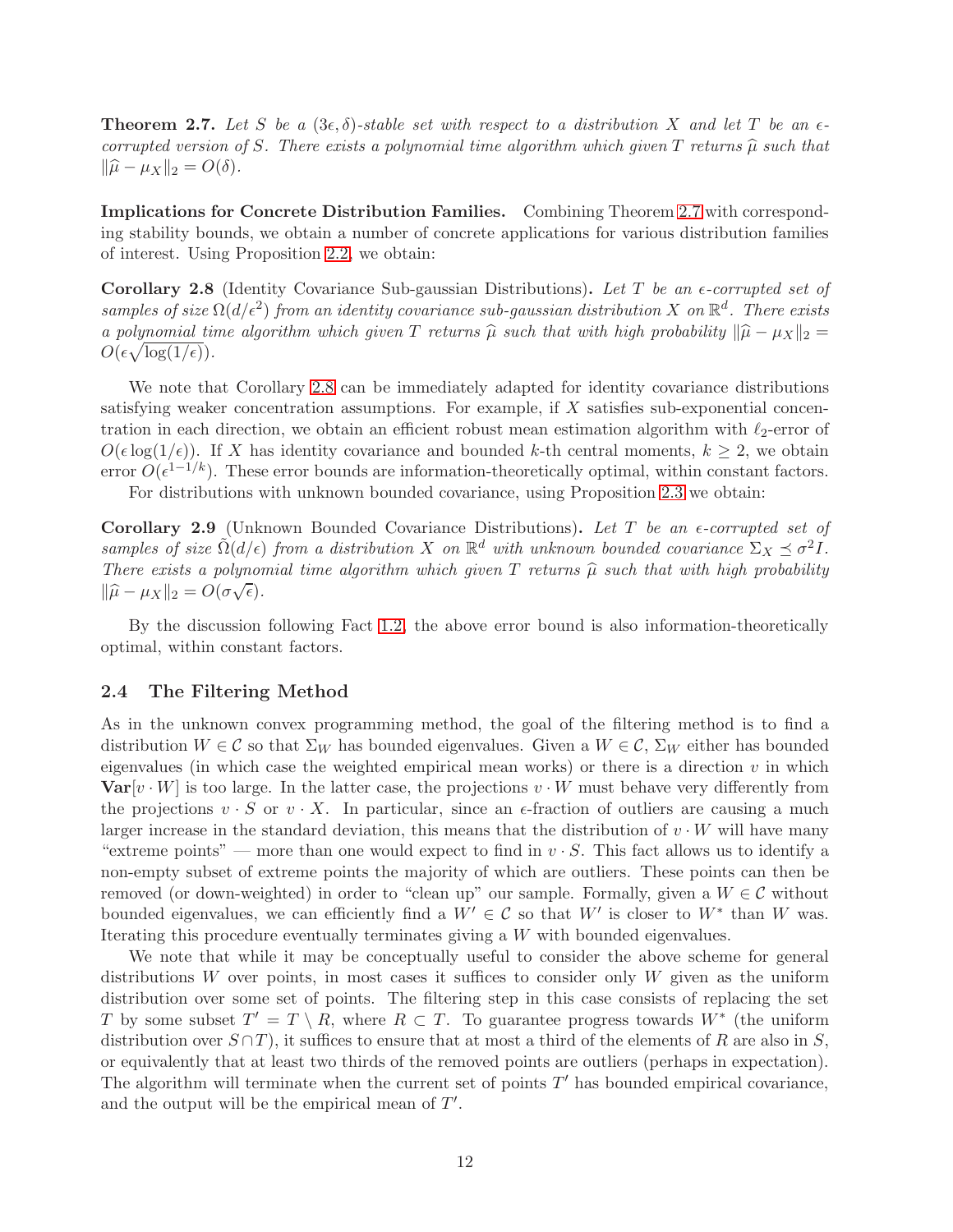<span id="page-11-1"></span>**Theorem 2.7.** Let S be a  $(3\epsilon, \delta)$ -stable set with respect to a distribution X and let T be an  $\epsilon$ corrupted version of S. There exists a polynomial time algorithm which given T returns  $\hat{\mu}$  such that  $\|\widehat{\mu} - \mu_X\|_2 = O(\delta).$ 

Implications for Concrete Distribution Families. Combining Theorem [2.7](#page-11-1) with corresponding stability bounds, we obtain a number of concrete applications for various distribution families of interest. Using Proposition [2.2,](#page-7-1) we obtain:

<span id="page-11-2"></span>**Corollary 2.8** (Identity Covariance Sub-gaussian Distributions). Let T be an  $\epsilon$ -corrupted set of samples of size  $\Omega(d/\epsilon^2)$  from an identity covariance sub-gaussian distribution X on  $\mathbb{R}^d$ . There exists a polynomial time algorithm which given T returns  $\hat{\mu}$  such that with high probability  $\|\hat{\mu} - \mu_X\|_2 =$  $O(\epsilon \sqrt{\log(1/\epsilon)})$ .

We note that Corollary [2.8](#page-11-2) can be immediately adapted for identity covariance distributions satisfying weaker concentration assumptions. For example, if X satisfies sub-exponential concentration in each direction, we obtain an efficient robust mean estimation algorithm with  $\ell_2$ -error of  $O(\epsilon \log(1/\epsilon))$ . If X has identity covariance and bounded k-th central moments,  $k \geq 2$ , we obtain error  $O(\epsilon^{1-1/k})$ . These error bounds are information-theoretically optimal, within constant factors.

For distributions with unknown bounded covariance, using Proposition [2.3](#page-8-1) we obtain:

Corollary 2.9 (Unknown Bounded Covariance Distributions). Let T be an  $\epsilon$ -corrupted set of samples of size  $\tilde{\Omega}(d/\epsilon)$  from a distribution X on  $\mathbb{R}^d$  with unknown bounded covariance  $\Sigma_X \preceq \sigma^2 I$ . There exists a polynomial time algorithm which given T returns  $\hat{\mu}$  such that with high probability  $\|\widehat{\mu} - \mu_X\|_2 = O(\sigma\sqrt{\epsilon}).$ 

By the discussion following Fact [1.2,](#page-3-0) the above error bound is also information-theoretically optimal, within constant factors.

#### <span id="page-11-0"></span>2.4 The Filtering Method

As in the unknown convex programming method, the goal of the filtering method is to find a distribution  $W \in \mathcal{C}$  so that  $\Sigma_W$  has bounded eigenvalues. Given a  $W \in \mathcal{C}$ ,  $\Sigma_W$  either has bounded eigenvalues (in which case the weighted empirical mean works) or there is a direction  $v$  in which  $\textbf{Var}[v \cdot W]$  is too large. In the latter case, the projections  $v \cdot W$  must behave very differently from the projections  $v \cdot S$  or  $v \cdot X$ . In particular, since an  $\epsilon$ -fraction of outliers are causing a much larger increase in the standard deviation, this means that the distribution of  $v \cdot W$  will have many "extreme points" — more than one would expect to find in  $v \cdot S$ . This fact allows us to identify a non-empty subset of extreme points the majority of which are outliers. These points can then be removed (or down-weighted) in order to "clean up" our sample. Formally, given a  $W \in \mathcal{C}$  without bounded eigenvalues, we can efficiently find a  $W' \in \mathcal{C}$  so that  $W'$  is closer to  $W^*$  than W was. Iterating this procedure eventually terminates giving a W with bounded eigenvalues.

We note that while it may be conceptually useful to consider the above scheme for general distributions  $W$  over points, in most cases it suffices to consider only  $W$  given as the uniform distribution over some set of points. The filtering step in this case consists of replacing the set T by some subset  $T' = T \setminus R$ , where  $R \subset T$ . To guarantee progress towards  $W^*$  (the uniform distribution over  $S \cap T$ , it suffices to ensure that at most a third of the elements of R are also in S, or equivalently that at least two thirds of the removed points are outliers (perhaps in expectation). The algorithm will terminate when the current set of points  $T'$  has bounded empirical covariance, and the output will be the empirical mean of  $T'$ .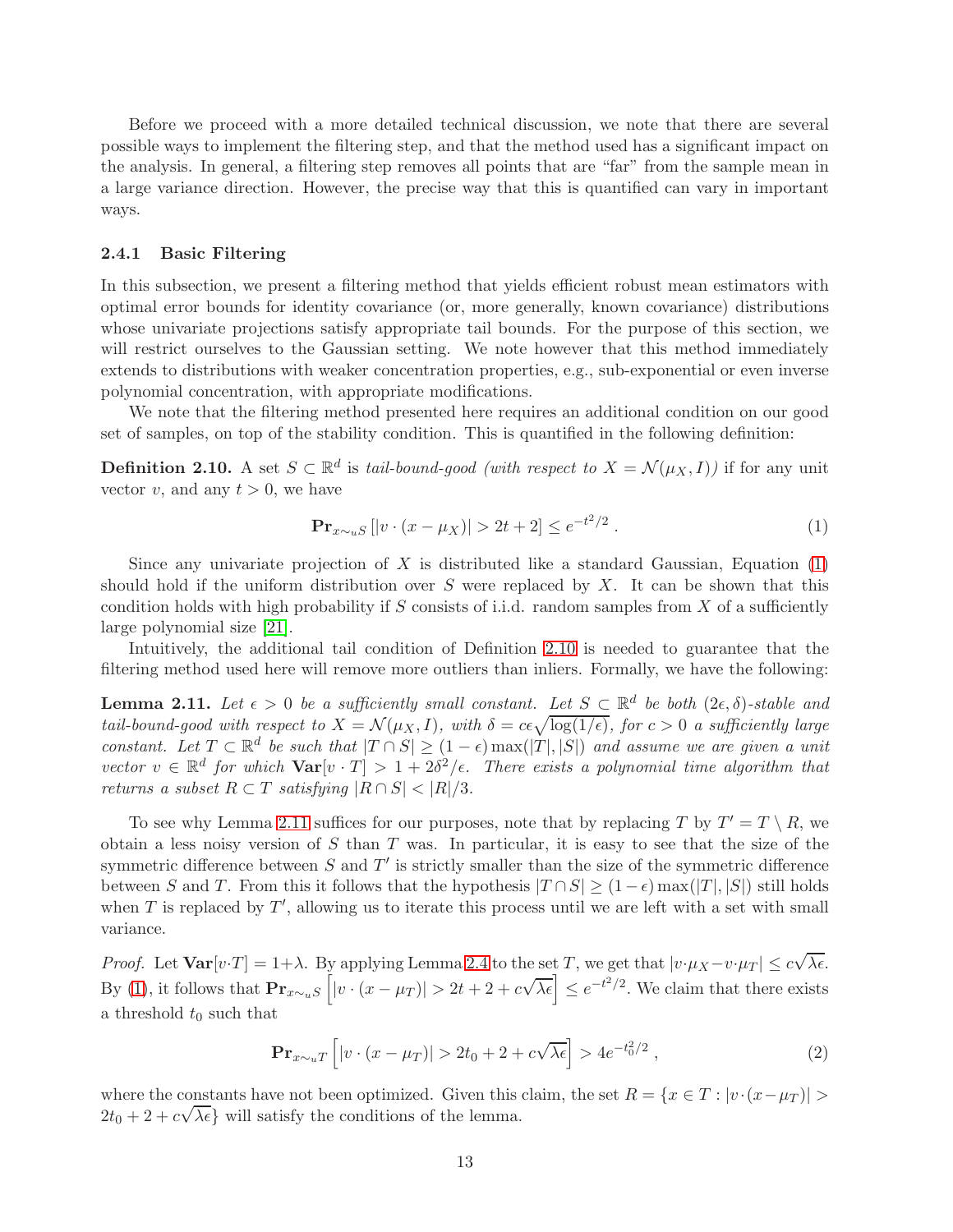Before we proceed with a more detailed technical discussion, we note that there are several possible ways to implement the filtering step, and that the method used has a significant impact on the analysis. In general, a filtering step removes all points that are "far" from the sample mean in a large variance direction. However, the precise way that this is quantified can vary in important ways.

#### 2.4.1 Basic Filtering

In this subsection, we present a filtering method that yields efficient robust mean estimators with optimal error bounds for identity covariance (or, more generally, known covariance) distributions whose univariate projections satisfy appropriate tail bounds. For the purpose of this section, we will restrict ourselves to the Gaussian setting. We note however that this method immediately extends to distributions with weaker concentration properties, e.g., sub-exponential or even inverse polynomial concentration, with appropriate modifications.

We note that the filtering method presented here requires an additional condition on our good set of samples, on top of the stability condition. This is quantified in the following definition:

<span id="page-12-1"></span>**Definition 2.10.** A set  $S \subset \mathbb{R}^d$  is tail-bound-good (with respect to  $X = \mathcal{N}(\mu_X, I)$ ) if for any unit vector v, and any  $t > 0$ , we have

<span id="page-12-0"></span>
$$
\mathbf{Pr}_{x \sim uS} \left[ |v \cdot (x - \mu_X)| > 2t + 2 \right] \le e^{-t^2/2} \,. \tag{1}
$$

Since any univariate projection of  $X$  is distributed like a standard Gaussian, Equation  $(1)$ should hold if the uniform distribution over S were replaced by X. It can be shown that this condition holds with high probability if  $S$  consists of i.i.d. random samples from  $X$  of a sufficiently large polynomial size [\[21\]](#page-34-0).

Intuitively, the additional tail condition of Definition [2.10](#page-12-1) is needed to guarantee that the filtering method used here will remove more outliers than inliers. Formally, we have the following:

<span id="page-12-2"></span>**Lemma 2.11.** Let  $\epsilon > 0$  be a sufficiently small constant. Let  $S \subset \mathbb{R}^d$  be both  $(2\epsilon, \delta)$ -stable and tail-bound-good with respect to  $X = \mathcal{N}(\mu_X, I)$ , with  $\delta = c \epsilon \sqrt{\log(1/\epsilon)}$ , for  $c > 0$  a sufficiently large constant. Let  $T \subset \mathbb{R}^d$  be such that  $|T \cap S| \geq (1 - \epsilon) \max(|T|, |S|)$  and assume we are given a unit vector  $v \in \mathbb{R}^d$  for which  $\text{Var}[v \cdot T] > 1 + 2\delta^2/\epsilon$ . There exists a polynomial time algorithm that returns a subset  $R \subset T$  satisfying  $|R \cap S| < |R|/3$ .

To see why Lemma [2.11](#page-12-2) suffices for our purposes, note that by replacing T by  $T' = T \setminus R$ , we obtain a less noisy version of  $S$  than  $T$  was. In particular, it is easy to see that the size of the symmetric difference between  $S$  and  $T'$  is strictly smaller than the size of the symmetric difference between S and T. From this it follows that the hypothesis  $|T \cap S| \geq (1 - \epsilon) \max(|T|, |S|)$  still holds when T is replaced by  $T'$ , allowing us to iterate this process until we are left with a set with small variance.

Proof. Let  $\text{Var}[v \cdot T] = 1 + \lambda$ . By applying Lemma [2.4](#page-8-0) to the set T, we get that  $|v \cdot \mu_X - v \cdot \mu_T| \leq c \sqrt{\lambda \epsilon}$ . By [\(1\)](#page-12-0), it follows that  $\mathbf{Pr}_{x \sim uS} \left[ |v \cdot (x - \mu_T)| > 2t + 2 + c\sqrt{\lambda \epsilon} \right] \leq e^{-t^2/2}$ . We claim that there exists a threshold  $t_0$  such that

<span id="page-12-3"></span>
$$
\mathbf{Pr}_{x \sim_u T} \left[ |v \cdot (x - \mu_T)| > 2t_0 + 2 + c\sqrt{\lambda \epsilon} \right] > 4e^{-t_0^2/2}, \tag{2}
$$

where the constants have not been optimized. Given this claim, the set  $R = \{x \in T : |v \cdot (x - \mu_T)| >$  $2t_0 + 2 + c\sqrt{\lambda \epsilon}$  will satisfy the conditions of the lemma.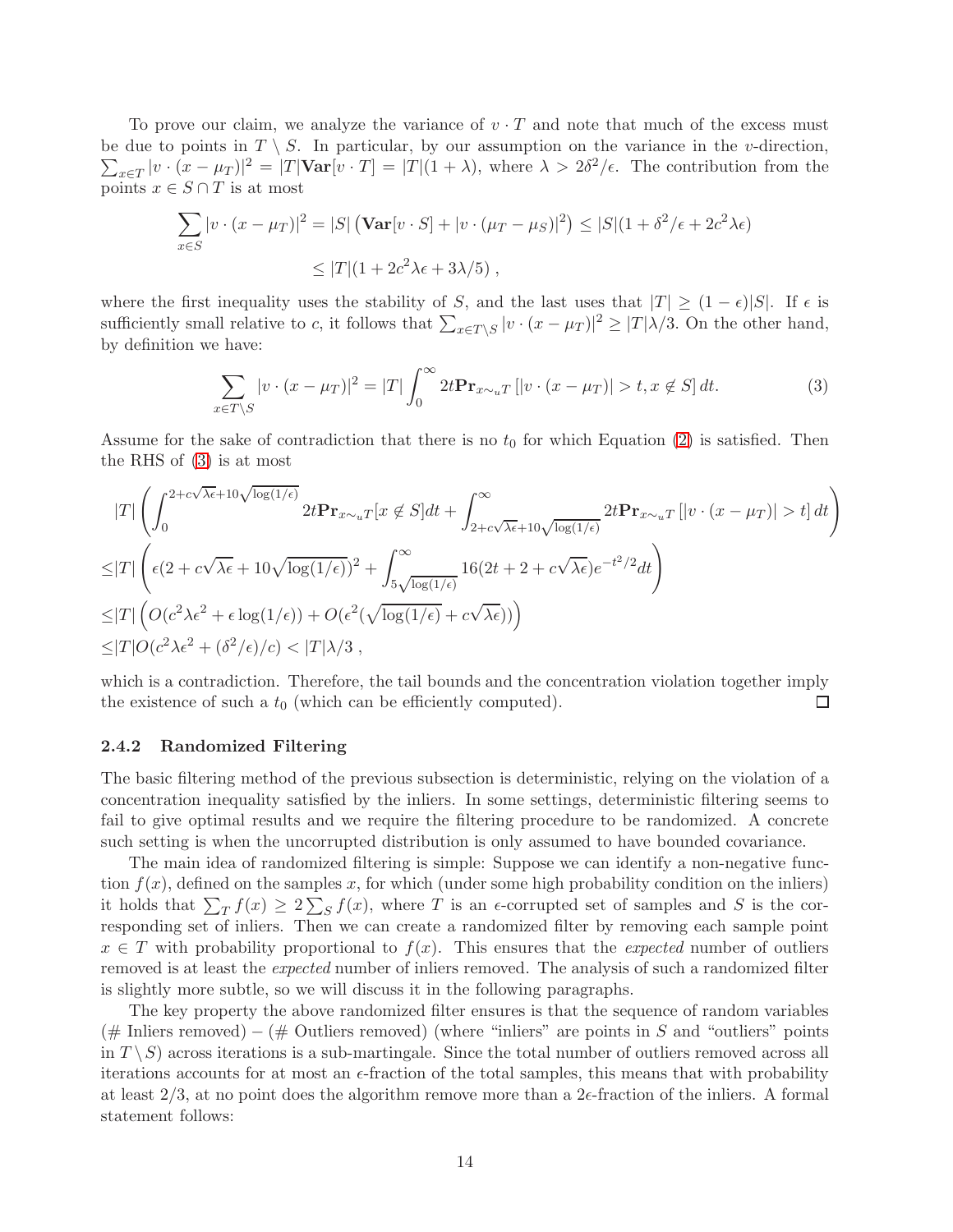To prove our claim, we analyze the variance of  $v \cdot T$  and note that much of the excess must  $\sum_{x\in T} |v \cdot (x - \mu_T)|^2 = |T| \textbf{Var}[v \cdot T] = |T|(1 + \lambda)$ , where  $\lambda > 2\delta^2/\epsilon$ . The contribution from the be due to points in  $T \setminus S$ . In particular, by our assumption on the variance in the v-direction, points  $x \in S \cap T$  is at most

$$
\sum_{x \in S} |v \cdot (x - \mu_T)|^2 = |S| \left( \mathbf{Var}[v \cdot S] + |v \cdot (\mu_T - \mu_S)|^2 \right) \le |S| (1 + \delta^2/\epsilon + 2c^2\lambda\epsilon)
$$
  

$$
\le |T| (1 + 2c^2\lambda\epsilon + 3\lambda/5),
$$

where the first inequality uses the stability of S, and the last uses that  $|T| > (1 - \epsilon)|S|$ . If  $\epsilon$  is sufficiently small relative to c, it follows that  $\sum_{x \in T \setminus S} |v \cdot (x - \mu_T)|^2 \ge |T| \lambda/3$ . On the other hand, by definition we have:

<span id="page-13-0"></span>
$$
\sum_{x \in T \backslash S} |v \cdot (x - \mu_T)|^2 = |T| \int_0^\infty 2t \mathbf{Pr}_{x \sim uT} \left[ |v \cdot (x - \mu_T)| > t, x \notin S \right] dt. \tag{3}
$$

Assume for the sake of contradiction that there is no  $t_0$  for which Equation [\(2\)](#page-12-3) is satisfied. Then the RHS of [\(3\)](#page-13-0) is at most

$$
|T|\left(\int_0^{2+c\sqrt{\lambda\epsilon}+10\sqrt{\log(1/\epsilon)}}2t\mathbf{Pr}_{x\sim_uT}[x \notin S]dt+\int_{2+c\sqrt{\lambda\epsilon}+10\sqrt{\log(1/\epsilon)}}^{\infty}2t\mathbf{Pr}_{x\sim_uT}\left[|v\cdot(x-\mu_T)|>t\right]dt\right)
$$
  
\n
$$
\leq |T|\left(\epsilon(2+c\sqrt{\lambda\epsilon}+10\sqrt{\log(1/\epsilon)})^2+\int_{5\sqrt{\log(1/\epsilon)}}^{\infty}16(2t+2+c\sqrt{\lambda\epsilon})e^{-t^2/2}dt\right)
$$
  
\n
$$
\leq |T|\left(O(c^2\lambda\epsilon^2+\epsilon\log(1/\epsilon))+O(\epsilon^2(\sqrt{\log(1/\epsilon)}+c\sqrt{\lambda\epsilon}))\right)
$$
  
\n
$$
\leq |T|O(c^2\lambda\epsilon^2+(\delta^2/\epsilon)/c)<|T|\lambda/3,
$$

which is a contradiction. Therefore, the tail bounds and the concentration violation together imply the existence of such a  $t_0$  (which can be efficiently computed).  $\Box$ 

#### 2.4.2 Randomized Filtering

The basic filtering method of the previous subsection is deterministic, relying on the violation of a concentration inequality satisfied by the inliers. In some settings, deterministic filtering seems to fail to give optimal results and we require the filtering procedure to be randomized. A concrete such setting is when the uncorrupted distribution is only assumed to have bounded covariance.

The main idea of randomized filtering is simple: Suppose we can identify a non-negative function  $f(x)$ , defined on the samples x, for which (under some high probability condition on the inliers) it holds that  $\sum_{T} f(x) \geq 2 \sum_{S} f(x)$ , where T is an  $\epsilon$ -corrupted set of samples and S is the corresponding set of inliers. Then we can create a randomized filter by removing each sample point  $x \in T$  with probability proportional to  $f(x)$ . This ensures that the *expected* number of outliers removed is at least the *expected* number of inliers removed. The analysis of such a randomized filter is slightly more subtle, so we will discuss it in the following paragraphs.

The key property the above randomized filter ensures is that the sequence of random variables  $(\#$  Inliers removed) –  $(\#$  Outliers removed) (where "inliers" are points in S and "outliers" points in  $T \setminus S$  across iterations is a sub-martingale. Since the total number of outliers removed across all iterations accounts for at most an  $\epsilon$ -fraction of the total samples, this means that with probability at least  $2/3$ , at no point does the algorithm remove more than a  $2\epsilon$ -fraction of the inliers. A formal statement follows: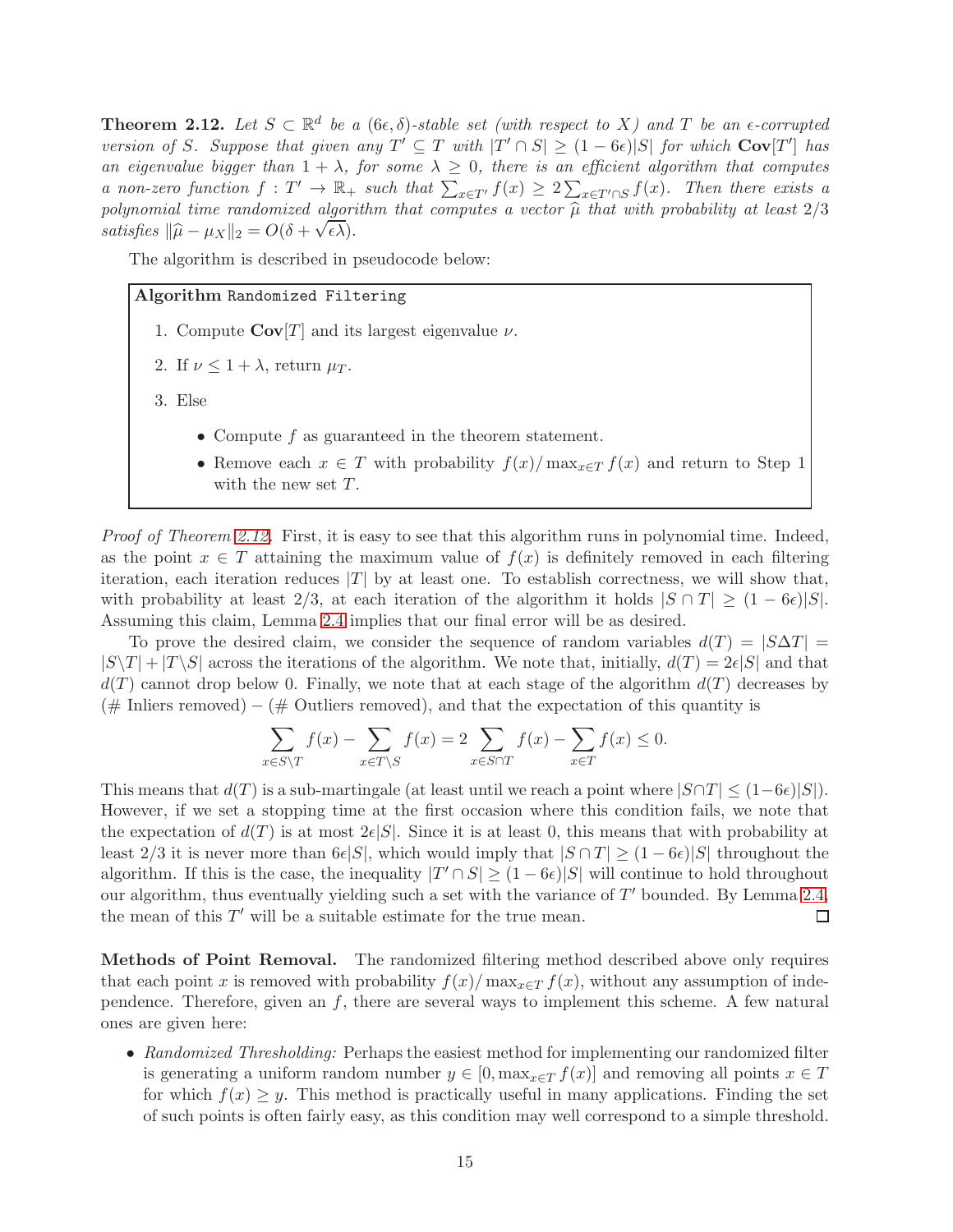<span id="page-14-0"></span>**Theorem 2.12.** Let  $S \subset \mathbb{R}^d$  be a  $(6\epsilon, \delta)$ -stable set (with respect to X) and T be an  $\epsilon$ -corrupted version of S. Suppose that given any  $T' \subseteq T$  with  $|T' \cap S| \ge (1 - 6\epsilon)|S|$  for which  $\text{Cov}[T']$  has an eigenvalue bigger than  $1 + \lambda$ , for some  $\lambda \geq 0$ , there is an efficient algorithm that computes a non-zero function  $f: T' \to \mathbb{R}_+$  such that  $\sum_{x \in T'} f(x) \geq 2 \sum_{x \in T' \cap S} f(x)$ . Then there exists a polynomial time randomized algorithm that computes a vector  $\hat{\mu}$  that with probability at least  $2/3$ satisfies  $\|\widehat{\mu} - \mu_X\|_2 = O(\delta + \sqrt{\epsilon \lambda}).$ 

The algorithm is described in pseudocode below:

#### Algorithm Randomized Filtering

- 1. Compute  $\mathbf{Cov}[T]$  and its largest eigenvalue  $\nu$ .
- 2. If  $\nu \leq 1 + \lambda$ , return  $\mu_T$ .
- 3. Else
	- Compute  $f$  as guaranteed in the theorem statement.
	- Remove each  $x \in T$  with probability  $f(x)/\max_{x \in T} f(x)$  and return to Step 1 with the new set  $T$ .

Proof of Theorem [2.12.](#page-14-0) First, it is easy to see that this algorithm runs in polynomial time. Indeed, as the point  $x \in T$  attaining the maximum value of  $f(x)$  is definitely removed in each filtering iteration, each iteration reduces  $|T|$  by at least one. To establish correctness, we will show that, with probability at least 2/3, at each iteration of the algorithm it holds  $|S \cap T| \geq (1 - 6\epsilon)|S|$ . Assuming this claim, Lemma [2.4](#page-8-0) implies that our final error will be as desired.

To prove the desired claim, we consider the sequence of random variables  $d(T) = |S\Delta T|$  $|S\setminus T| + |T\setminus S|$  across the iterations of the algorithm. We note that, initially,  $d(T) = 2\epsilon|S|$  and that  $d(T)$  cannot drop below 0. Finally, we note that at each stage of the algorithm  $d(T)$  decreases by  $(\#$  Inliers removed) –  $(\#$  Outliers removed), and that the expectation of this quantity is

$$
\sum_{x \in S \setminus T} f(x) - \sum_{x \in T \setminus S} f(x) = 2 \sum_{x \in S \cap T} f(x) - \sum_{x \in T} f(x) \le 0.
$$

This means that  $d(T)$  is a sub-martingale (at least until we reach a point where  $|S \cap T| \leq (1-6\epsilon)|S|$ ). However, if we set a stopping time at the first occasion where this condition fails, we note that the expectation of  $d(T)$  is at most  $2e|S|$ . Since it is at least 0, this means that with probability at least 2/3 it is never more than  $6\epsilon|S|$ , which would imply that  $|S \cap T| \geq (1 - 6\epsilon)|S|$  throughout the algorithm. If this is the case, the inequality  $|T' \cap S| \ge (1 - 6\epsilon)|S|$  will continue to hold throughout our algorithm, thus eventually yielding such a set with the variance of  $T'$  bounded. By Lemma [2.4,](#page-8-0)  $\Box$ the mean of this  $T'$  will be a suitable estimate for the true mean.

Methods of Point Removal. The randomized filtering method described above only requires that each point x is removed with probability  $f(x)/\max_{x\in\mathcal{T}}f(x)$ , without any assumption of independence. Therefore, given an  $f$ , there are several ways to implement this scheme. A few natural ones are given here:

• Randomized Thresholding: Perhaps the easiest method for implementing our randomized filter is generating a uniform random number  $y \in [0, \max_{x \in T} f(x)]$  and removing all points  $x \in T$ for which  $f(x) \geq y$ . This method is practically useful in many applications. Finding the set of such points is often fairly easy, as this condition may well correspond to a simple threshold.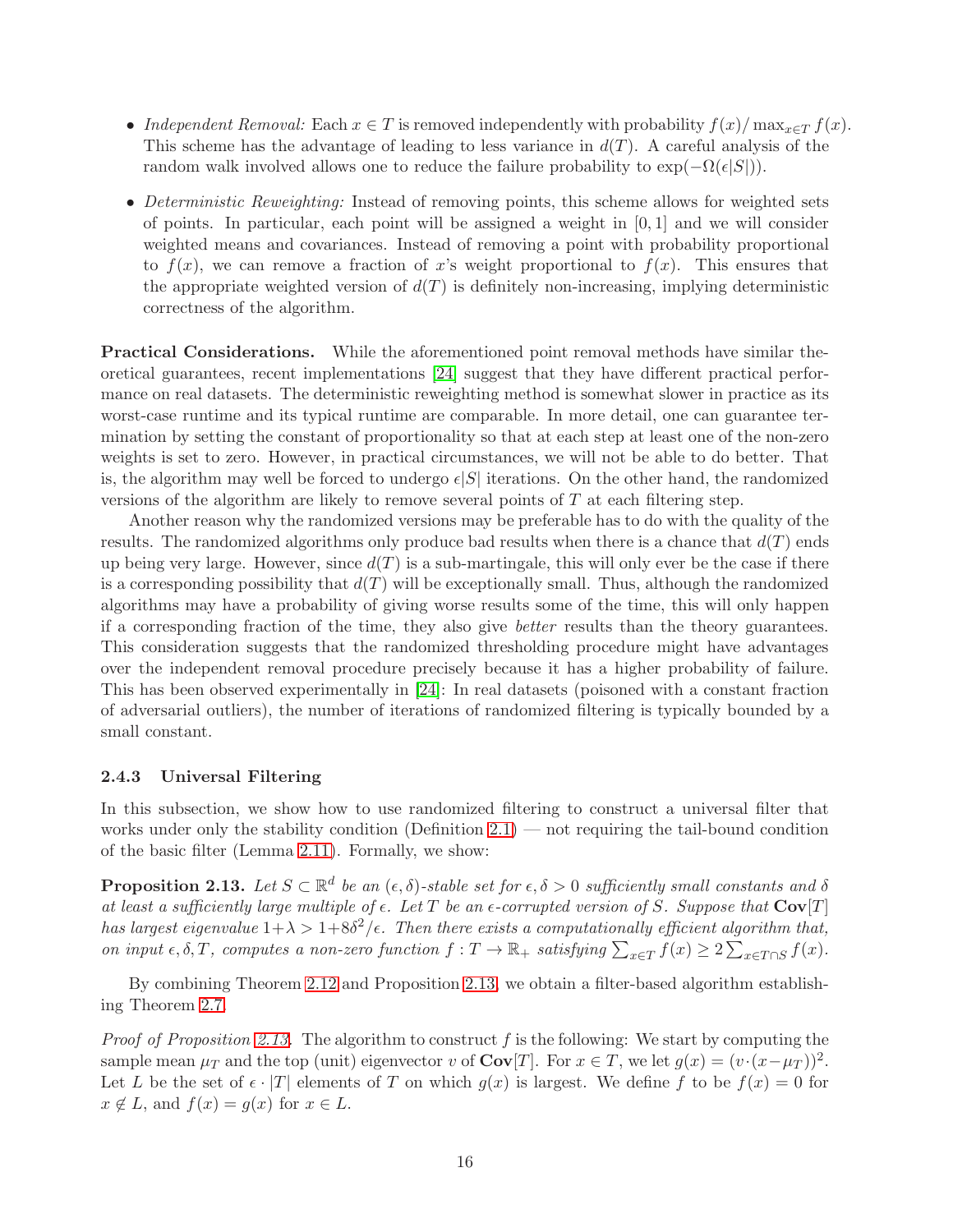- Independent Removal: Each  $x \in T$  is removed independently with probability  $f(x)/\max_{x \in T} f(x)$ . This scheme has the advantage of leading to less variance in  $d(T)$ . A careful analysis of the random walk involved allows one to reduce the failure probability to  $\exp(-\Omega(\epsilon|S|)).$
- Deterministic Reweighting: Instead of removing points, this scheme allows for weighted sets of points. In particular, each point will be assigned a weight in  $[0, 1]$  and we will consider weighted means and covariances. Instead of removing a point with probability proportional to  $f(x)$ , we can remove a fraction of x's weight proportional to  $f(x)$ . This ensures that the appropriate weighted version of  $d(T)$  is definitely non-increasing, implying deterministic correctness of the algorithm.

Practical Considerations. While the aforementioned point removal methods have similar theoretical guarantees, recent implementations [\[24\]](#page-34-2) suggest that they have different practical performance on real datasets. The deterministic reweighting method is somewhat slower in practice as its worst-case runtime and its typical runtime are comparable. In more detail, one can guarantee termination by setting the constant of proportionality so that at each step at least one of the non-zero weights is set to zero. However, in practical circumstances, we will not be able to do better. That is, the algorithm may well be forced to undergo  $\epsilon|S|$  iterations. On the other hand, the randomized versions of the algorithm are likely to remove several points of  $T$  at each filtering step.

Another reason why the randomized versions may be preferable has to do with the quality of the results. The randomized algorithms only produce bad results when there is a chance that  $d(T)$  ends up being very large. However, since  $d(T)$  is a sub-martingale, this will only ever be the case if there is a corresponding possibility that  $d(T)$  will be exceptionally small. Thus, although the randomized algorithms may have a probability of giving worse results some of the time, this will only happen if a corresponding fraction of the time, they also give better results than the theory guarantees. This consideration suggests that the randomized thresholding procedure might have advantages over the independent removal procedure precisely because it has a higher probability of failure. This has been observed experimentally in [\[24\]](#page-34-2): In real datasets (poisoned with a constant fraction of adversarial outliers), the number of iterations of randomized filtering is typically bounded by a small constant.

#### 2.4.3 Universal Filtering

In this subsection, we show how to use randomized filtering to construct a universal filter that works under only the stability condition (Definition [2.1\)](#page-7-0) — not requiring the tail-bound condition of the basic filter (Lemma [2.11\)](#page-12-2). Formally, we show:

<span id="page-15-0"></span>**Proposition 2.13.** Let  $S \subset \mathbb{R}^d$  be an  $(\epsilon, \delta)$ -stable set for  $\epsilon, \delta > 0$  sufficiently small constants and  $\delta$ at least a sufficiently large multiple of  $\epsilon$ . Let T be an  $\epsilon$ -corrupted version of S. Suppose that  $\text{Cov}[T]$ has largest eigenvalue  $1+\lambda > 1+8\delta^2/\epsilon$ . Then there exists a computationally efficient algorithm that, on input  $\epsilon, \delta, T$ , computes a non-zero function  $f: T \to \mathbb{R}_+$  satisfying  $\sum_{x \in T} f(x) \geq 2 \sum_{x \in T \cap S} f(x)$ .

By combining Theorem [2.12](#page-14-0) and Proposition [2.13,](#page-15-0) we obtain a filter-based algorithm establishing Theorem [2.7.](#page-11-1)

*Proof of Proposition [2.13.](#page-15-0)* The algorithm to construct f is the following: We start by computing the sample mean  $\mu_T$  and the top (unit) eigenvector v of  $\text{Cov}[T]$ . For  $x \in T$ , we let  $g(x) = (v \cdot (x - \mu_T))^2$ . Let L be the set of  $\epsilon \cdot |T|$  elements of T on which  $q(x)$  is largest. We define f to be  $f(x) = 0$  for  $x \notin L$ , and  $f(x) = g(x)$  for  $x \in L$ .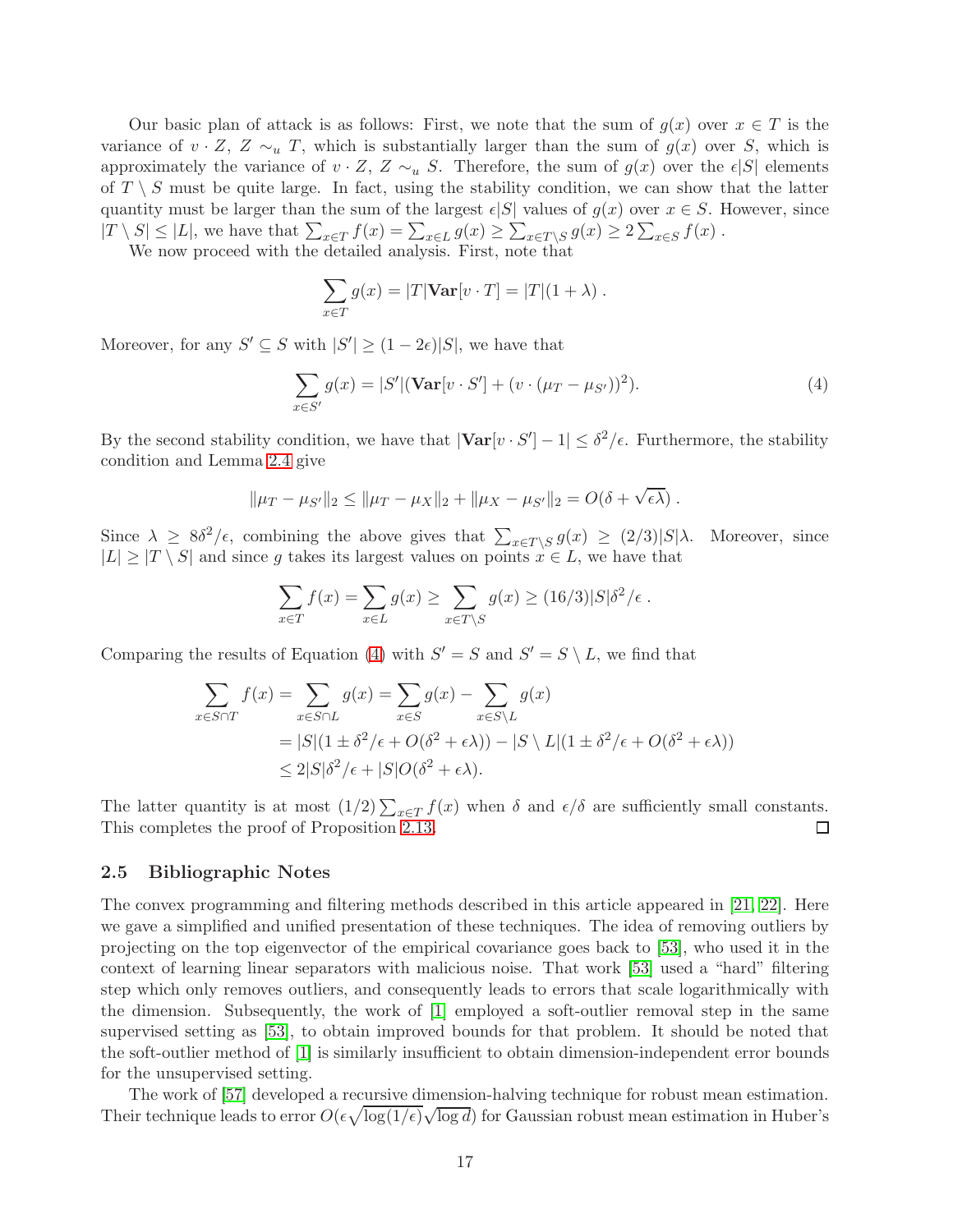Our basic plan of attack is as follows: First, we note that the sum of  $g(x)$  over  $x \in T$  is the variance of  $v \cdot Z$ ,  $Z \sim_u T$ , which is substantially larger than the sum of  $g(x)$  over S, which is approximately the variance of  $v \cdot Z$ ,  $Z \sim_u S$ . Therefore, the sum of  $g(x)$  over the  $\epsilon |S|$  elements of  $T \setminus S$  must be quite large. In fact, using the stability condition, we can show that the latter quantity must be larger than the sum of the largest  $\epsilon|S|$  values of  $g(x)$  over  $x \in S$ . However, since  $|T \setminus S| \leq |L|$ , we have that  $\sum_{x \in T} f(x) = \sum_{x \in L} g(x) \geq \sum_{x \in T \setminus S} g(x) \geq 2 \sum_{x \in S} f(x)$ .

We now proceed with the detailed analysis. First, note that

$$
\sum_{x \in T} g(x) = |T| \mathbf{Var}[v \cdot T] = |T|(1 + \lambda) .
$$

Moreover, for any  $S' \subseteq S$  with  $|S'| \geq (1 - 2\epsilon)|S|$ , we have that

<span id="page-16-1"></span>
$$
\sum_{x \in S'} g(x) = |S'| (\mathbf{Var}[v \cdot S'] + (v \cdot (\mu_T - \mu_{S'}))^2).
$$
\n(4)

By the second stability condition, we have that  $|\text{Var}[v \cdot S'] - 1| \leq \delta^2/\epsilon$ . Furthermore, the stability condition and Lemma [2.4](#page-8-0) give

$$
\|\mu_T - \mu_{S'}\|_2 \le \|\mu_T - \mu_X\|_2 + \|\mu_X - \mu_{S'}\|_2 = O(\delta + \sqrt{\epsilon\lambda}).
$$

Since  $\lambda \geq 8\delta^2/\epsilon$ , combining the above gives that  $\sum_{x \in T \setminus S} g(x) \geq (2/3)|S|\lambda$ . Moreover, since  $|L| \geq |T \setminus S|$  and since g takes its largest values on points  $x \in L$ , we have that

$$
\sum_{x \in T} f(x) = \sum_{x \in L} g(x) \ge \sum_{x \in T \setminus S} g(x) \ge (16/3)|S|\delta^2/\epsilon.
$$

Comparing the results of Equation [\(4\)](#page-16-1) with  $S' = S$  and  $S' = S \setminus L$ , we find that

$$
\sum_{x \in S \cap T} f(x) = \sum_{x \in S \cap L} g(x) = \sum_{x \in S} g(x) - \sum_{x \in S \setminus L} g(x)
$$
  
= |S| (1 \pm \delta^2/\epsilon + O(\delta^2 + \epsilon \lambda)) - |S \setminus L| (1 \pm \delta^2/\epsilon + O(\delta^2 + \epsilon \lambda))  

$$
\leq 2|S|\delta^2/\epsilon + |S|O(\delta^2 + \epsilon \lambda).
$$

The latter quantity is at most  $(1/2) \sum_{x \in T} f(x)$  when  $\delta$  and  $\epsilon/\delta$  are sufficiently small constants. This completes the proof of Proposition [2.13.](#page-15-0)  $\Box$ 

#### <span id="page-16-0"></span>2.5 Bibliographic Notes

The convex programming and filtering methods described in this article appeared in [\[21,](#page-34-0) [22\]](#page-34-1). Here we gave a simplified and unified presentation of these techniques. The idea of removing outliers by projecting on the top eigenvector of the empirical covariance goes back to [\[53\]](#page-36-6), who used it in the context of learning linear separators with malicious noise. That work [\[53\]](#page-36-6) used a "hard" filtering step which only removes outliers, and consequently leads to errors that scale logarithmically with the dimension. Subsequently, the work of [\[1\]](#page-33-5) employed a soft-outlier removal step in the same supervised setting as [\[53\]](#page-36-6), to obtain improved bounds for that problem. It should be noted that the soft-outlier method of [\[1\]](#page-33-5) is similarly insufficient to obtain dimension-independent error bounds for the unsupervised setting.

The work of [\[57\]](#page-36-2) developed a recursive dimension-halving technique for robust mean estimation. Their technique leads to error  $O(\epsilon \sqrt{\log(1/\epsilon)} \sqrt{\log d})$  for Gaussian robust mean estimation in Huber's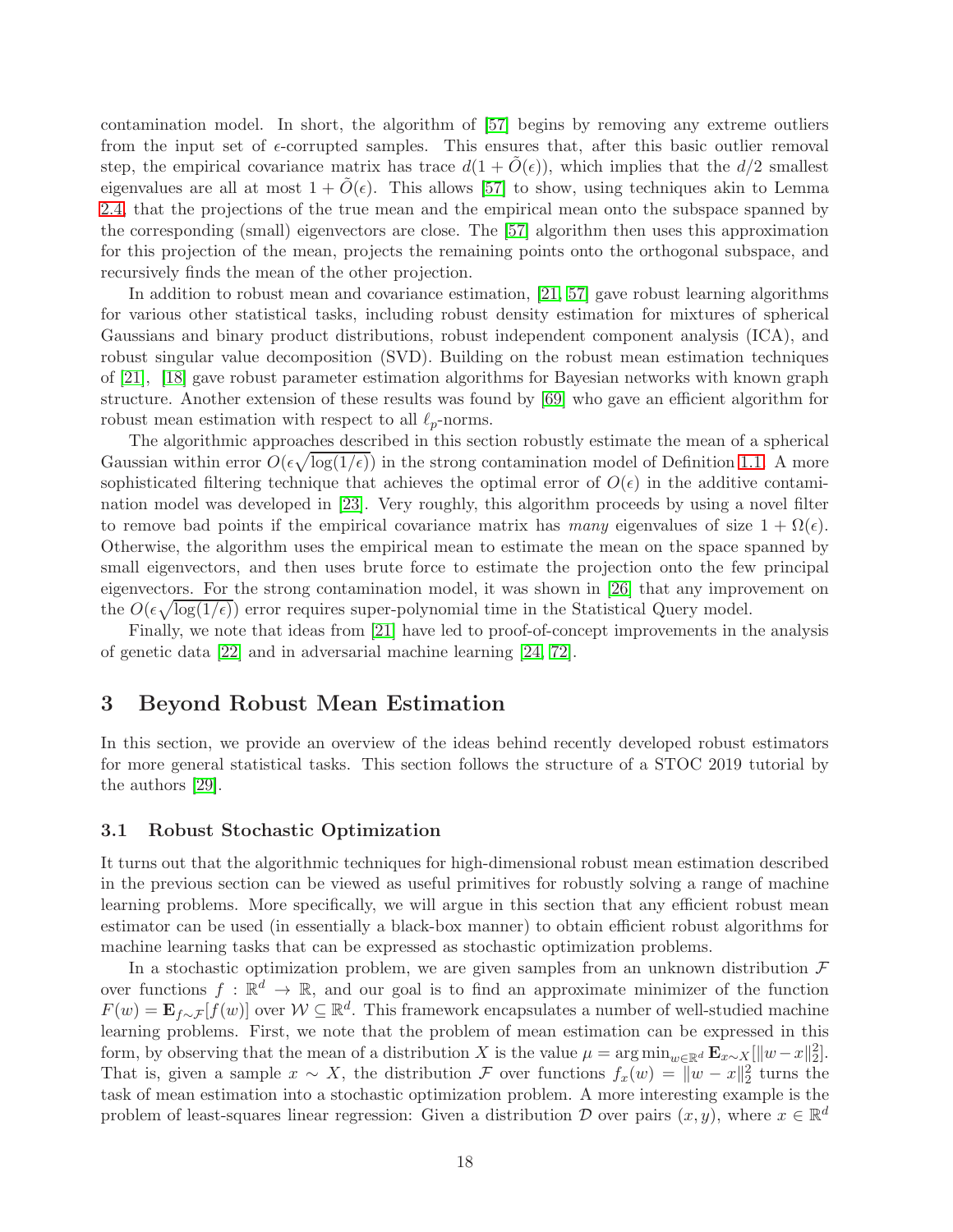contamination model. In short, the algorithm of [\[57\]](#page-36-2) begins by removing any extreme outliers from the input set of  $\epsilon$ -corrupted samples. This ensures that, after this basic outlier removal step, the empirical covariance matrix has trace  $d(1 + O(\epsilon))$ , which implies that the  $d/2$  smallest eigenvalues are all at most  $1 + \tilde{O}(\epsilon)$ . This allows [\[57\]](#page-36-2) to show, using techniques akin to Lemma [2.4,](#page-8-0) that the projections of the true mean and the empirical mean onto the subspace spanned by the corresponding (small) eigenvectors are close. The [\[57\]](#page-36-2) algorithm then uses this approximation for this projection of the mean, projects the remaining points onto the orthogonal subspace, and recursively finds the mean of the other projection.

In addition to robust mean and covariance estimation, [\[21,](#page-34-0) [57\]](#page-36-2) gave robust learning algorithms for various other statistical tasks, including robust density estimation for mixtures of spherical Gaussians and binary product distributions, robust independent component analysis (ICA), and robust singular value decomposition (SVD). Building on the robust mean estimation techniques of [\[21\]](#page-34-0), [\[18\]](#page-34-3) gave robust parameter estimation algorithms for Bayesian networks with known graph structure. Another extension of these results was found by [\[69\]](#page-37-7) who gave an efficient algorithm for robust mean estimation with respect to all  $\ell_p$ -norms.

The algorithmic approaches described in this section robustly estimate the mean of a spherical Gaussian within error  $O(\epsilon \sqrt{\log(1/\epsilon)})$  in the strong contamination model of Definition [1.1.](#page-1-0) A more sophisticated filtering technique that achieves the optimal error of  $O(\epsilon)$  in the additive contamination model was developed in [\[23\]](#page-34-4). Very roughly, this algorithm proceeds by using a novel filter to remove bad points if the empirical covariance matrix has many eigenvalues of size  $1 + \Omega(\epsilon)$ . Otherwise, the algorithm uses the empirical mean to estimate the mean on the space spanned by small eigenvectors, and then uses brute force to estimate the projection onto the few principal eigenvectors. For the strong contamination model, it was shown in [\[26\]](#page-34-5) that any improvement on the  $O(\epsilon \sqrt{\log(1/\epsilon)})$  error requires super-polynomial time in the Statistical Query model.

Finally, we note that ideas from [\[21\]](#page-34-0) have led to proof-of-concept improvements in the analysis of genetic data [\[22\]](#page-34-1) and in adversarial machine learning [\[24,](#page-34-2) [72\]](#page-37-8).

### <span id="page-17-0"></span>3 Beyond Robust Mean Estimation

In this section, we provide an overview of the ideas behind recently developed robust estimators for more general statistical tasks. This section follows the structure of a STOC 2019 tutorial by the authors [\[29\]](#page-34-6).

#### 3.1 Robust Stochastic Optimization

It turns out that the algorithmic techniques for high-dimensional robust mean estimation described in the previous section can be viewed as useful primitives for robustly solving a range of machine learning problems. More specifically, we will argue in this section that any efficient robust mean estimator can be used (in essentially a black-box manner) to obtain efficient robust algorithms for machine learning tasks that can be expressed as stochastic optimization problems.

In a stochastic optimization problem, we are given samples from an unknown distribution  $\mathcal F$ over functions  $f : \mathbb{R}^d \to \mathbb{R}$ , and our goal is to find an approximate minimizer of the function  $F(w) = \mathbf{E}_{f \sim \mathcal{F}}[f(w)]$  over  $\mathcal{W} \subseteq \mathbb{R}^d$ . This framework encapsulates a number of well-studied machine learning problems. First, we note that the problem of mean estimation can be expressed in this form, by observing that the mean of a distribution X is the value  $\mu = \arg \min_{w \in \mathbb{R}^d} \mathbf{E}_{x \sim X} [\|w-x\|_2^2].$ That is, given a sample  $x \sim X$ , the distribution F over functions  $f_x(w) = ||w - x||_2^2$  turns the task of mean estimation into a stochastic optimization problem. A more interesting example is the problem of least-squares linear regression: Given a distribution  $D$  over pairs  $(x, y)$ , where  $x \in \mathbb{R}^d$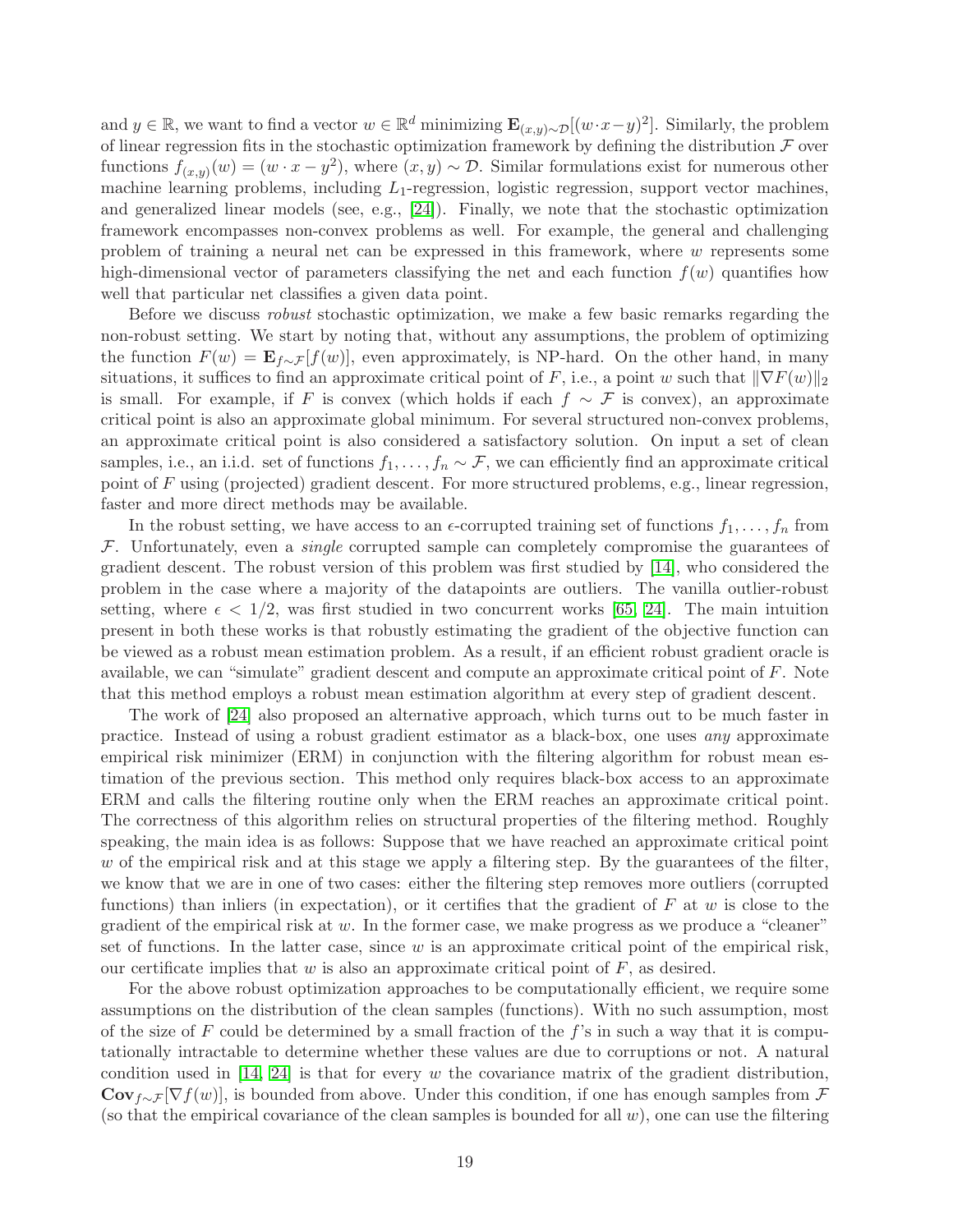and  $y \in \mathbb{R}$ , we want to find a vector  $w \in \mathbb{R}^d$  minimizing  $\mathbf{E}_{(x,y)\sim\mathcal{D}}[(w \cdot x - y)^2]$ . Similarly, the problem of linear regression fits in the stochastic optimization framework by defining the distribution  $\mathcal F$  over functions  $f_{(x,y)}(w) = (w \cdot x - y^2)$ , where  $(x, y) \sim \mathcal{D}$ . Similar formulations exist for numerous other machine learning problems, including  $L_1$ -regression, logistic regression, support vector machines, and generalized linear models (see, e.g., [\[24\]](#page-34-2)). Finally, we note that the stochastic optimization framework encompasses non-convex problems as well. For example, the general and challenging problem of training a neural net can be expressed in this framework, where w represents some high-dimensional vector of parameters classifying the net and each function  $f(w)$  quantifies how well that particular net classifies a given data point.

Before we discuss robust stochastic optimization, we make a few basic remarks regarding the non-robust setting. We start by noting that, without any assumptions, the problem of optimizing the function  $F(w) = \mathbf{E}_{f \sim \mathcal{F}}[f(w)]$ , even approximately, is NP-hard. On the other hand, in many situations, it suffices to find an approximate critical point of F, i.e., a point w such that  $\|\nabla F(w)\|_2$ is small. For example, if F is convex (which holds if each  $f \sim \mathcal{F}$  is convex), an approximate critical point is also an approximate global minimum. For several structured non-convex problems, an approximate critical point is also considered a satisfactory solution. On input a set of clean samples, i.e., an i.i.d. set of functions  $f_1, \ldots, f_n \sim \mathcal{F}$ , we can efficiently find an approximate critical point of F using (projected) gradient descent. For more structured problems, e.g., linear regression, faster and more direct methods may be available.

In the robust setting, we have access to an  $\epsilon$ -corrupted training set of functions  $f_1, \ldots, f_n$  from  $F$ . Unfortunately, even a *single* corrupted sample can completely compromise the guarantees of gradient descent. The robust version of this problem was first studied by [\[14\]](#page-33-6), who considered the problem in the case where a majority of the datapoints are outliers. The vanilla outlier-robust setting, where  $\epsilon < 1/2$ , was first studied in two concurrent works [\[65,](#page-37-9) [24\]](#page-34-2). The main intuition present in both these works is that robustly estimating the gradient of the objective function can be viewed as a robust mean estimation problem. As a result, if an efficient robust gradient oracle is available, we can "simulate" gradient descent and compute an approximate critical point of F. Note that this method employs a robust mean estimation algorithm at every step of gradient descent.

The work of [\[24\]](#page-34-2) also proposed an alternative approach, which turns out to be much faster in practice. Instead of using a robust gradient estimator as a black-box, one uses any approximate empirical risk minimizer (ERM) in conjunction with the filtering algorithm for robust mean estimation of the previous section. This method only requires black-box access to an approximate ERM and calls the filtering routine only when the ERM reaches an approximate critical point. The correctness of this algorithm relies on structural properties of the filtering method. Roughly speaking, the main idea is as follows: Suppose that we have reached an approximate critical point  $w$  of the empirical risk and at this stage we apply a filtering step. By the guarantees of the filter, we know that we are in one of two cases: either the filtering step removes more outliers (corrupted functions) than inliers (in expectation), or it certifies that the gradient of F at w is close to the gradient of the empirical risk at w. In the former case, we make progress as we produce a "cleaner" set of functions. In the latter case, since  $w$  is an approximate critical point of the empirical risk, our certificate implies that  $w$  is also an approximate critical point of  $F$ , as desired.

For the above robust optimization approaches to be computationally efficient, we require some assumptions on the distribution of the clean samples (functions). With no such assumption, most of the size of F could be determined by a small fraction of the f's in such a way that it is computationally intractable to determine whether these values are due to corruptions or not. A natural condition used in [\[14,](#page-33-6) [24\]](#page-34-2) is that for every w the covariance matrix of the gradient distribution, Cov f∼ $\mathcal{F}[\nabla f(w)]$ , is bounded from above. Under this condition, if one has enough samples from  $\mathcal F$ (so that the empirical covariance of the clean samples is bounded for all  $w$ ), one can use the filtering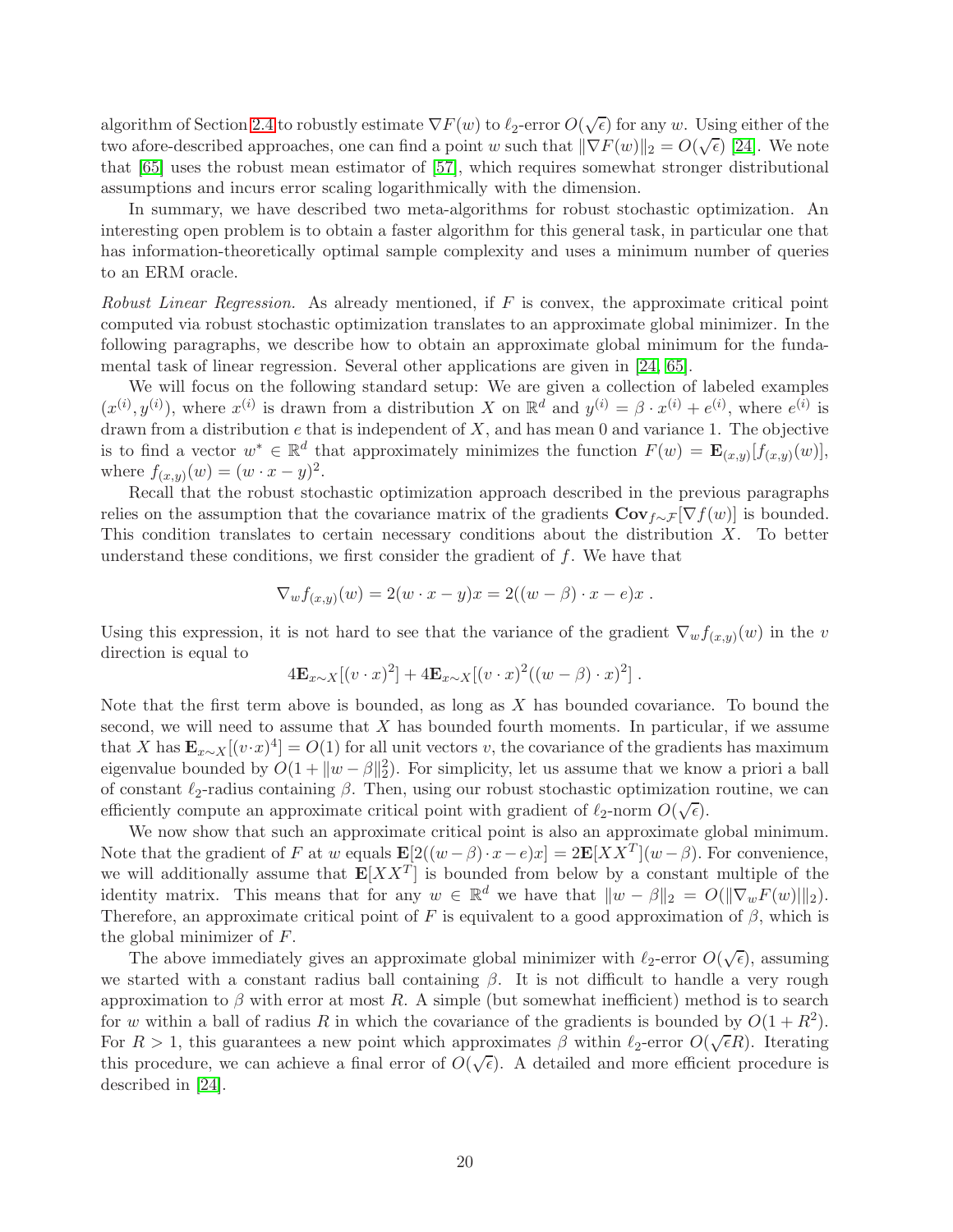algorithm of Section [2.4](#page-11-0) to robustly estimate  $\nabla F(w)$  to  $\ell_2$ -error  $O(\sqrt{\epsilon})$  for any w. Using either of the two afore-described approaches, one can find a point w such that  $\|\nabla F(w)\|_2 = O(\sqrt{\epsilon})$  [\[24\]](#page-34-2). We note that [\[65\]](#page-37-9) uses the robust mean estimator of [\[57\]](#page-36-2), which requires somewhat stronger distributional assumptions and incurs error scaling logarithmically with the dimension.

In summary, we have described two meta-algorithms for robust stochastic optimization. An interesting open problem is to obtain a faster algorithm for this general task, in particular one that has information-theoretically optimal sample complexity and uses a minimum number of queries to an ERM oracle.

Robust Linear Regression. As already mentioned, if  $F$  is convex, the approximate critical point computed via robust stochastic optimization translates to an approximate global minimizer. In the following paragraphs, we describe how to obtain an approximate global minimum for the fundamental task of linear regression. Several other applications are given in [\[24,](#page-34-2) [65\]](#page-37-9).

We will focus on the following standard setup: We are given a collection of labeled examples  $(x^{(i)}, y^{(i)})$ , where  $x^{(i)}$  is drawn from a distribution X on  $\mathbb{R}^d$  and  $y^{(i)} = \beta \cdot x^{(i)} + e^{(i)}$ , where  $e^{(i)}$  is drawn from a distribution  $e$  that is independent of  $X$ , and has mean 0 and variance 1. The objective is to find a vector  $w^* \in \mathbb{R}^d$  that approximately minimizes the function  $F(w) = \mathbf{E}_{(x,y)}[f_{(x,y)}(w)],$ where  $f_{(x,y)}(w) = (w \cdot x - y)^2$ .

Recall that the robust stochastic optimization approach described in the previous paragraphs relies on the assumption that the covariance matrix of the gradients  $\mathbf{Cov}_{f \sim \mathcal{F}}[\nabla f(w)]$  is bounded. This condition translates to certain necessary conditions about the distribution  $X$ . To better understand these conditions, we first consider the gradient of  $f$ . We have that

$$
\nabla_w f_{(x,y)}(w) = 2(w \cdot x - y)x = 2((w - \beta) \cdot x - e)x.
$$

Using this expression, it is not hard to see that the variance of the gradient  $\nabla_w f_{(x,y)}(w)$  in the v direction is equal to

$$
4\mathbf{E}_{x\sim X}[(v\cdot x)^2] + 4\mathbf{E}_{x\sim X}[(v\cdot x)^2((w-\beta)\cdot x)^2].
$$

Note that the first term above is bounded, as long as X has bounded covariance. To bound the second, we will need to assume that  $X$  has bounded fourth moments. In particular, if we assume that X has  $\mathbf{E}_{x \sim X}[(v \cdot x)^4] = O(1)$  for all unit vectors v, the covariance of the gradients has maximum eigenvalue bounded by  $O(1 + \|w - \beta\|_2^2)$ . For simplicity, let us assume that we know a priori a ball of constant  $\ell_2$ -radius containing  $\beta$ . Then, using our robust stochastic optimization routine, we can efficiently compute an approximate critical point with gradient of  $\ell_2$ -norm  $O(\sqrt{\epsilon})$ .

We now show that such an approximate critical point is also an approximate global minimum. Note that the gradient of F at w equals  $\mathbf{E}[2((w - \beta) \cdot x - e)x] = 2\mathbf{E}[XX^T](w - \beta)$ . For convenience, we will additionally assume that  $E[XX^T]$  is bounded from below by a constant multiple of the identity matrix. This means that for any  $w \in \mathbb{R}^d$  we have that  $||w - \beta||_2 = O(||\nabla_w F(w)||_2)$ . Therefore, an approximate critical point of F is equivalent to a good approximation of  $\beta$ , which is the global minimizer of  $F$ .

The above immediately gives an approximate global minimizer with  $\ell_2$ -error  $O(\sqrt{\epsilon})$ , assuming we started with a constant radius ball containing  $\beta$ . It is not difficult to handle a very rough approximation to  $\beta$  with error at most R. A simple (but somewhat inefficient) method is to search for w within a ball of radius R in which the covariance of the gradients is bounded by  $O(1 + R^2)$ . For  $R > 1$ , this guarantees a new point which approximates  $\beta$  within  $\ell_2$ -error  $O(\sqrt{\epsilon}R)$ . Iterating this procedure, we can achieve a final error of  $O(\sqrt{\epsilon})$ . A detailed and more efficient procedure is described in [\[24\]](#page-34-2).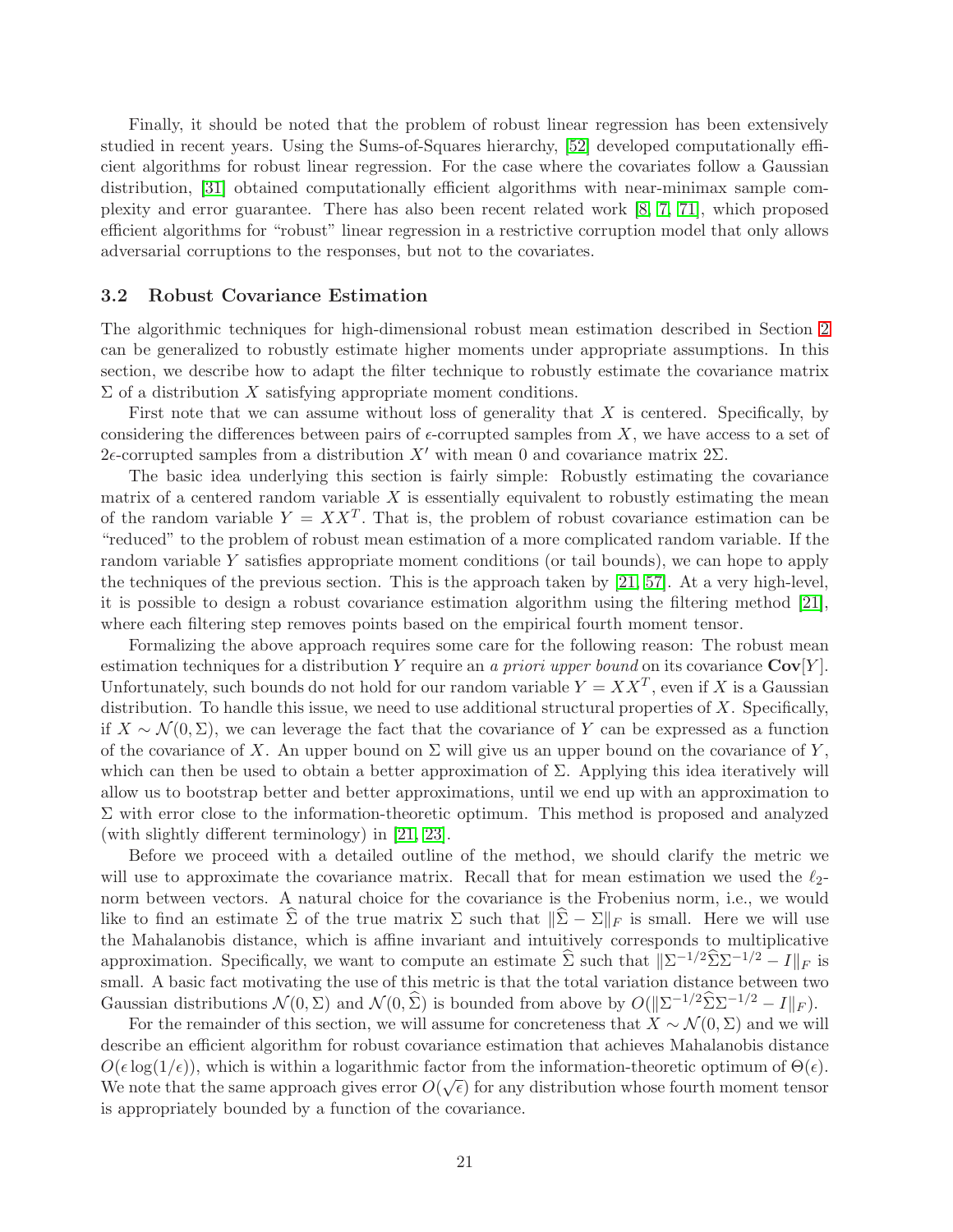Finally, it should be noted that the problem of robust linear regression has been extensively studied in recent years. Using the Sums-of-Squares hierarchy, [\[52\]](#page-36-7) developed computationally efficient algorithms for robust linear regression. For the case where the covariates follow a Gaussian distribution, [\[31\]](#page-35-6) obtained computationally efficient algorithms with near-minimax sample complexity and error guarantee. There has also been recent related work [\[8,](#page-33-7) [7,](#page-33-8) [71\]](#page-37-10), which proposed efficient algorithms for "robust" linear regression in a restrictive corruption model that only allows adversarial corruptions to the responses, but not to the covariates.

#### <span id="page-20-0"></span>3.2 Robust Covariance Estimation

The algorithmic techniques for high-dimensional robust mean estimation described in Section [2](#page-5-0) can be generalized to robustly estimate higher moments under appropriate assumptions. In this section, we describe how to adapt the filter technique to robustly estimate the covariance matrix  $\Sigma$  of a distribution X satisfying appropriate moment conditions.

First note that we can assume without loss of generality that  $X$  is centered. Specifically, by considering the differences between pairs of  $\epsilon$ -corrupted samples from X, we have access to a set of 2 $\epsilon$ -corrupted samples from a distribution X' with mean 0 and covariance matrix  $2\Sigma$ .

The basic idea underlying this section is fairly simple: Robustly estimating the covariance matrix of a centered random variable  $X$  is essentially equivalent to robustly estimating the mean of the random variable  $Y = XX<sup>T</sup>$ . That is, the problem of robust covariance estimation can be "reduced" to the problem of robust mean estimation of a more complicated random variable. If the random variable Y satisfies appropriate moment conditions (or tail bounds), we can hope to apply the techniques of the previous section. This is the approach taken by [\[21,](#page-34-0) [57\]](#page-36-2). At a very high-level, it is possible to design a robust covariance estimation algorithm using the filtering method [\[21\]](#page-34-0), where each filtering step removes points based on the empirical fourth moment tensor.

Formalizing the above approach requires some care for the following reason: The robust mean estimation techniques for a distribution Y require an a priori upper bound on its covariance  $\text{Cov}[Y]$ . Unfortunately, such bounds do not hold for our random variable  $Y = XX^T$ , even if X is a Gaussian distribution. To handle this issue, we need to use additional structural properties of  $X$ . Specifically, if  $X \sim \mathcal{N}(0, \Sigma)$ , we can leverage the fact that the covariance of Y can be expressed as a function of the covariance of X. An upper bound on  $\Sigma$  will give us an upper bound on the covariance of Y. which can then be used to obtain a better approximation of  $\Sigma$ . Applying this idea iteratively will allow us to bootstrap better and better approximations, until we end up with an approximation to  $\Sigma$  with error close to the information-theoretic optimum. This method is proposed and analyzed (with slightly different terminology) in [\[21,](#page-34-0) [23\]](#page-34-4).

Before we proceed with a detailed outline of the method, we should clarify the metric we will use to approximate the covariance matrix. Recall that for mean estimation we used the  $\ell_2$ norm between vectors. A natural choice for the covariance is the Frobenius norm, i.e., we would like to find an estimate  $\hat{\Sigma}$  of the true matrix  $\Sigma$  such that  $\|\hat{\Sigma} - \Sigma\|_F$  is small. Here we will use the Mahalanobis distance, which is affine invariant and intuitively corresponds to multiplicative approximation. Specifically, we want to compute an estimate  $\hat{\Sigma}$  such that  $\|\Sigma^{-1/2}\hat{\Sigma}\Sigma^{-1/2} - I\|_F$  is small. A basic fact motivating the use of this metric is that the total variation distance between two Gaussian distributions  $\mathcal{N}(0, \Sigma)$  and  $\mathcal{N}(0, \widehat{\Sigma})$  is bounded from above by  $O(\|\Sigma^{-1/2}\widehat{\Sigma}\Sigma^{-1/2} - I\|_F)$ .

For the remainder of this section, we will assume for concreteness that  $X \sim \mathcal{N}(0, \Sigma)$  and we will describe an efficient algorithm for robust covariance estimation that achieves Mahalanobis distance  $O(\epsilon \log(1/\epsilon))$ , which is within a logarithmic factor from the information-theoretic optimum of  $\Theta(\epsilon)$ . We note that the same approach gives error  $O(\sqrt{\epsilon})$  for any distribution whose fourth moment tensor is appropriately bounded by a function of the covariance.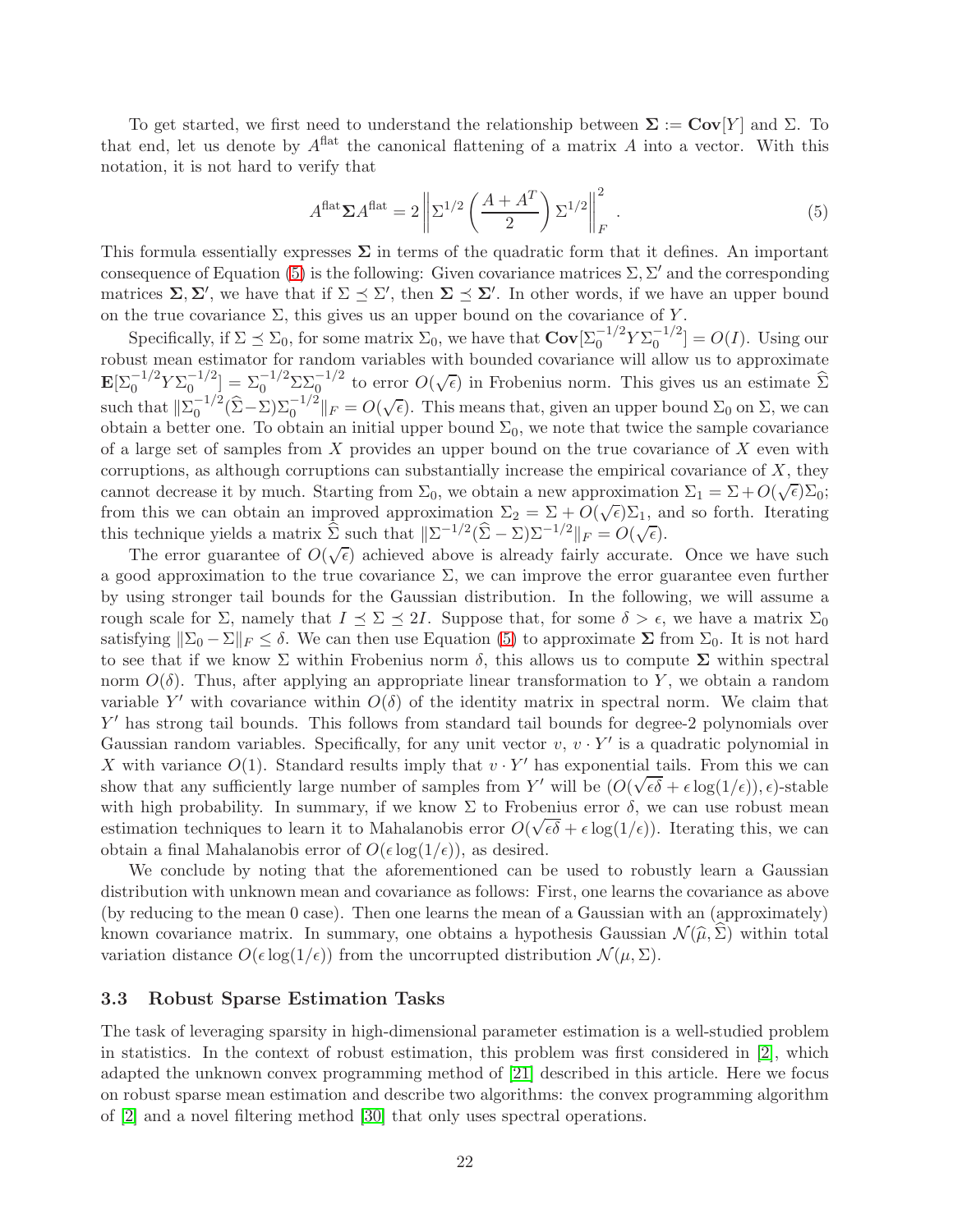To get started, we first need to understand the relationship between  $\Sigma := \mathbf{Cov}[Y]$  and  $\Sigma$ . To that end, let us denote by  $A^{\text{flat}}$  the canonical flattening of a matrix A into a vector. With this notation, it is not hard to verify that

<span id="page-21-0"></span>
$$
A^{\text{flat}} \Sigma A^{\text{flat}} = 2 \left\| \Sigma^{1/2} \left( \frac{A + A^T}{2} \right) \Sigma^{1/2} \right\|_F^2 \,. \tag{5}
$$

This formula essentially expresses  $\Sigma$  in terms of the quadratic form that it defines. An important consequence of Equation [\(5\)](#page-21-0) is the following: Given covariance matrices  $\Sigma$ ,  $\Sigma'$  and the corresponding matrices  $\Sigma, \Sigma'$ , we have that if  $\Sigma \preceq \Sigma'$ , then  $\Sigma \preceq \Sigma'$ . In other words, if we have an upper bound on the true covariance  $\Sigma$ , this gives us an upper bound on the covariance of Y.

Specifically, if  $\Sigma \preceq \Sigma_0$ , for some matrix  $\Sigma_0$ , we have that  $\text{Cov}[\Sigma_0^{-1/2} Y \Sigma_0^{-1/2}] = O(I)$ . Using our robust mean estimator for random variables with bounded covariance will allow us to approximate  $\mathbf{E}[\Sigma_0^{-1/2} Y \Sigma_0^{-1/2}] = \Sigma_0^{-1/2} \Sigma_2^{-1/2}$  to error  $O(\sqrt{\epsilon})$  in Frobenius norm. This gives us an estimate  $\widehat{\Sigma}$ such that  $\|\Sigma_0^{-1/2}(\hat{\Sigma} - \Sigma)\Sigma_0^{-1/2}\|_F = O(\sqrt{\epsilon})$ . This means that, given an upper bound  $\Sigma_0$  on  $\Sigma$ , we can obtain a better one. To obtain an initial upper bound  $\Sigma_0$ , we note that twice the sample covariance of a large set of samples from X provides an upper bound on the true covariance of X even with corruptions, as although corruptions can substantially increase the empirical covariance of  $X$ , they cannot decrease it by much. Starting from  $\Sigma_0$ , we obtain a new approximation  $\Sigma_1 = \Sigma + O(\sqrt{\epsilon})\Sigma_0$ ; from this we can obtain an improved approximation  $\Sigma_2 = \Sigma + O(\sqrt{\epsilon})\Sigma_1$ , and so forth. Iterating this technique yields a matrix  $\hat{\Sigma}$  such that  $\|\Sigma^{-1/2}(\hat{\Sigma} - \Sigma)\Sigma^{-1/2}\|_F = O(\sqrt{\epsilon}).$ 

The error guarantee of  $O(\sqrt{\epsilon})$  achieved above is already fairly accurate. Once we have such a good approximation to the true covariance  $\Sigma$ , we can improve the error guarantee even further by using stronger tail bounds for the Gaussian distribution. In the following, we will assume a rough scale for  $\Sigma$ , namely that  $I \leq \Sigma \leq 2I$ . Suppose that, for some  $\delta > \epsilon$ , we have a matrix  $\Sigma_0$ satisfying  $\|\Sigma_0 - \Sigma\|_F \leq \delta$ . We can then use Equation [\(5\)](#page-21-0) to approximate  $\Sigma$  from  $\Sigma_0$ . It is not hard to see that if we know  $\Sigma$  within Frobenius norm  $\delta$ , this allows us to compute  $\Sigma$  within spectral norm  $O(\delta)$ . Thus, after applying an appropriate linear transformation to Y, we obtain a random variable Y' with covariance within  $O(\delta)$  of the identity matrix in spectral norm. We claim that Y ′ has strong tail bounds. This follows from standard tail bounds for degree-2 polynomials over Gaussian random variables. Specifically, for any unit vector  $v, v \cdot Y'$  is a quadratic polynomial in X with variance  $O(1)$ . Standard results imply that  $v \cdot Y'$  has exponential tails. From this we can show that any sufficiently large number of samples from Y' will be  $(O(\sqrt{\epsilon\delta} + \epsilon \log(1/\epsilon)), \epsilon)$ -stable with high probability. In summary, if we know  $\Sigma$  to Frobenius error  $\delta$ , we can use robust mean estimation techniques to learn it to Mahalanobis error  $O(\sqrt{\epsilon\delta} + \epsilon \log(1/\epsilon))$ . Iterating this, we can obtain a final Mahalanobis error of  $O(\epsilon \log(1/\epsilon))$ , as desired.

We conclude by noting that the aforementioned can be used to robustly learn a Gaussian distribution with unknown mean and covariance as follows: First, one learns the covariance as above (by reducing to the mean 0 case). Then one learns the mean of a Gaussian with an (approximately) known covariance matrix. In summary, one obtains a hypothesis Gaussian  $\mathcal{N}(\widehat{\mu},\widehat{\Sigma})$  within total variation distance  $O(\epsilon \log(1/\epsilon))$  from the uncorrupted distribution  $\mathcal{N}(\mu, \Sigma)$ .

#### 3.3 Robust Sparse Estimation Tasks

The task of leveraging sparsity in high-dimensional parameter estimation is a well-studied problem in statistics. In the context of robust estimation, this problem was first considered in [\[2\]](#page-33-9), which adapted the unknown convex programming method of [\[21\]](#page-34-0) described in this article. Here we focus on robust sparse mean estimation and describe two algorithms: the convex programming algorithm of [\[2\]](#page-33-9) and a novel filtering method [\[30\]](#page-35-7) that only uses spectral operations.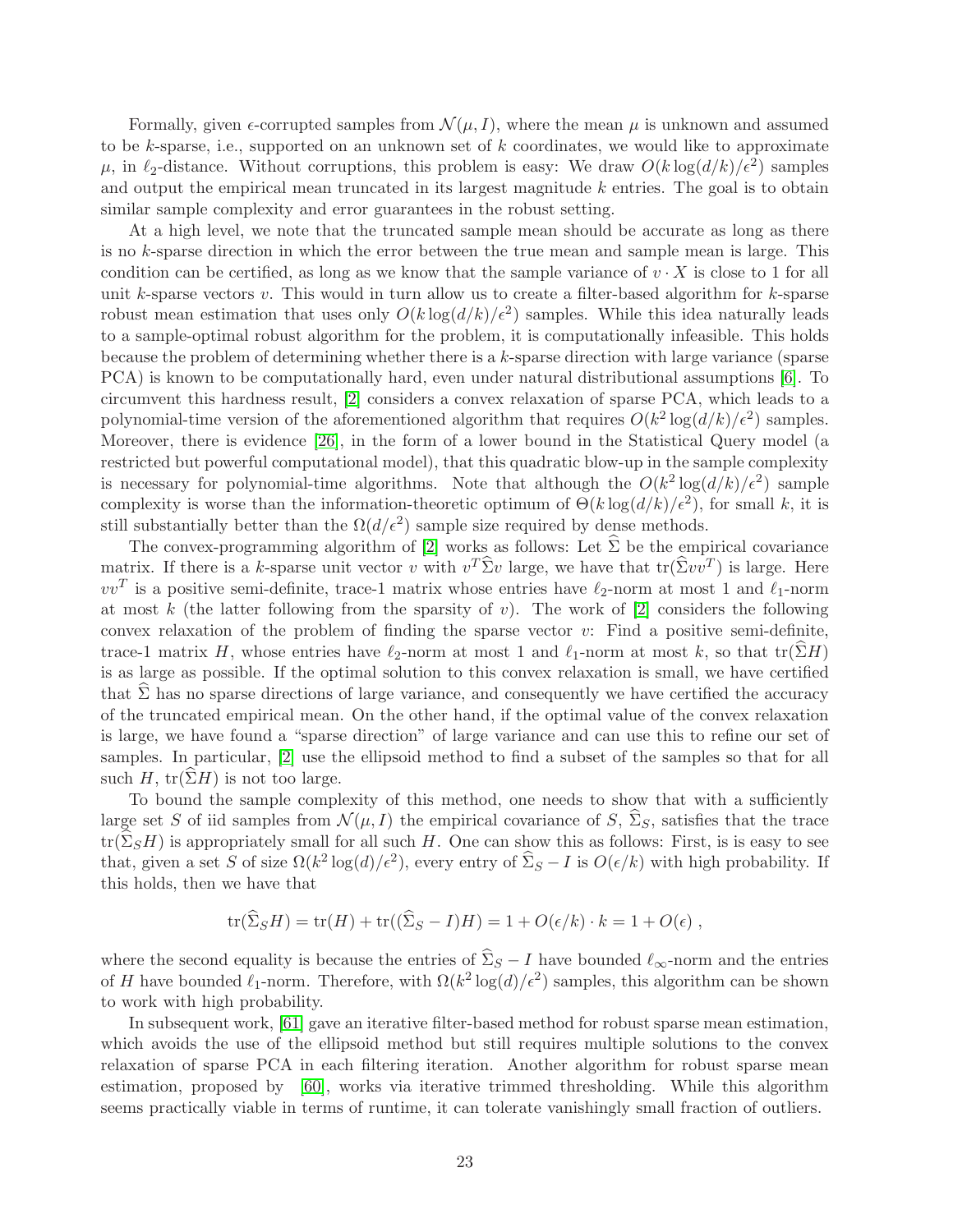Formally, given  $\epsilon$ -corrupted samples from  $\mathcal{N}(\mu, I)$ , where the mean  $\mu$  is unknown and assumed to be k-sparse, i.e., supported on an unknown set of  $k$  coordinates, we would like to approximate  $\mu$ , in  $\ell_2$ -distance. Without corruptions, this problem is easy: We draw  $O(k \log(d/k)/\epsilon^2)$  samples and output the empirical mean truncated in its largest magnitude  $k$  entries. The goal is to obtain similar sample complexity and error guarantees in the robust setting.

At a high level, we note that the truncated sample mean should be accurate as long as there is no k-sparse direction in which the error between the true mean and sample mean is large. This condition can be certified, as long as we know that the sample variance of  $v \cdot X$  is close to 1 for all unit k-sparse vectors v. This would in turn allow us to create a filter-based algorithm for k-sparse robust mean estimation that uses only  $O(k \log(d/k)/\epsilon^2)$  samples. While this idea naturally leads to a sample-optimal robust algorithm for the problem, it is computationally infeasible. This holds because the problem of determining whether there is a k-sparse direction with large variance (sparse PCA) is known to be computationally hard, even under natural distributional assumptions [\[6\]](#page-33-10). To circumvent this hardness result, [\[2\]](#page-33-9) considers a convex relaxation of sparse PCA, which leads to a polynomial-time version of the aforementioned algorithm that requires  $O(k^2 \log(d/k)/\epsilon^2)$  samples. Moreover, there is evidence [\[26\]](#page-34-5), in the form of a lower bound in the Statistical Query model (a restricted but powerful computational model), that this quadratic blow-up in the sample complexity is necessary for polynomial-time algorithms. Note that although the  $O(k^2 \log(d/k)/\epsilon^2)$  sample complexity is worse than the information-theoretic optimum of  $\Theta(k \log(d/k)/\epsilon^2)$ , for small k, it is still substantially better than the  $\Omega(d/\epsilon^2)$  sample size required by dense methods.

The convex-programming algorithm of [\[2\]](#page-33-9) works as follows: Let  $\hat{\Sigma}$  be the empirical covariance matrix. If there is a k-sparse unit vector v with  $v^T \hat{\Sigma} v$  large, we have that  $tr(\hat{\Sigma} vv^T)$  is large. Here  $vv<sup>T</sup>$  is a positive semi-definite, trace-1 matrix whose entries have  $\ell_2$ -norm at most 1 and  $\ell_1$ -norm at most k (the latter following from the sparsity of v). The work of [\[2\]](#page-33-9) considers the following convex relaxation of the problem of finding the sparse vector  $v$ : Find a positive semi-definite, trace-1 matrix H, whose entries have  $\ell_2$ -norm at most 1 and  $\ell_1$ -norm at most k, so that tr( $\Sigma H$ ) is as large as possible. If the optimal solution to this convex relaxation is small, we have certified that  $\hat{\Sigma}$  has no sparse directions of large variance, and consequently we have certified the accuracy of the truncated empirical mean. On the other hand, if the optimal value of the convex relaxation is large, we have found a "sparse direction" of large variance and can use this to refine our set of samples. In particular, [\[2\]](#page-33-9) use the ellipsoid method to find a subset of the samples so that for all such H, tr( $\Sigma H$ ) is not too large.

To bound the sample complexity of this method, one needs to show that with a sufficiently large set S of iid samples from  $\mathcal{N}(\mu, I)$  the empirical covariance of S,  $\hat{\Sigma}_{S}$ , satisfies that the trace  $\text{tr}(\widehat{\Sigma}_S H)$  is appropriately small for all such H. One can show this as follows: First, is is easy to see that, given a set S of size  $\Omega(k^2 \log(d)/\epsilon^2)$ , every entry of  $\hat{\Sigma}_S - I$  is  $O(\epsilon/k)$  with high probability. If this holds, then we have that

$$
\operatorname{tr}(\widehat{\Sigma}_S H) = \operatorname{tr}(H) + \operatorname{tr}((\widehat{\Sigma}_S - I)H) = 1 + O(\epsilon/k) \cdot k = 1 + O(\epsilon) ,
$$

where the second equality is because the entries of  $\widehat{\Sigma}_S - I$  have bounded  $\ell_{\infty}$ -norm and the entries of H have bounded  $\ell_1$ -norm. Therefore, with  $\Omega(k^2 \log(d)/\epsilon^2)$  samples, this algorithm can be shown to work with high probability.

In subsequent work, [\[61\]](#page-36-8) gave an iterative filter-based method for robust sparse mean estimation, which avoids the use of the ellipsoid method but still requires multiple solutions to the convex relaxation of sparse PCA in each filtering iteration. Another algorithm for robust sparse mean estimation, proposed by [\[60\]](#page-36-9), works via iterative trimmed thresholding. While this algorithm seems practically viable in terms of runtime, it can tolerate vanishingly small fraction of outliers.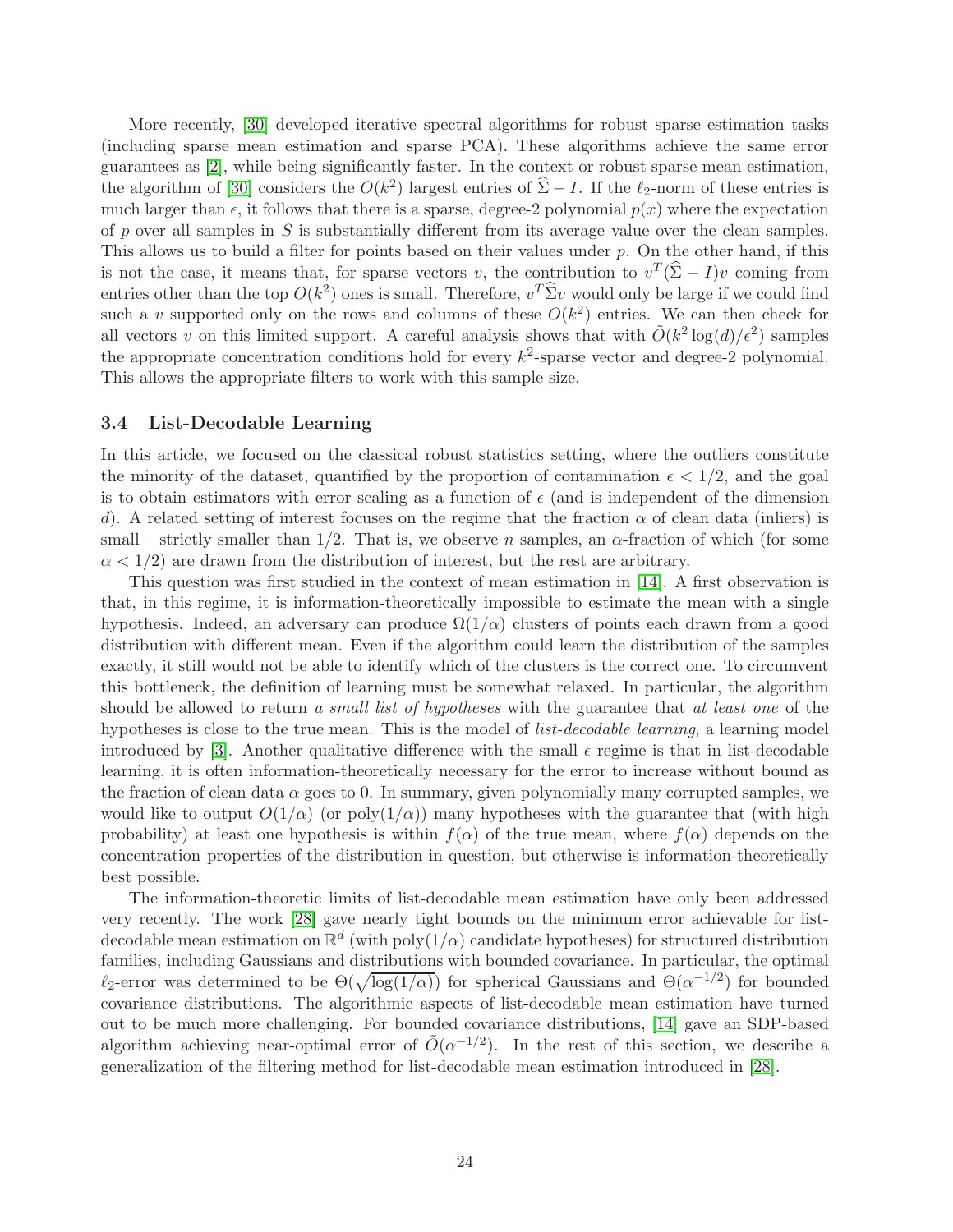More recently, [\[30\]](#page-35-7) developed iterative spectral algorithms for robust sparse estimation tasks (including sparse mean estimation and sparse PCA). These algorithms achieve the same error guarantees as [\[2\]](#page-33-9), while being significantly faster. In the context or robust sparse mean estimation, the algorithm of [\[30\]](#page-35-7) considers the  $O(k^2)$  largest entries of  $\hat{\Sigma} - I$ . If the  $\ell_2$ -norm of these entries is much larger than  $\epsilon$ , it follows that there is a sparse, degree-2 polynomial  $p(x)$  where the expectation of  $p$  over all samples in  $S$  is substantially different from its average value over the clean samples. This allows us to build a filter for points based on their values under  $p$ . On the other hand, if this is not the case, it means that, for sparse vectors v, the contribution to  $v^T(\hat{\Sigma} - I)v$  coming from entries other than the top  $O(k^2)$  ones is small. Therefore,  $v^T \hat{\Sigma} v$  would only be large if we could find such a v supported only on the rows and columns of these  $O(k^2)$  entries. We can then check for all vectors v on this limited support. A careful analysis shows that with  $\tilde{O}(k^2 \log(d)/\epsilon^2)$  samples the appropriate concentration conditions hold for every  $k^2$ -sparse vector and degree-2 polynomial. This allows the appropriate filters to work with this sample size.

#### <span id="page-23-0"></span>3.4 List-Decodable Learning

In this article, we focused on the classical robust statistics setting, where the outliers constitute the minority of the dataset, quantified by the proportion of contamination  $\epsilon < 1/2$ , and the goal is to obtain estimators with error scaling as a function of  $\epsilon$  (and is independent of the dimension d). A related setting of interest focuses on the regime that the fraction  $\alpha$  of clean data (inliers) is small – strictly smaller than  $1/2$ . That is, we observe n samples, an  $\alpha$ -fraction of which (for some  $\alpha < 1/2$ ) are drawn from the distribution of interest, but the rest are arbitrary.

This question was first studied in the context of mean estimation in [\[14\]](#page-33-6). A first observation is that, in this regime, it is information-theoretically impossible to estimate the mean with a single hypothesis. Indeed, an adversary can produce  $\Omega(1/\alpha)$  clusters of points each drawn from a good distribution with different mean. Even if the algorithm could learn the distribution of the samples exactly, it still would not be able to identify which of the clusters is the correct one. To circumvent this bottleneck, the definition of learning must be somewhat relaxed. In particular, the algorithm should be allowed to return a small list of hypotheses with the guarantee that at least one of the hypotheses is close to the true mean. This is the model of *list-decodable learning*, a learning model introduced by [\[3\]](#page-33-11). Another qualitative difference with the small  $\epsilon$  regime is that in list-decodable learning, it is often information-theoretically necessary for the error to increase without bound as the fraction of clean data  $\alpha$  goes to 0. In summary, given polynomially many corrupted samples, we would like to output  $O(1/\alpha)$  (or poly $(1/\alpha)$ ) many hypotheses with the guarantee that (with high probability) at least one hypothesis is within  $f(\alpha)$  of the true mean, where  $f(\alpha)$  depends on the concentration properties of the distribution in question, but otherwise is information-theoretically best possible.

The information-theoretic limits of list-decodable mean estimation have only been addressed very recently. The work [\[28\]](#page-34-7) gave nearly tight bounds on the minimum error achievable for listdecodable mean estimation on  $\mathbb{R}^d$  (with poly $(1/\alpha)$  candidate hypotheses) for structured distribution families, including Gaussians and distributions with bounded covariance. In particular, the optimal  $\ell_2$ -error was determined to be  $\Theta(\sqrt{\log(1/\alpha)})$  for spherical Gaussians and  $\Theta(\alpha^{-1/2})$  for bounded covariance distributions. The algorithmic aspects of list-decodable mean estimation have turned out to be much more challenging. For bounded covariance distributions, [\[14\]](#page-33-6) gave an SDP-based algorithm achieving near-optimal error of  $\tilde{O}(\alpha^{-1/2})$ . In the rest of this section, we describe a generalization of the filtering method for list-decodable mean estimation introduced in [\[28\]](#page-34-7).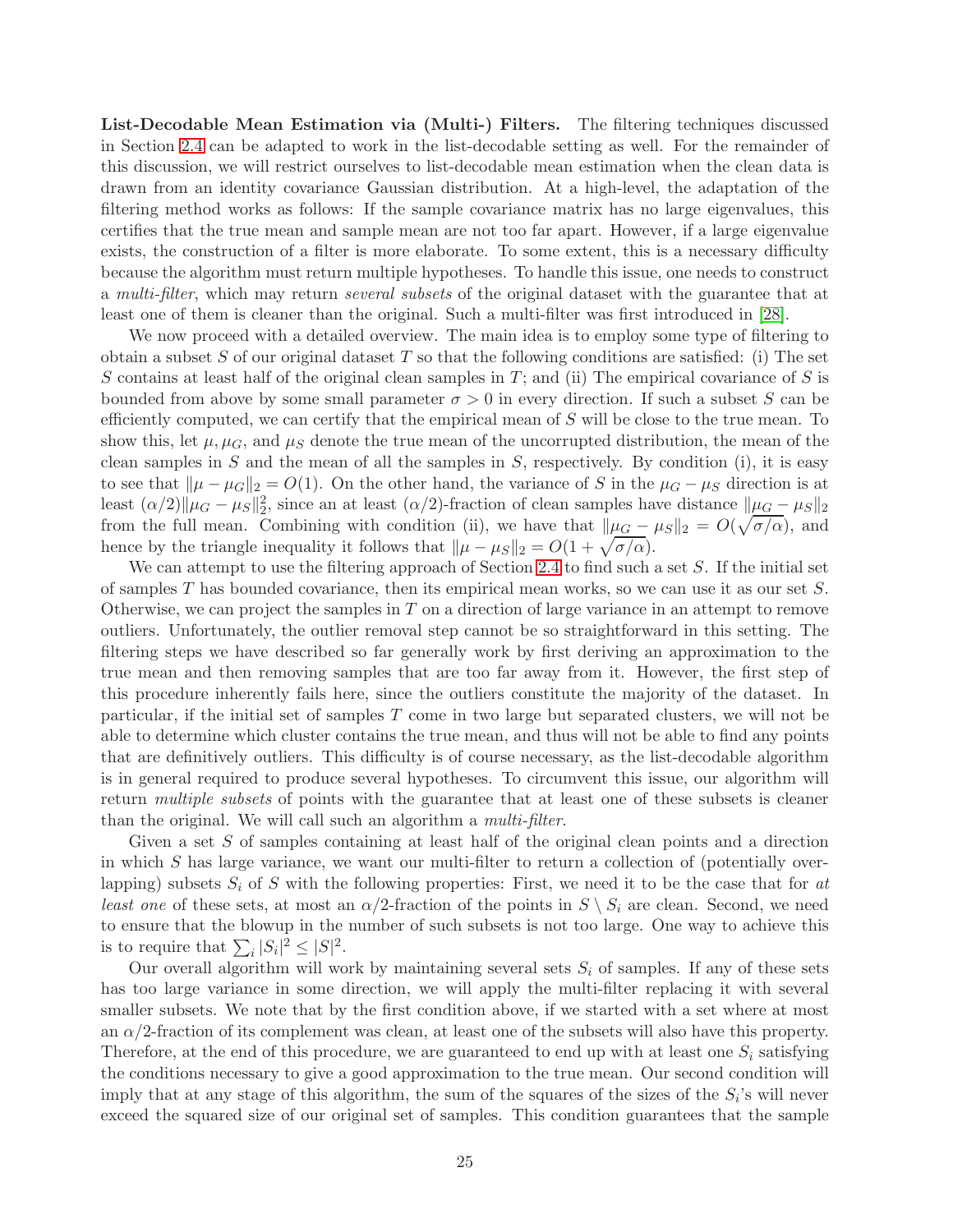List-Decodable Mean Estimation via (Multi-) Filters. The filtering techniques discussed in Section [2.4](#page-11-0) can be adapted to work in the list-decodable setting as well. For the remainder of this discussion, we will restrict ourselves to list-decodable mean estimation when the clean data is drawn from an identity covariance Gaussian distribution. At a high-level, the adaptation of the filtering method works as follows: If the sample covariance matrix has no large eigenvalues, this certifies that the true mean and sample mean are not too far apart. However, if a large eigenvalue exists, the construction of a filter is more elaborate. To some extent, this is a necessary difficulty because the algorithm must return multiple hypotheses. To handle this issue, one needs to construct a *multi-filter*, which may return *several subsets* of the original dataset with the guarantee that at least one of them is cleaner than the original. Such a multi-filter was first introduced in [\[28\]](#page-34-7).

We now proceed with a detailed overview. The main idea is to employ some type of filtering to obtain a subset S of our original dataset T so that the following conditions are satisfied: (i) The set S contains at least half of the original clean samples in  $T$ ; and (ii) The empirical covariance of S is bounded from above by some small parameter  $\sigma > 0$  in every direction. If such a subset S can be efficiently computed, we can certify that the empirical mean of  $S$  will be close to the true mean. To show this, let  $\mu, \mu_G$ , and  $\mu_S$  denote the true mean of the uncorrupted distribution, the mean of the clean samples in S and the mean of all the samples in S, respectively. By condition (i), it is easy to see that  $\|\mu - \mu_G\|_2 = O(1)$ . On the other hand, the variance of S in the  $\mu_G - \mu_S$  direction is at least  $(\alpha/2) \|\mu_G - \mu_S\|_2^2$ , since an at least  $(\alpha/2)$ -fraction of clean samples have distance  $\|\mu_G - \mu_S\|_2$ from the full mean. Combining with condition (ii), we have that  $\|\mu_G - \mu_S\|_2 = O(\sqrt{\sigma/\alpha})$ , and hence by the triangle inequality it follows that  $\|\mu - \mu_S\|_2 = O(1 + \sqrt{\sigma/\alpha}).$ 

We can attempt to use the filtering approach of Section [2.4](#page-11-0) to find such a set S. If the initial set of samples T has bounded covariance, then its empirical mean works, so we can use it as our set S. Otherwise, we can project the samples in  $T$  on a direction of large variance in an attempt to remove outliers. Unfortunately, the outlier removal step cannot be so straightforward in this setting. The filtering steps we have described so far generally work by first deriving an approximation to the true mean and then removing samples that are too far away from it. However, the first step of this procedure inherently fails here, since the outliers constitute the majority of the dataset. In particular, if the initial set of samples  $T$  come in two large but separated clusters, we will not be able to determine which cluster contains the true mean, and thus will not be able to find any points that are definitively outliers. This difficulty is of course necessary, as the list-decodable algorithm is in general required to produce several hypotheses. To circumvent this issue, our algorithm will return *multiple subsets* of points with the guarantee that at least one of these subsets is cleaner than the original. We will call such an algorithm a *multi-filter*.

Given a set  $S$  of samples containing at least half of the original clean points and a direction in which  $S$  has large variance, we want our multi-filter to return a collection of (potentially overlapping) subsets  $S_i$  of S with the following properties: First, we need it to be the case that for at *least one* of these sets, at most an  $\alpha/2$ -fraction of the points in  $S \setminus S_i$  are clean. Second, we need to ensure that the blowup in the number of such subsets is not too large. One way to achieve this is to require that  $\sum_i |S_i|^2 \leq |S|^2$ .

Our overall algorithm will work by maintaining several sets  $S_i$  of samples. If any of these sets has too large variance in some direction, we will apply the multi-filter replacing it with several smaller subsets. We note that by the first condition above, if we started with a set where at most an  $\alpha/2$ -fraction of its complement was clean, at least one of the subsets will also have this property. Therefore, at the end of this procedure, we are guaranteed to end up with at least one  $S_i$  satisfying the conditions necessary to give a good approximation to the true mean. Our second condition will imply that at any stage of this algorithm, the sum of the squares of the sizes of the  $S_i$ 's will never exceed the squared size of our original set of samples. This condition guarantees that the sample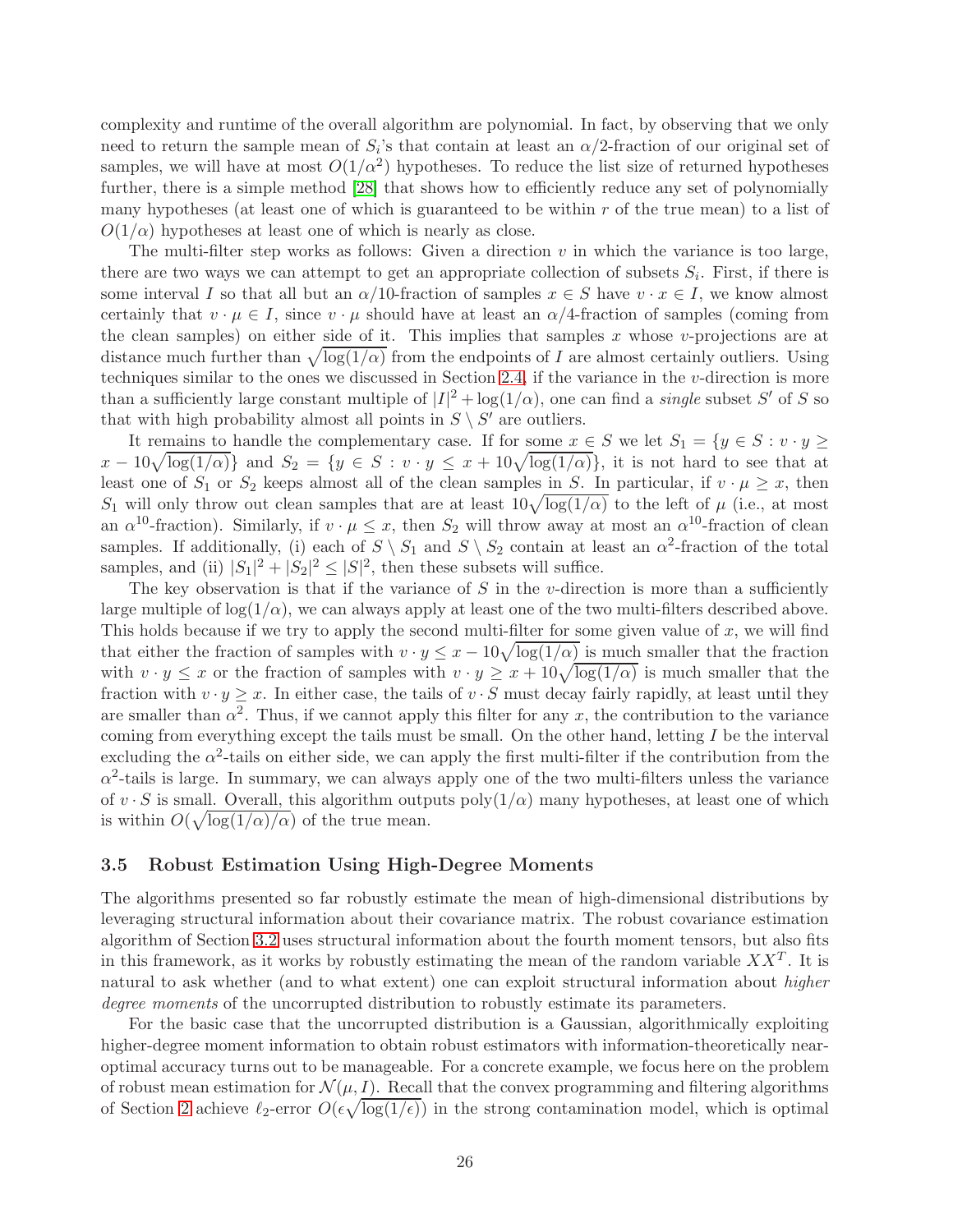complexity and runtime of the overall algorithm are polynomial. In fact, by observing that we only need to return the sample mean of  $S_i$ 's that contain at least an  $\alpha/2$ -fraction of our original set of samples, we will have at most  $O(1/\alpha^2)$  hypotheses. To reduce the list size of returned hypotheses further, there is a simple method [\[28\]](#page-34-7) that shows how to efficiently reduce any set of polynomially many hypotheses (at least one of which is guaranteed to be within  $r$  of the true mean) to a list of  $O(1/\alpha)$  hypotheses at least one of which is nearly as close.

The multi-filter step works as follows: Given a direction  $v$  in which the variance is too large, there are two ways we can attempt to get an appropriate collection of subsets  $S_i$ . First, if there is some interval I so that all but an  $\alpha/10$ -fraction of samples  $x \in S$  have  $v \cdot x \in I$ , we know almost certainly that  $v \cdot \mu \in I$ , since  $v \cdot \mu$  should have at least an  $\alpha/4$ -fraction of samples (coming from the clean samples) on either side of it. This implies that samples x whose v-projections are at distance much further than  $\sqrt{\log(1/\alpha)}$  from the endpoints of I are almost certainly outliers. Using techniques similar to the ones we discussed in Section [2.4,](#page-11-0) if the variance in the v-direction is more than a sufficiently large constant multiple of  $|I|^2 + \log(1/\alpha)$ , one can find a *single* subset S' of S so that with high probability almost all points in  $S \setminus S'$  are outliers.

It remains to handle the complementary case. If for some  $x \in S$  we let  $S_1 = \{y \in S : v \cdot y \geq 0\}$  $x - 10\sqrt{\log(1/\alpha)}\}$  and  $S_2 = \{y \in S : v \cdot y \leq x + 10\sqrt{\log(1/\alpha)}\}\$ , it is not hard to see that at least one of  $S_1$  or  $S_2$  keeps almost all of the clean samples in S. In particular, if  $v \cdot \mu \geq x$ , then S<sub>1</sub> will only throw out clean samples that are at least  $10\sqrt{\log(1/\alpha)}$  to the left of  $\mu$  (i.e., at most an  $\alpha^{10}$ -fraction). Similarly, if  $v \cdot \mu \leq x$ , then  $S_2$  will throw away at most an  $\alpha^{10}$ -fraction of clean samples. If additionally, (i) each of  $S \setminus S_1$  and  $S \setminus S_2$  contain at least an  $\alpha^2$ -fraction of the total samples, and (ii)  $|S_1|^2 + |S_2|^2 \le |S|^2$ , then these subsets will suffice.

The key observation is that if the variance of  $S$  in the v-direction is more than a sufficiently large multiple of  $\log(1/\alpha)$ , we can always apply at least one of the two multi-filters described above. This holds because if we try to apply the second multi-filter for some given value of x, we will find that either the fraction of samples with  $v \cdot y \leq x - 10\sqrt{\log(1/\alpha)}$  is much smaller that the fraction with  $v \cdot y \leq x$  or the fraction of samples with  $v \cdot y \geq x + 10\sqrt{\log(1/\alpha)}$  is much smaller that the fraction with  $v \cdot y \geq x$ . In either case, the tails of  $v \cdot S$  must decay fairly rapidly, at least until they are smaller than  $\alpha^2$ . Thus, if we cannot apply this filter for any x, the contribution to the variance coming from everything except the tails must be small. On the other hand, letting I be the interval excluding the  $\alpha^2$ -tails on either side, we can apply the first multi-filter if the contribution from the  $\alpha^2$ -tails is large. In summary, we can always apply one of the two multi-filters unless the variance of  $v \cdot S$  is small. Overall, this algorithm outputs poly $(1/\alpha)$  many hypotheses, at least one of which is within  $O(\sqrt{\log(1/\alpha)/\alpha})$  of the true mean.

### 3.5 Robust Estimation Using High-Degree Moments

The algorithms presented so far robustly estimate the mean of high-dimensional distributions by leveraging structural information about their covariance matrix. The robust covariance estimation algorithm of Section [3.2](#page-20-0) uses structural information about the fourth moment tensors, but also fits in this framework, as it works by robustly estimating the mean of the random variable  $XX<sup>T</sup>$ . It is natural to ask whether (and to what extent) one can exploit structural information about *higher* degree moments of the uncorrupted distribution to robustly estimate its parameters.

For the basic case that the uncorrupted distribution is a Gaussian, algorithmically exploiting higher-degree moment information to obtain robust estimators with information-theoretically nearoptimal accuracy turns out to be manageable. For a concrete example, we focus here on the problem of robust mean estimation for  $\mathcal{N}(\mu, I)$ . Recall that the convex programming and filtering algorithms of Section [2](#page-5-0) achieve  $\ell_2$ -error  $O(\epsilon \sqrt{\log(1/\epsilon)})$  in the strong contamination model, which is optimal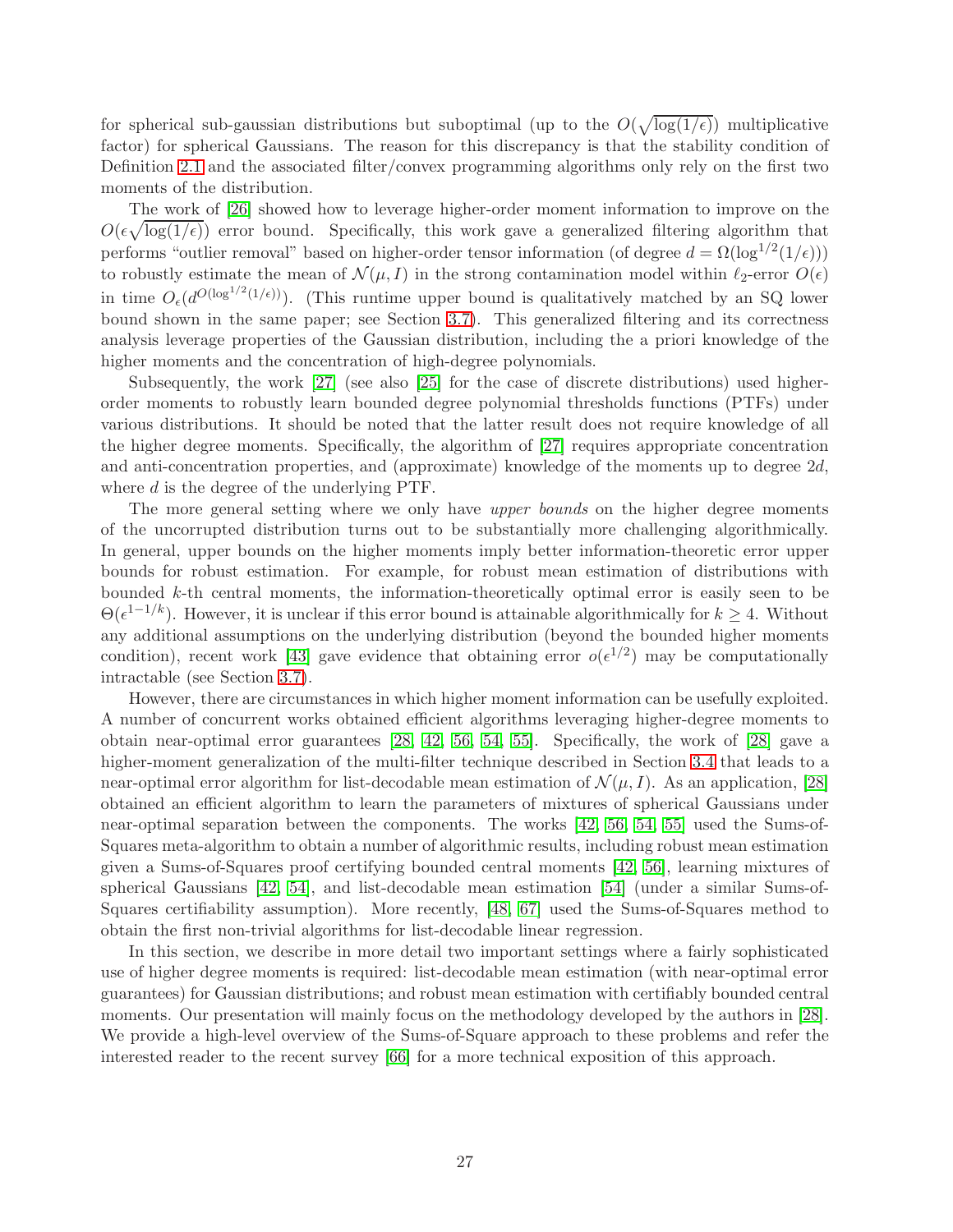for spherical sub-gaussian distributions but suboptimal (up to the  $O(\sqrt{\log(1/\epsilon)})$  multiplicative factor) for spherical Gaussians. The reason for this discrepancy is that the stability condition of Definition [2.1](#page-7-0) and the associated filter/convex programming algorithms only rely on the first two moments of the distribution.

The work of [\[26\]](#page-34-5) showed how to leverage higher-order moment information to improve on the  $O(\epsilon \sqrt{\log(1/\epsilon)})$  error bound. Specifically, this work gave a generalized filtering algorithm that performs "outlier removal" based on higher-order tensor information (of degree  $d = \Omega(\log^{1/2}(1/\epsilon))$ ) to robustly estimate the mean of  $\mathcal{N}(\mu, I)$  in the strong contamination model within  $\ell_2$ -error  $O(\epsilon)$ in time  $O_{\epsilon}(d^{O(\log^{1/2}(1/\epsilon))})$ . (This runtime upper bound is qualitatively matched by an SQ lower bound shown in the same paper; see Section [3.7\)](#page-30-0). This generalized filtering and its correctness analysis leverage properties of the Gaussian distribution, including the a priori knowledge of the higher moments and the concentration of high-degree polynomials.

Subsequently, the work [\[27\]](#page-34-8) (see also [\[25\]](#page-34-9) for the case of discrete distributions) used higherorder moments to robustly learn bounded degree polynomial thresholds functions (PTFs) under various distributions. It should be noted that the latter result does not require knowledge of all the higher degree moments. Specifically, the algorithm of [\[27\]](#page-34-8) requires appropriate concentration and anti-concentration properties, and (approximate) knowledge of the moments up to degree 2d, where  $d$  is the degree of the underlying PTF.

The more general setting where we only have upper bounds on the higher degree moments of the uncorrupted distribution turns out to be substantially more challenging algorithmically. In general, upper bounds on the higher moments imply better information-theoretic error upper bounds for robust estimation. For example, for robust mean estimation of distributions with bounded  $k$ -th central moments, the information-theoretically optimal error is easily seen to be  $\Theta(\epsilon^{1-1/k})$ . However, it is unclear if this error bound is attainable algorithmically for  $k \geq 4$ . Without any additional assumptions on the underlying distribution (beyond the bounded higher moments condition), recent work [\[43\]](#page-35-8) gave evidence that obtaining error  $o(\epsilon^{1/2})$  may be computationally intractable (see Section [3.7\)](#page-30-0).

However, there are circumstances in which higher moment information can be usefully exploited. A number of concurrent works obtained efficient algorithms leveraging higher-degree moments to obtain near-optimal error guarantees [\[28,](#page-34-7) [42,](#page-35-9) [56,](#page-36-10) [54,](#page-36-11) [55\]](#page-36-12). Specifically, the work of [\[28\]](#page-34-7) gave a higher-moment generalization of the multi-filter technique described in Section [3.4](#page-23-0) that leads to a near-optimal error algorithm for list-decodable mean estimation of  $\mathcal{N}(\mu, I)$ . As an application, [\[28\]](#page-34-7) obtained an efficient algorithm to learn the parameters of mixtures of spherical Gaussians under near-optimal separation between the components. The works [\[42,](#page-35-9) [56,](#page-36-10) [54,](#page-36-11) [55\]](#page-36-12) used the Sums-of-Squares meta-algorithm to obtain a number of algorithmic results, including robust mean estimation given a Sums-of-Squares proof certifying bounded central moments [\[42,](#page-35-9) [56\]](#page-36-10), learning mixtures of spherical Gaussians [\[42,](#page-35-9) [54\]](#page-36-11), and list-decodable mean estimation [\[54\]](#page-36-11) (under a similar Sums-of-Squares certifiability assumption). More recently, [\[48,](#page-36-13) [67\]](#page-37-11) used the Sums-of-Squares method to obtain the first non-trivial algorithms for list-decodable linear regression.

In this section, we describe in more detail two important settings where a fairly sophisticated use of higher degree moments is required: list-decodable mean estimation (with near-optimal error guarantees) for Gaussian distributions; and robust mean estimation with certifiably bounded central moments. Our presentation will mainly focus on the methodology developed by the authors in [\[28\]](#page-34-7). We provide a high-level overview of the Sums-of-Square approach to these problems and refer the interested reader to the recent survey [\[66\]](#page-37-12) for a more technical exposition of this approach.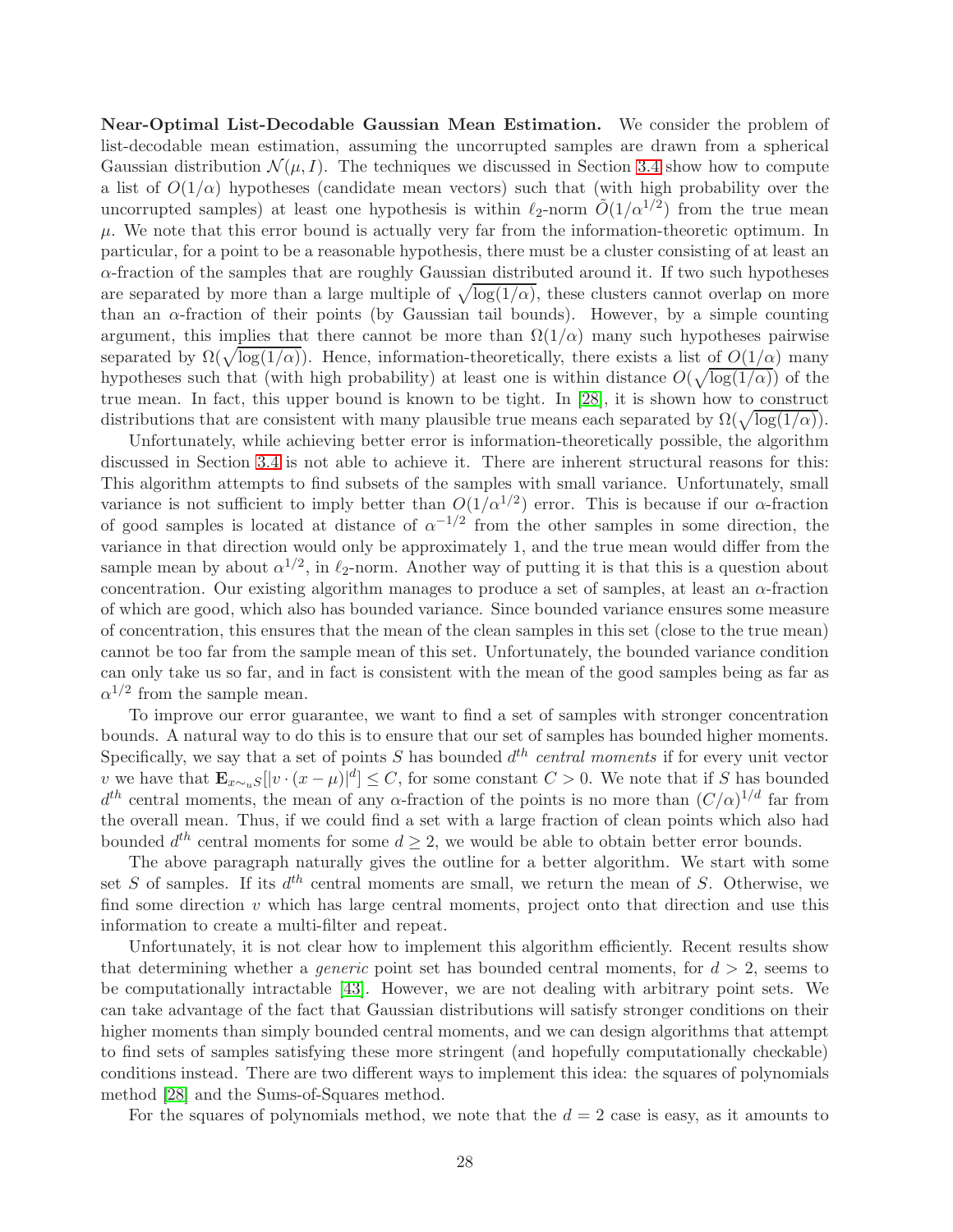Near-Optimal List-Decodable Gaussian Mean Estimation. We consider the problem of list-decodable mean estimation, assuming the uncorrupted samples are drawn from a spherical Gaussian distribution  $\mathcal{N}(\mu, I)$ . The techniques we discussed in Section [3.4](#page-23-0) show how to compute a list of  $O(1/\alpha)$  hypotheses (candidate mean vectors) such that (with high probability over the uncorrupted samples) at least one hypothesis is within  $\ell_2$ -norm  $\tilde{O}(1/\alpha^{1/2})$  from the true mean  $\mu$ . We note that this error bound is actually very far from the information-theoretic optimum. In particular, for a point to be a reasonable hypothesis, there must be a cluster consisting of at least an  $\alpha$ -fraction of the samples that are roughly Gaussian distributed around it. If two such hypotheses are separated by more than a large multiple of  $\sqrt{\log(1/\alpha)}$ , these clusters cannot overlap on more than an  $\alpha$ -fraction of their points (by Gaussian tail bounds). However, by a simple counting argument, this implies that there cannot be more than  $\Omega(1/\alpha)$  many such hypotheses pairwise separated by  $\Omega(\sqrt{\log(1/\alpha)})$ . Hence, information-theoretically, there exists a list of  $O(1/\alpha)$  many hypotheses such that (with high probability) at least one is within distance  $O(\sqrt{\log(1/\alpha)})$  of the true mean. In fact, this upper bound is known to be tight. In [\[28\]](#page-34-7), it is shown how to construct distributions that are consistent with many plausible true means each separated by  $\Omega(\sqrt{\log(1/\alpha)})$ .

Unfortunately, while achieving better error is information-theoretically possible, the algorithm discussed in Section [3.4](#page-23-0) is not able to achieve it. There are inherent structural reasons for this: This algorithm attempts to find subsets of the samples with small variance. Unfortunately, small variance is not sufficient to imply better than  $O(1/\alpha^{1/2})$  error. This is because if our  $\alpha$ -fraction of good samples is located at distance of  $\alpha^{-1/2}$  from the other samples in some direction, the variance in that direction would only be approximately 1, and the true mean would differ from the sample mean by about  $\alpha^{1/2}$ , in  $\ell_2$ -norm. Another way of putting it is that this is a question about concentration. Our existing algorithm manages to produce a set of samples, at least an  $\alpha$ -fraction of which are good, which also has bounded variance. Since bounded variance ensures some measure of concentration, this ensures that the mean of the clean samples in this set (close to the true mean) cannot be too far from the sample mean of this set. Unfortunately, the bounded variance condition can only take us so far, and in fact is consistent with the mean of the good samples being as far as  $\alpha^{1/2}$  from the sample mean.

To improve our error guarantee, we want to find a set of samples with stronger concentration bounds. A natural way to do this is to ensure that our set of samples has bounded higher moments. Specifically, we say that a set of points S has bounded  $d^{th}$  central moments if for every unit vector v we have that  $\mathbf{E}_{x\sim_{u}S}[|v\cdot(x-\mu)|^{d}] \leq C$ , for some constant  $C > 0$ . We note that if S has bounded  $d^{th}$  central moments, the mean of any  $\alpha$ -fraction of the points is no more than  $(C/\alpha)^{1/d}$  far from the overall mean. Thus, if we could find a set with a large fraction of clean points which also had bounded  $d^{th}$  central moments for some  $d \geq 2$ , we would be able to obtain better error bounds.

The above paragraph naturally gives the outline for a better algorithm. We start with some set S of samples. If its  $d^{th}$  central moments are small, we return the mean of S. Otherwise, we find some direction  $v$  which has large central moments, project onto that direction and use this information to create a multi-filter and repeat.

Unfortunately, it is not clear how to implement this algorithm efficiently. Recent results show that determining whether a *generic* point set has bounded central moments, for  $d > 2$ , seems to be computationally intractable [\[43\]](#page-35-8). However, we are not dealing with arbitrary point sets. We can take advantage of the fact that Gaussian distributions will satisfy stronger conditions on their higher moments than simply bounded central moments, and we can design algorithms that attempt to find sets of samples satisfying these more stringent (and hopefully computationally checkable) conditions instead. There are two different ways to implement this idea: the squares of polynomials method [\[28\]](#page-34-7) and the Sums-of-Squares method.

For the squares of polynomials method, we note that the  $d = 2$  case is easy, as it amounts to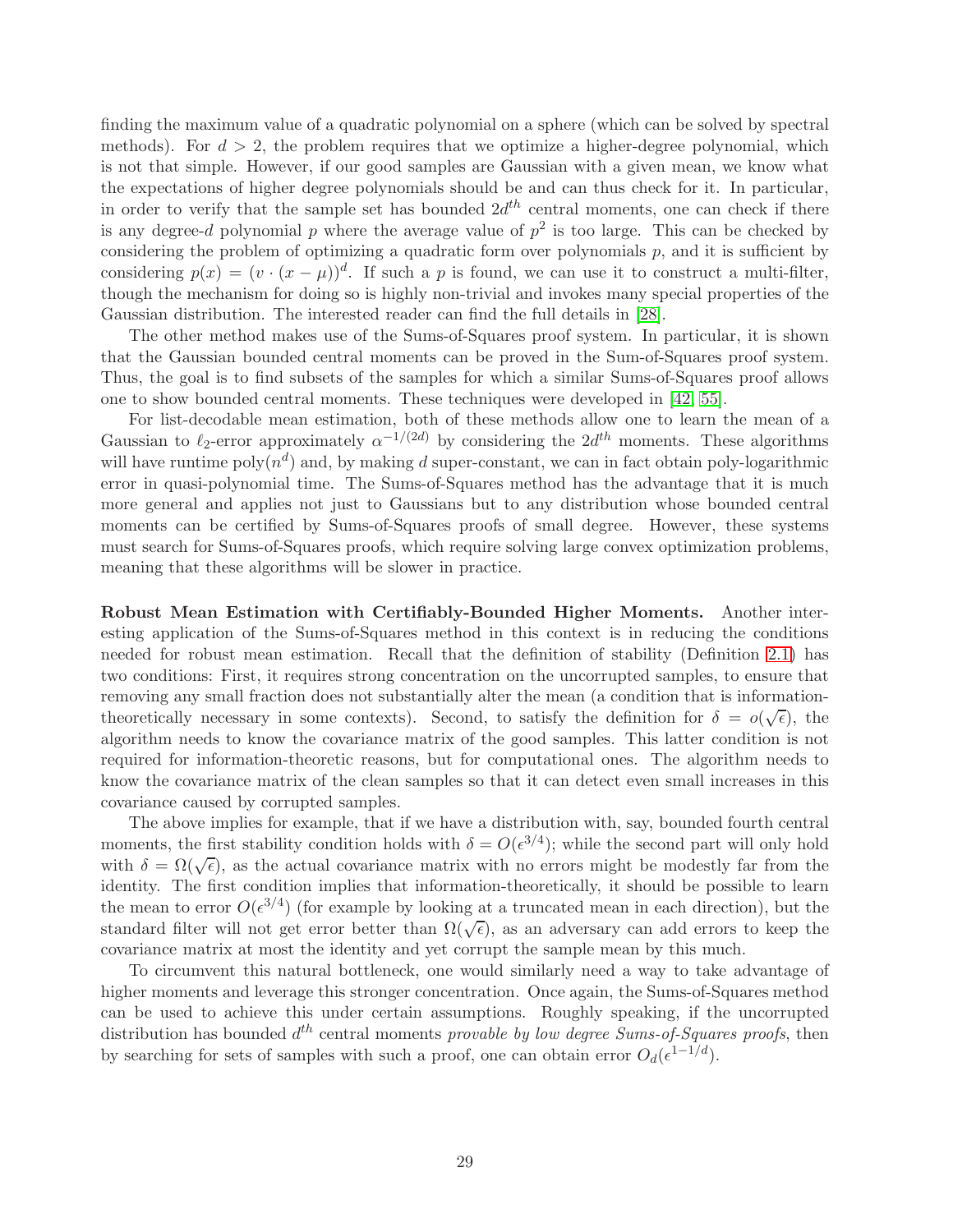finding the maximum value of a quadratic polynomial on a sphere (which can be solved by spectral methods). For  $d > 2$ , the problem requires that we optimize a higher-degree polynomial, which is not that simple. However, if our good samples are Gaussian with a given mean, we know what the expectations of higher degree polynomials should be and can thus check for it. In particular, in order to verify that the sample set has bounded  $2d^{th}$  central moments, one can check if there is any degree-d polynomial p where the average value of  $p^2$  is too large. This can be checked by considering the problem of optimizing a quadratic form over polynomials  $p$ , and it is sufficient by considering  $p(x) = (v \cdot (x - \mu))^d$ . If such a p is found, we can use it to construct a multi-filter, though the mechanism for doing so is highly non-trivial and invokes many special properties of the Gaussian distribution. The interested reader can find the full details in [\[28\]](#page-34-7).

The other method makes use of the Sums-of-Squares proof system. In particular, it is shown that the Gaussian bounded central moments can be proved in the Sum-of-Squares proof system. Thus, the goal is to find subsets of the samples for which a similar Sums-of-Squares proof allows one to show bounded central moments. These techniques were developed in [\[42,](#page-35-9) [55\]](#page-36-12).

For list-decodable mean estimation, both of these methods allow one to learn the mean of a Gaussian to  $\ell_2$ -error approximately  $\alpha^{-1/(2d)}$  by considering the  $2d^{th}$  moments. These algorithms will have runtime poly $(n^d)$  and, by making d super-constant, we can in fact obtain poly-logarithmic error in quasi-polynomial time. The Sums-of-Squares method has the advantage that it is much more general and applies not just to Gaussians but to any distribution whose bounded central moments can be certified by Sums-of-Squares proofs of small degree. However, these systems must search for Sums-of-Squares proofs, which require solving large convex optimization problems, meaning that these algorithms will be slower in practice.

Robust Mean Estimation with Certifiably-Bounded Higher Moments. Another interesting application of the Sums-of-Squares method in this context is in reducing the conditions needed for robust mean estimation. Recall that the definition of stability (Definition [2.1\)](#page-7-0) has two conditions: First, it requires strong concentration on the uncorrupted samples, to ensure that removing any small fraction does not substantially alter the mean (a condition that is informationtheoretically necessary in some contexts). Second, to satisfy the definition for  $\delta = o(\sqrt{\epsilon})$ , the algorithm needs to know the covariance matrix of the good samples. This latter condition is not required for information-theoretic reasons, but for computational ones. The algorithm needs to know the covariance matrix of the clean samples so that it can detect even small increases in this covariance caused by corrupted samples.

The above implies for example, that if we have a distribution with, say, bounded fourth central moments, the first stability condition holds with  $\delta = O(\epsilon^{3/4})$ ; while the second part will only hold with  $\delta = \Omega(\sqrt{\epsilon})$ , as the actual covariance matrix with no errors might be modestly far from the identity. The first condition implies that information-theoretically, it should be possible to learn the mean to error  $O(\epsilon^{3/4})$  (for example by looking at a truncated mean in each direction), but the standard filter will not get error better than  $\Omega(\sqrt{\epsilon})$ , as an adversary can add errors to keep the covariance matrix at most the identity and yet corrupt the sample mean by this much.

To circumvent this natural bottleneck, one would similarly need a way to take advantage of higher moments and leverage this stronger concentration. Once again, the Sums-of-Squares method can be used to achieve this under certain assumptions. Roughly speaking, if the uncorrupted distribution has bounded  $d^{th}$  central moments provable by low degree Sums-of-Squares proofs, then by searching for sets of samples with such a proof, one can obtain error  $O_d(\epsilon^{1-1/d})$ .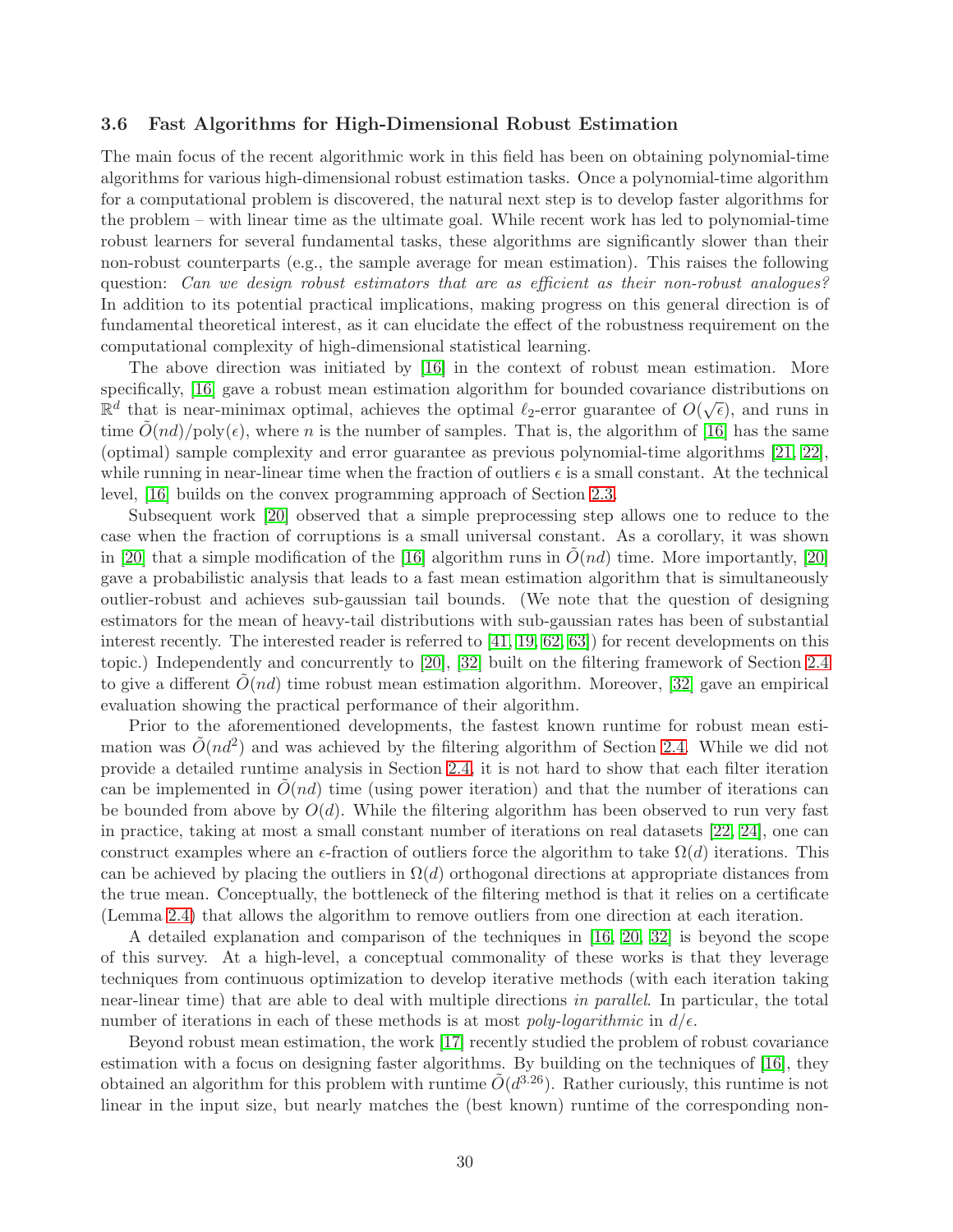#### 3.6 Fast Algorithms for High-Dimensional Robust Estimation

The main focus of the recent algorithmic work in this field has been on obtaining polynomial-time algorithms for various high-dimensional robust estimation tasks. Once a polynomial-time algorithm for a computational problem is discovered, the natural next step is to develop faster algorithms for the problem – with linear time as the ultimate goal. While recent work has led to polynomial-time robust learners for several fundamental tasks, these algorithms are significantly slower than their non-robust counterparts (e.g., the sample average for mean estimation). This raises the following question: Can we design robust estimators that are as efficient as their non-robust analogues? In addition to its potential practical implications, making progress on this general direction is of fundamental theoretical interest, as it can elucidate the effect of the robustness requirement on the computational complexity of high-dimensional statistical learning.

The above direction was initiated by [\[16\]](#page-34-10) in the context of robust mean estimation. More specifically, [\[16\]](#page-34-10) gave a robust mean estimation algorithm for bounded covariance distributions on  $\mathbb{R}^d$  that is near-minimax optimal, achieves the optimal  $\ell_2$ -error guarantee of  $O(\sqrt{\epsilon})$ , and runs in time  $O(nd)/poly(\epsilon)$ , where n is the number of samples. That is, the algorithm of [\[16\]](#page-34-10) has the same (optimal) sample complexity and error guarantee as previous polynomial-time algorithms [\[21,](#page-34-0) [22\]](#page-34-1), while running in near-linear time when the fraction of outliers  $\epsilon$  is a small constant. At the technical level, [\[16\]](#page-34-10) builds on the convex programming approach of Section [2.3.](#page-10-0)

Subsequent work [\[20\]](#page-34-11) observed that a simple preprocessing step allows one to reduce to the case when the fraction of corruptions is a small universal constant. As a corollary, it was shown in [\[20\]](#page-34-11) that a simple modification of the [\[16\]](#page-34-10) algorithm runs in  $O(nd)$  time. More importantly, [20] gave a probabilistic analysis that leads to a fast mean estimation algorithm that is simultaneously outlier-robust and achieves sub-gaussian tail bounds. (We note that the question of designing estimators for the mean of heavy-tail distributions with sub-gaussian rates has been of substantial interest recently. The interested reader is referred to [\[41,](#page-35-10) [19,](#page-34-12) [62,](#page-36-14) [63\]](#page-36-15)) for recent developments on this topic.) Independently and concurrently to [\[20\]](#page-34-11), [\[32\]](#page-35-11) built on the filtering framework of Section [2.4](#page-11-0) to give a different  $O(nd)$  time robust mean estimation algorithm. Moreover, [\[32\]](#page-35-11) gave an empirical evaluation showing the practical performance of their algorithm.

Prior to the aforementioned developments, the fastest known runtime for robust mean estimation was  $\tilde{O}(nd^2)$  and was achieved by the filtering algorithm of Section [2.4.](#page-11-0) While we did not provide a detailed runtime analysis in Section [2.4,](#page-11-0) it is not hard to show that each filter iteration can be implemented in  $O(nd)$  time (using power iteration) and that the number of iterations can be bounded from above by  $O(d)$ . While the filtering algorithm has been observed to run very fast in practice, taking at most a small constant number of iterations on real datasets [\[22,](#page-34-1) [24\]](#page-34-2), one can construct examples where an  $\epsilon$ -fraction of outliers force the algorithm to take  $\Omega(d)$  iterations. This can be achieved by placing the outliers in  $\Omega(d)$  orthogonal directions at appropriate distances from the true mean. Conceptually, the bottleneck of the filtering method is that it relies on a certificate (Lemma [2.4\)](#page-8-0) that allows the algorithm to remove outliers from one direction at each iteration.

A detailed explanation and comparison of the techniques in [\[16,](#page-34-10) [20,](#page-34-11) [32\]](#page-35-11) is beyond the scope of this survey. At a high-level, a conceptual commonality of these works is that they leverage techniques from continuous optimization to develop iterative methods (with each iteration taking near-linear time) that are able to deal with multiple directions in parallel. In particular, the total number of iterations in each of these methods is at most poly-logarithmic in  $d/\epsilon$ .

Beyond robust mean estimation, the work [\[17\]](#page-34-13) recently studied the problem of robust covariance estimation with a focus on designing faster algorithms. By building on the techniques of [\[16\]](#page-34-10), they obtained an algorithm for this problem with runtime  $\tilde{O}(d^{3.26})$ . Rather curiously, this runtime is not linear in the input size, but nearly matches the (best known) runtime of the corresponding non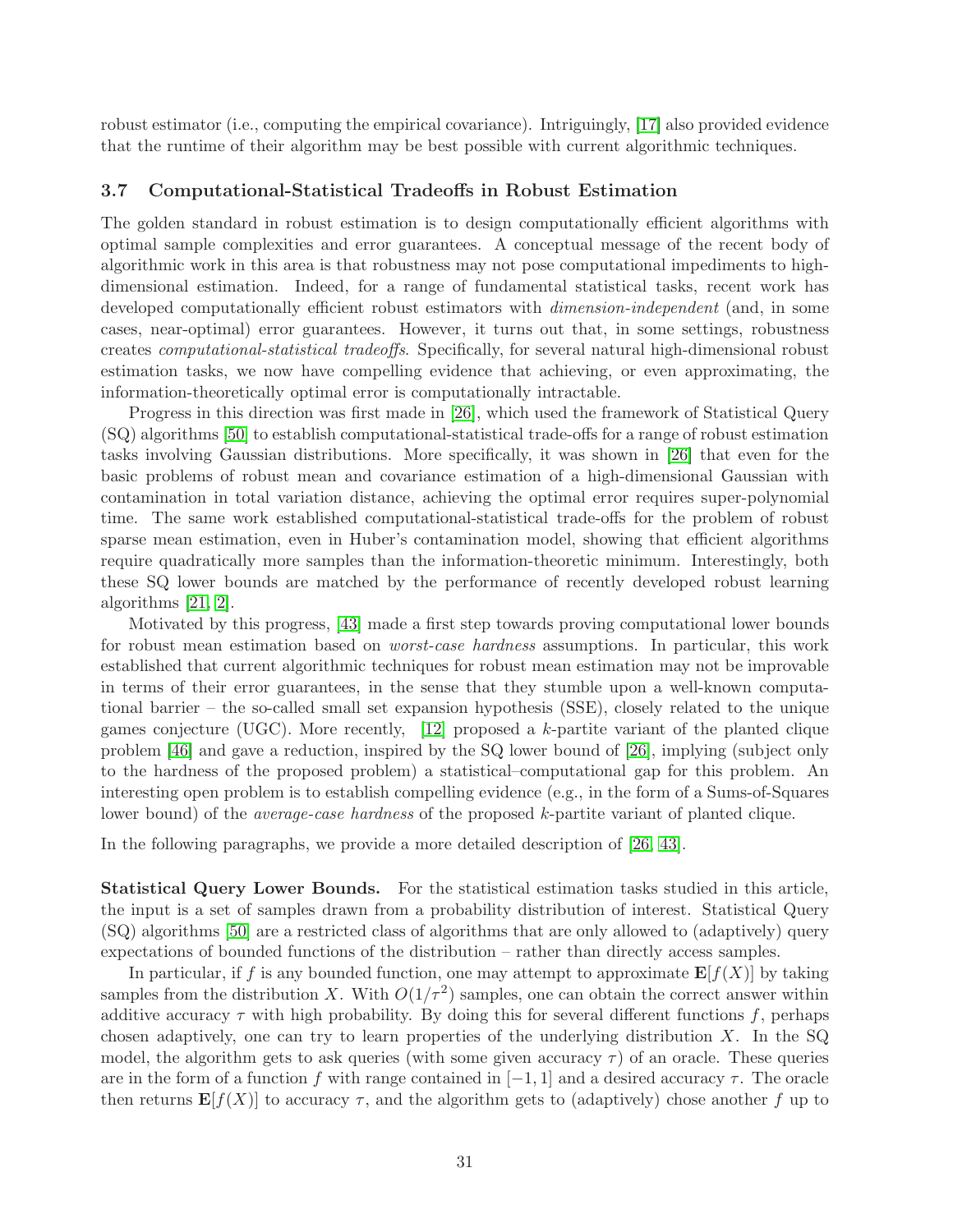robust estimator (i.e., computing the empirical covariance). Intriguingly, [\[17\]](#page-34-13) also provided evidence that the runtime of their algorithm may be best possible with current algorithmic techniques.

### <span id="page-30-0"></span>3.7 Computational-Statistical Tradeoffs in Robust Estimation

The golden standard in robust estimation is to design computationally efficient algorithms with optimal sample complexities and error guarantees. A conceptual message of the recent body of algorithmic work in this area is that robustness may not pose computational impediments to highdimensional estimation. Indeed, for a range of fundamental statistical tasks, recent work has developed computationally efficient robust estimators with *dimension-independent* (and, in some cases, near-optimal) error guarantees. However, it turns out that, in some settings, robustness creates computational-statistical tradeoffs. Specifically, for several natural high-dimensional robust estimation tasks, we now have compelling evidence that achieving, or even approximating, the information-theoretically optimal error is computationally intractable.

Progress in this direction was first made in [\[26\]](#page-34-5), which used the framework of Statistical Query (SQ) algorithms [\[50\]](#page-36-16) to establish computational-statistical trade-offs for a range of robust estimation tasks involving Gaussian distributions. More specifically, it was shown in [\[26\]](#page-34-5) that even for the basic problems of robust mean and covariance estimation of a high-dimensional Gaussian with contamination in total variation distance, achieving the optimal error requires super-polynomial time. The same work established computational-statistical trade-offs for the problem of robust sparse mean estimation, even in Huber's contamination model, showing that efficient algorithms require quadratically more samples than the information-theoretic minimum. Interestingly, both these SQ lower bounds are matched by the performance of recently developed robust learning algorithms [\[21,](#page-34-0) [2\]](#page-33-9).

Motivated by this progress, [\[43\]](#page-35-8) made a first step towards proving computational lower bounds for robust mean estimation based on *worst-case hardness* assumptions. In particular, this work established that current algorithmic techniques for robust mean estimation may not be improvable in terms of their error guarantees, in the sense that they stumble upon a well-known computational barrier – the so-called small set expansion hypothesis (SSE), closely related to the unique games conjecture (UGC). More recently, [\[12\]](#page-33-12) proposed a k-partite variant of the planted clique problem [\[46\]](#page-35-12) and gave a reduction, inspired by the SQ lower bound of [\[26\]](#page-34-5), implying (subject only to the hardness of the proposed problem) a statistical–computational gap for this problem. An interesting open problem is to establish compelling evidence (e.g., in the form of a Sums-of-Squares lower bound) of the *average-case hardness* of the proposed k-partite variant of planted clique.

In the following paragraphs, we provide a more detailed description of [\[26,](#page-34-5) [43\]](#page-35-8).

Statistical Query Lower Bounds. For the statistical estimation tasks studied in this article, the input is a set of samples drawn from a probability distribution of interest. Statistical Query (SQ) algorithms [\[50\]](#page-36-16) are a restricted class of algorithms that are only allowed to (adaptively) query expectations of bounded functions of the distribution – rather than directly access samples.

In particular, if f is any bounded function, one may attempt to approximate  $\mathbf{E}[f(X)]$  by taking samples from the distribution X. With  $O(1/\tau^2)$  samples, one can obtain the correct answer within additive accuracy  $\tau$  with high probability. By doing this for several different functions f, perhaps chosen adaptively, one can try to learn properties of the underlying distribution  $X$ . In the SQ model, the algorithm gets to ask queries (with some given accuracy  $\tau$ ) of an oracle. These queries are in the form of a function f with range contained in  $[-1,1]$  and a desired accuracy  $\tau$ . The oracle then returns  $\mathbf{E}[f(X)]$  to accuracy  $\tau$ , and the algorithm gets to (adaptively) chose another f up to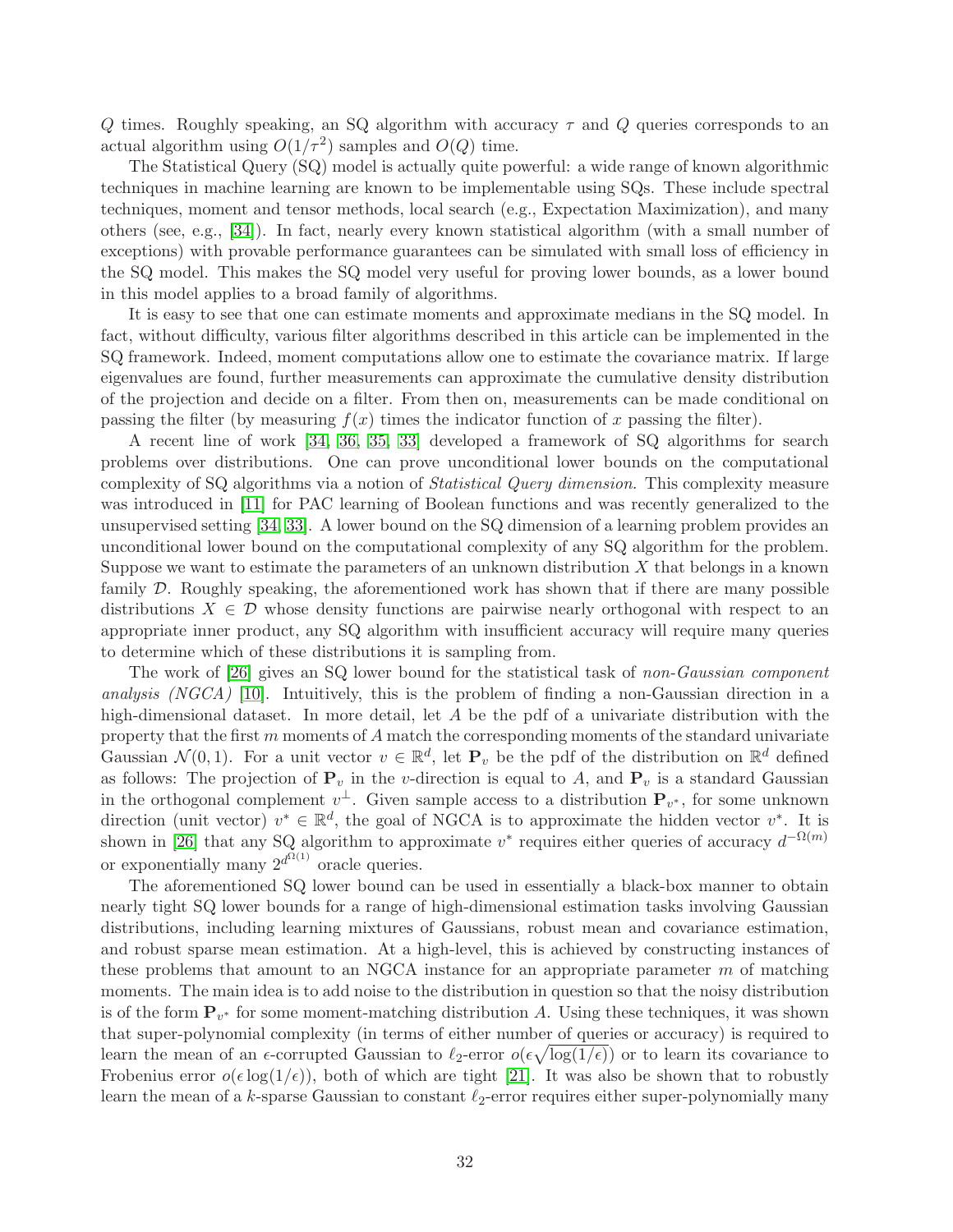Q times. Roughly speaking, an SQ algorithm with accuracy  $\tau$  and Q queries corresponds to an actual algorithm using  $O(1/\tau^2)$  samples and  $O(Q)$  time.

The Statistical Query (SQ) model is actually quite powerful: a wide range of known algorithmic techniques in machine learning are known to be implementable using SQs. These include spectral techniques, moment and tensor methods, local search (e.g., Expectation Maximization), and many others (see, e.g., [\[34\]](#page-35-13)). In fact, nearly every known statistical algorithm (with a small number of exceptions) with provable performance guarantees can be simulated with small loss of efficiency in the SQ model. This makes the SQ model very useful for proving lower bounds, as a lower bound in this model applies to a broad family of algorithms.

It is easy to see that one can estimate moments and approximate medians in the SQ model. In fact, without difficulty, various filter algorithms described in this article can be implemented in the SQ framework. Indeed, moment computations allow one to estimate the covariance matrix. If large eigenvalues are found, further measurements can approximate the cumulative density distribution of the projection and decide on a filter. From then on, measurements can be made conditional on passing the filter (by measuring  $f(x)$  times the indicator function of x passing the filter).

A recent line of work [\[34,](#page-35-13) [36,](#page-35-14) [35,](#page-35-15) [33\]](#page-35-16) developed a framework of SQ algorithms for search problems over distributions. One can prove unconditional lower bounds on the computational complexity of SQ algorithms via a notion of *Statistical Query dimension*. This complexity measure was introduced in [\[11\]](#page-33-13) for PAC learning of Boolean functions and was recently generalized to the unsupervised setting [\[34,](#page-35-13) [33\]](#page-35-16). A lower bound on the SQ dimension of a learning problem provides an unconditional lower bound on the computational complexity of any SQ algorithm for the problem. Suppose we want to estimate the parameters of an unknown distribution  $X$  that belongs in a known family  $D$ . Roughly speaking, the aforementioned work has shown that if there are many possible distributions  $X \in \mathcal{D}$  whose density functions are pairwise nearly orthogonal with respect to an appropriate inner product, any SQ algorithm with insufficient accuracy will require many queries to determine which of these distributions it is sampling from.

The work of [\[26\]](#page-34-5) gives an SQ lower bound for the statistical task of non-Gaussian component analysis (NGCA) [\[10\]](#page-33-14). Intuitively, this is the problem of finding a non-Gaussian direction in a high-dimensional dataset. In more detail, let A be the pdf of a univariate distribution with the property that the first m moments of A match the corresponding moments of the standard univariate Gaussian  $\mathcal{N}(0,1)$ . For a unit vector  $v \in \mathbb{R}^d$ , let  $\mathbf{P}_v$  be the pdf of the distribution on  $\mathbb{R}^d$  defined as follows: The projection of  $P_v$  in the v-direction is equal to A, and  $P_v$  is a standard Gaussian in the orthogonal complement  $v^{\perp}$ . Given sample access to a distribution  ${\bf P}_{v^*}$ , for some unknown direction (unit vector)  $v^* \in \mathbb{R}^d$ , the goal of NGCA is to approximate the hidden vector  $v^*$ . It is shown in [\[26\]](#page-34-5) that any SQ algorithm to approximate  $v^*$  requires either queries of accuracy  $d^{-\Omega(m)}$ or exponentially many  $2^{d^{\Omega(1)}}$  oracle queries.

The aforementioned SQ lower bound can be used in essentially a black-box manner to obtain nearly tight SQ lower bounds for a range of high-dimensional estimation tasks involving Gaussian distributions, including learning mixtures of Gaussians, robust mean and covariance estimation, and robust sparse mean estimation. At a high-level, this is achieved by constructing instances of these problems that amount to an NGCA instance for an appropriate parameter  $m$  of matching moments. The main idea is to add noise to the distribution in question so that the noisy distribution is of the form  $P_{v^*}$  for some moment-matching distribution A. Using these techniques, it was shown that super-polynomial complexity (in terms of either number of queries or accuracy) is required to learn the mean of an  $\epsilon$ -corrupted Gaussian to  $\ell_2$ -error  $o(\epsilon \sqrt{\log(1/\epsilon)})$  or to learn its covariance to Frobenius error  $o(\epsilon \log(1/\epsilon))$ , both of which are tight [\[21\]](#page-34-0). It was also be shown that to robustly learn the mean of a k-sparse Gaussian to constant  $\ell_2$ -error requires either super-polynomially many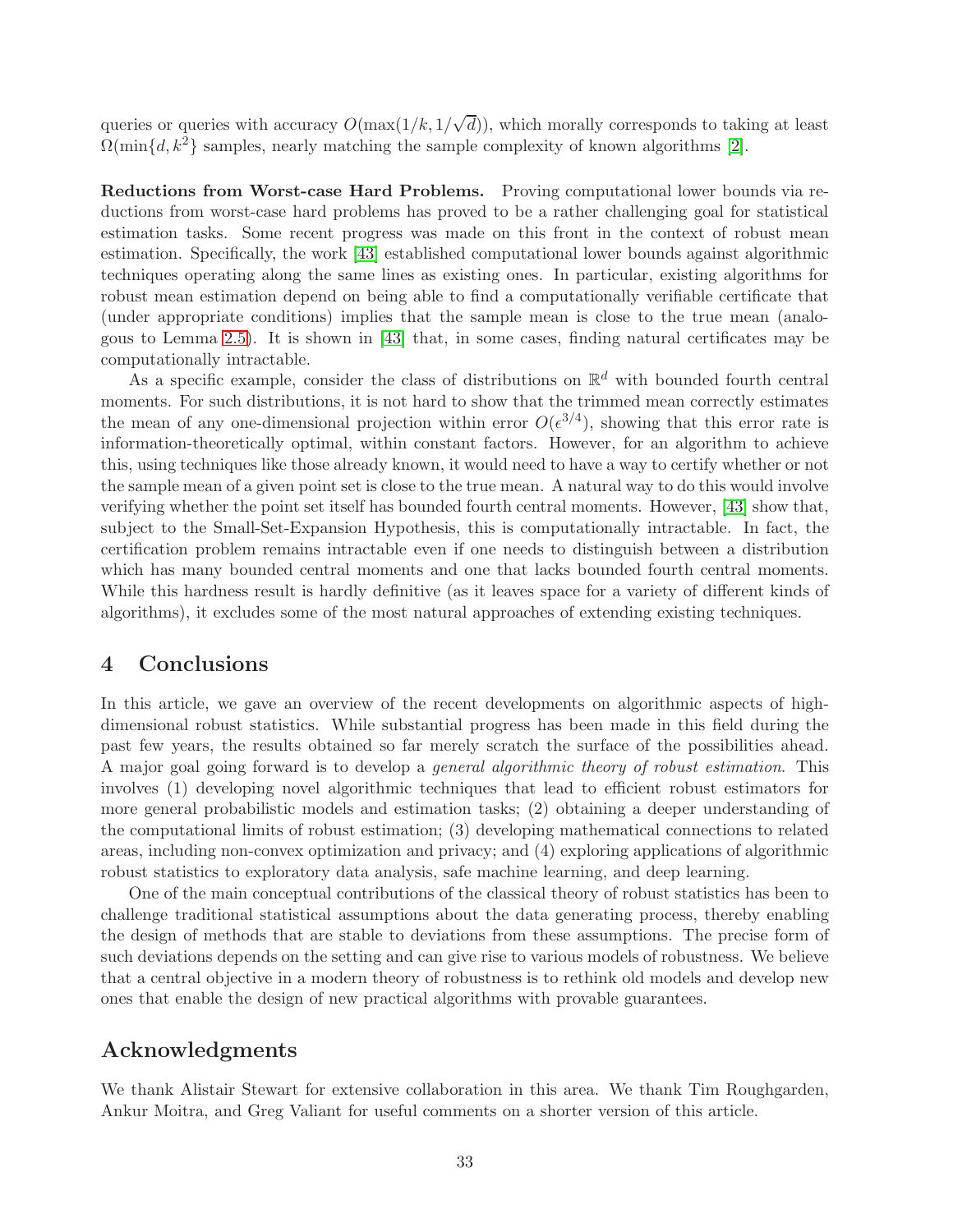queries or queries with accuracy  $O(\max(1/k, 1/\sqrt{d}))$ , which morally corresponds to taking at least  $\Omega(\min\{d, k^2\})$  samples, nearly matching the sample complexity of known algorithms [\[2\]](#page-33-9).

Reductions from Worst-case Hard Problems. Proving computational lower bounds via reductions from worst-case hard problems has proved to be a rather challenging goal for statistical estimation tasks. Some recent progress was made on this front in the context of robust mean estimation. Specifically, the work [\[43\]](#page-35-8) established computational lower bounds against algorithmic techniques operating along the same lines as existing ones. In particular, existing algorithms for robust mean estimation depend on being able to find a computationally verifiable certificate that (under appropriate conditions) implies that the sample mean is close to the true mean (analogous to Lemma [2.5\)](#page-9-0). It is shown in [\[43\]](#page-35-8) that, in some cases, finding natural certificates may be computationally intractable.

As a specific example, consider the class of distributions on  $\mathbb{R}^d$  with bounded fourth central moments. For such distributions, it is not hard to show that the trimmed mean correctly estimates the mean of any one-dimensional projection within error  $O(\epsilon^{3/4})$ , showing that this error rate is information-theoretically optimal, within constant factors. However, for an algorithm to achieve this, using techniques like those already known, it would need to have a way to certify whether or not the sample mean of a given point set is close to the true mean. A natural way to do this would involve verifying whether the point set itself has bounded fourth central moments. However, [\[43\]](#page-35-8) show that, subject to the Small-Set-Expansion Hypothesis, this is computationally intractable. In fact, the certification problem remains intractable even if one needs to distinguish between a distribution which has many bounded central moments and one that lacks bounded fourth central moments. While this hardness result is hardly definitive (as it leaves space for a variety of different kinds of algorithms), it excludes some of the most natural approaches of extending existing techniques.

### <span id="page-32-0"></span>4 Conclusions

In this article, we gave an overview of the recent developments on algorithmic aspects of highdimensional robust statistics. While substantial progress has been made in this field during the past few years, the results obtained so far merely scratch the surface of the possibilities ahead. A major goal going forward is to develop a general algorithmic theory of robust estimation. This involves (1) developing novel algorithmic techniques that lead to efficient robust estimators for more general probabilistic models and estimation tasks; (2) obtaining a deeper understanding of the computational limits of robust estimation; (3) developing mathematical connections to related areas, including non-convex optimization and privacy; and (4) exploring applications of algorithmic robust statistics to exploratory data analysis, safe machine learning, and deep learning.

One of the main conceptual contributions of the classical theory of robust statistics has been to challenge traditional statistical assumptions about the data generating process, thereby enabling the design of methods that are stable to deviations from these assumptions. The precise form of such deviations depends on the setting and can give rise to various models of robustness. We believe that a central objective in a modern theory of robustness is to rethink old models and develop new ones that enable the design of new practical algorithms with provable guarantees.

## Acknowledgments

We thank Alistair Stewart for extensive collaboration in this area. We thank Tim Roughgarden, Ankur Moitra, and Greg Valiant for useful comments on a shorter version of this article.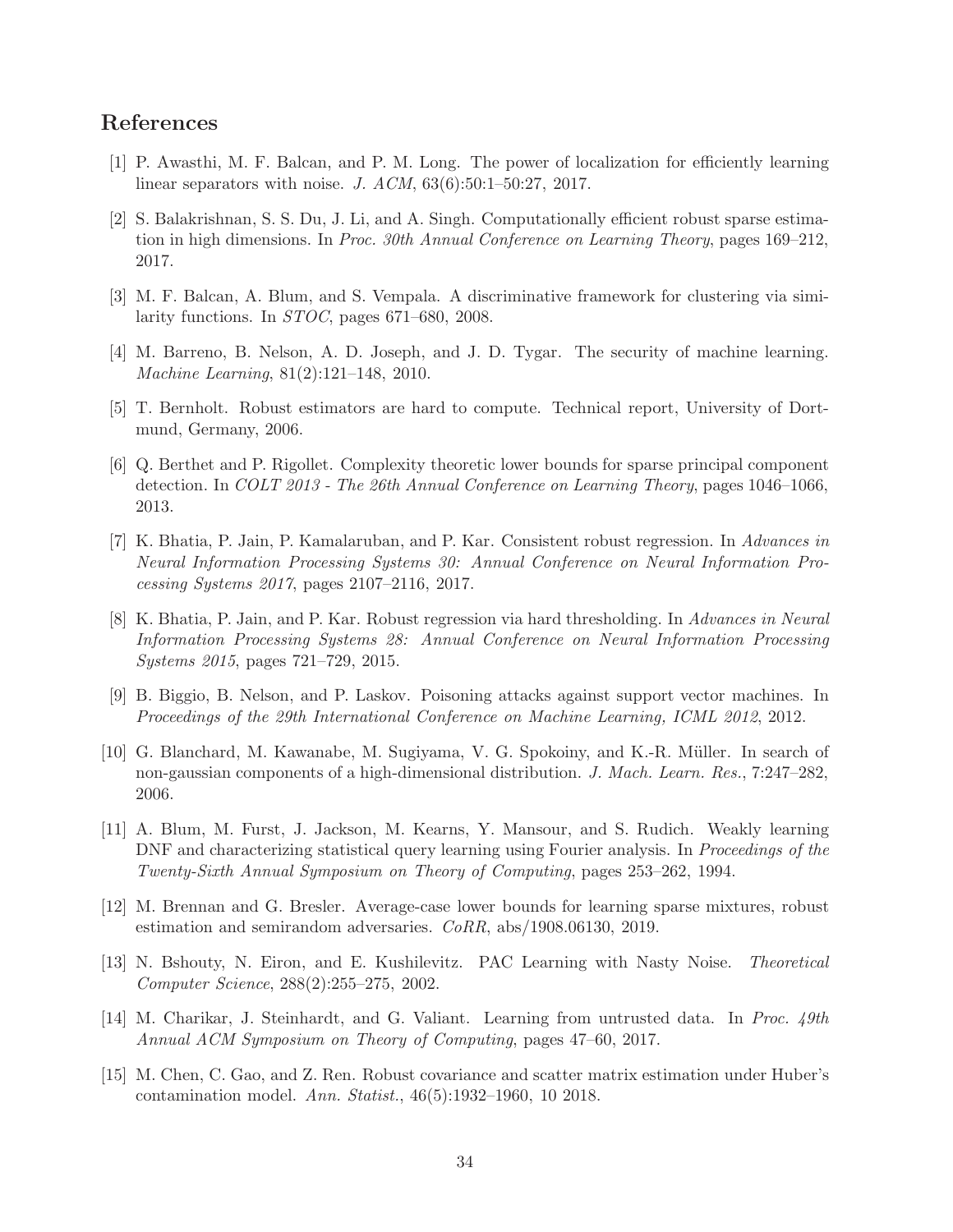# <span id="page-33-5"></span>References

- <span id="page-33-9"></span>[1] P. Awasthi, M. F. Balcan, and P. M. Long. The power of localization for efficiently learning linear separators with noise. J. ACM, 63(6):50:1–50:27, 2017.
- [2] S. Balakrishnan, S. S. Du, J. Li, and A. Singh. Computationally efficient robust sparse estimation in high dimensions. In Proc. 30th Annual Conference on Learning Theory, pages 169–212, 2017.
- <span id="page-33-11"></span><span id="page-33-0"></span>[3] M. F. Balcan, A. Blum, and S. Vempala. A discriminative framework for clustering via similarity functions. In STOC, pages 671–680, 2008.
- <span id="page-33-2"></span>[4] M. Barreno, B. Nelson, A. D. Joseph, and J. D. Tygar. The security of machine learning. Machine Learning, 81(2):121–148, 2010.
- <span id="page-33-10"></span>[5] T. Bernholt. Robust estimators are hard to compute. Technical report, University of Dortmund, Germany, 2006.
- [6] Q. Berthet and P. Rigollet. Complexity theoretic lower bounds for sparse principal component detection. In COLT 2013 - The 26th Annual Conference on Learning Theory, pages 1046–1066, 2013.
- <span id="page-33-8"></span>[7] K. Bhatia, P. Jain, P. Kamalaruban, and P. Kar. Consistent robust regression. In Advances in Neural Information Processing Systems 30: Annual Conference on Neural Information Processing Systems 2017, pages 2107–2116, 2017.
- <span id="page-33-7"></span>[8] K. Bhatia, P. Jain, and P. Kar. Robust regression via hard thresholding. In Advances in Neural Information Processing Systems 28: Annual Conference on Neural Information Processing Systems 2015, pages 721–729, 2015.
- <span id="page-33-1"></span>[9] B. Biggio, B. Nelson, and P. Laskov. Poisoning attacks against support vector machines. In Proceedings of the 29th International Conference on Machine Learning, ICML 2012, 2012.
- <span id="page-33-14"></span>[10] G. Blanchard, M. Kawanabe, M. Sugiyama, V. G. Spokoiny, and K.-R. M¨uller. In search of non-gaussian components of a high-dimensional distribution. J. Mach. Learn. Res., 7:247–282, 2006.
- <span id="page-33-13"></span>[11] A. Blum, M. Furst, J. Jackson, M. Kearns, Y. Mansour, and S. Rudich. Weakly learning DNF and characterizing statistical query learning using Fourier analysis. In *Proceedings of the* Twenty-Sixth Annual Symposium on Theory of Computing, pages 253–262, 1994.
- <span id="page-33-12"></span><span id="page-33-3"></span>[12] M. Brennan and G. Bresler. Average-case lower bounds for learning sparse mixtures, robust estimation and semirandom adversaries. CoRR, abs/1908.06130, 2019.
- [13] N. Bshouty, N. Eiron, and E. Kushilevitz. PAC Learning with Nasty Noise. Theoretical Computer Science, 288(2):255–275, 2002.
- <span id="page-33-6"></span>[14] M. Charikar, J. Steinhardt, and G. Valiant. Learning from untrusted data. In Proc. 49th Annual ACM Symposium on Theory of Computing, pages 47–60, 2017.
- <span id="page-33-4"></span>[15] M. Chen, C. Gao, and Z. Ren. Robust covariance and scatter matrix estimation under Huber's contamination model. Ann. Statist., 46(5):1932–1960, 10 2018.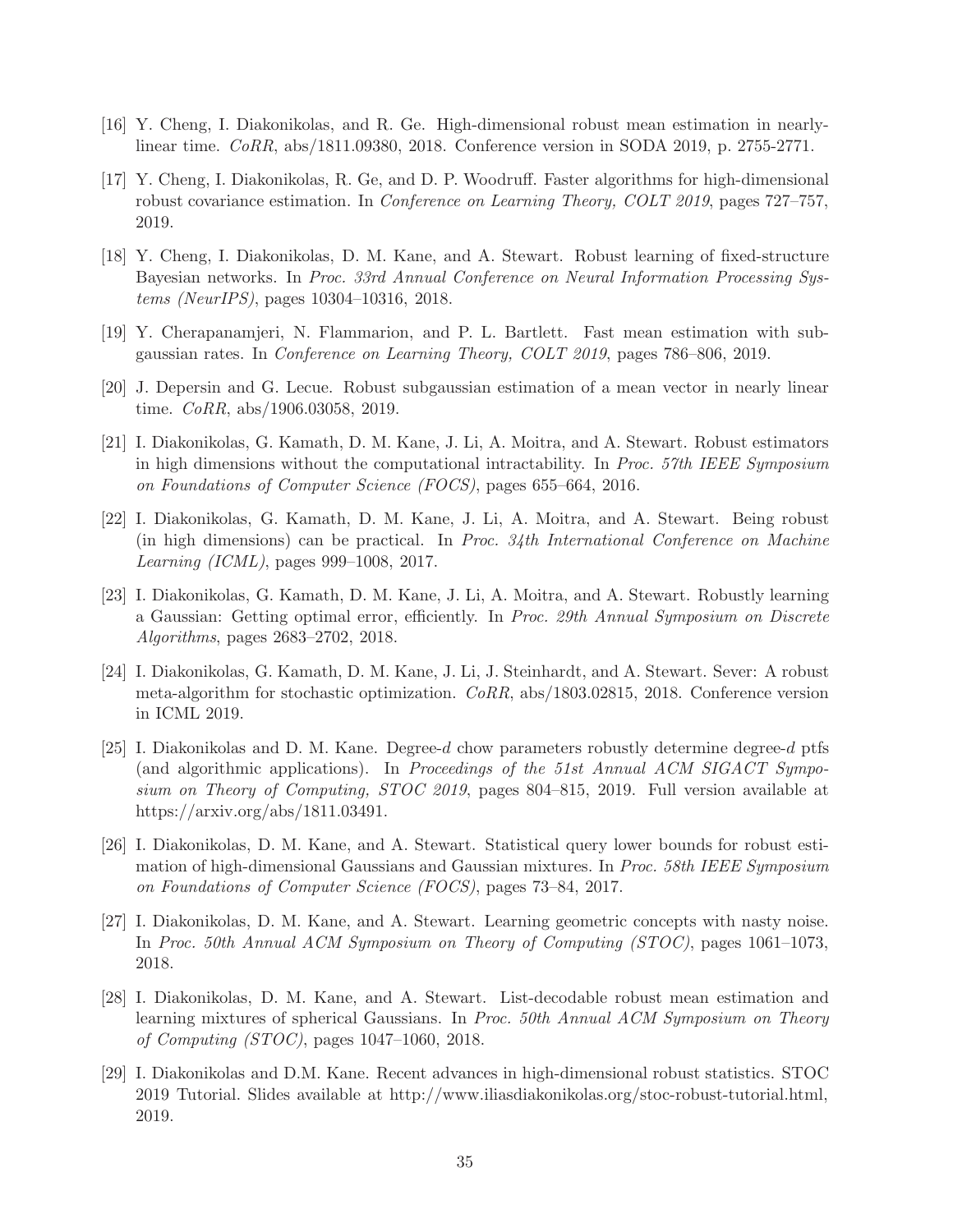- <span id="page-34-13"></span><span id="page-34-10"></span>[16] Y. Cheng, I. Diakonikolas, and R. Ge. High-dimensional robust mean estimation in nearlylinear time. CoRR, abs/1811.09380, 2018. Conference version in SODA 2019, p. 2755-2771.
- [17] Y. Cheng, I. Diakonikolas, R. Ge, and D. P. Woodruff. Faster algorithms for high-dimensional robust covariance estimation. In Conference on Learning Theory, COLT 2019, pages 727–757, 2019.
- <span id="page-34-3"></span>[18] Y. Cheng, I. Diakonikolas, D. M. Kane, and A. Stewart. Robust learning of fixed-structure Bayesian networks. In Proc. 33rd Annual Conference on Neural Information Processing Systems (NeurIPS), pages 10304–10316, 2018.
- <span id="page-34-12"></span><span id="page-34-11"></span>[19] Y. Cherapanamjeri, N. Flammarion, and P. L. Bartlett. Fast mean estimation with subgaussian rates. In Conference on Learning Theory, COLT 2019, pages 786–806, 2019.
- <span id="page-34-0"></span>[20] J. Depersin and G. Lecue. Robust subgaussian estimation of a mean vector in nearly linear time. CoRR, abs/1906.03058, 2019.
- [21] I. Diakonikolas, G. Kamath, D. M. Kane, J. Li, A. Moitra, and A. Stewart. Robust estimators in high dimensions without the computational intractability. In Proc. 57th IEEE Symposium on Foundations of Computer Science (FOCS), pages 655–664, 2016.
- <span id="page-34-1"></span>[22] I. Diakonikolas, G. Kamath, D. M. Kane, J. Li, A. Moitra, and A. Stewart. Being robust (in high dimensions) can be practical. In Proc. 34th International Conference on Machine Learning (ICML), pages 999–1008, 2017.
- <span id="page-34-4"></span>[23] I. Diakonikolas, G. Kamath, D. M. Kane, J. Li, A. Moitra, and A. Stewart. Robustly learning a Gaussian: Getting optimal error, efficiently. In Proc. 29th Annual Symposium on Discrete Algorithms, pages 2683–2702, 2018.
- <span id="page-34-2"></span>[24] I. Diakonikolas, G. Kamath, D. M. Kane, J. Li, J. Steinhardt, and A. Stewart. Sever: A robust meta-algorithm for stochastic optimization. CoRR, abs/1803.02815, 2018. Conference version in ICML 2019.
- <span id="page-34-9"></span>[25] I. Diakonikolas and D. M. Kane. Degree-d chow parameters robustly determine degree-d ptfs (and algorithmic applications). In Proceedings of the 51st Annual ACM SIGACT Symposium on Theory of Computing, STOC 2019, pages 804–815, 2019. Full version available at https://arxiv.org/abs/1811.03491.
- <span id="page-34-5"></span>[26] I. Diakonikolas, D. M. Kane, and A. Stewart. Statistical query lower bounds for robust estimation of high-dimensional Gaussians and Gaussian mixtures. In Proc. 58th IEEE Symposium on Foundations of Computer Science (FOCS), pages 73–84, 2017.
- <span id="page-34-8"></span>[27] I. Diakonikolas, D. M. Kane, and A. Stewart. Learning geometric concepts with nasty noise. In Proc. 50th Annual ACM Symposium on Theory of Computing (STOC), pages 1061–1073, 2018.
- <span id="page-34-7"></span>[28] I. Diakonikolas, D. M. Kane, and A. Stewart. List-decodable robust mean estimation and learning mixtures of spherical Gaussians. In Proc. 50th Annual ACM Symposium on Theory of Computing (STOC), pages 1047–1060, 2018.
- <span id="page-34-6"></span>[29] I. Diakonikolas and D.M. Kane. Recent advances in high-dimensional robust statistics. STOC 2019 Tutorial. Slides available at http://www.iliasdiakonikolas.org/stoc-robust-tutorial.html, 2019.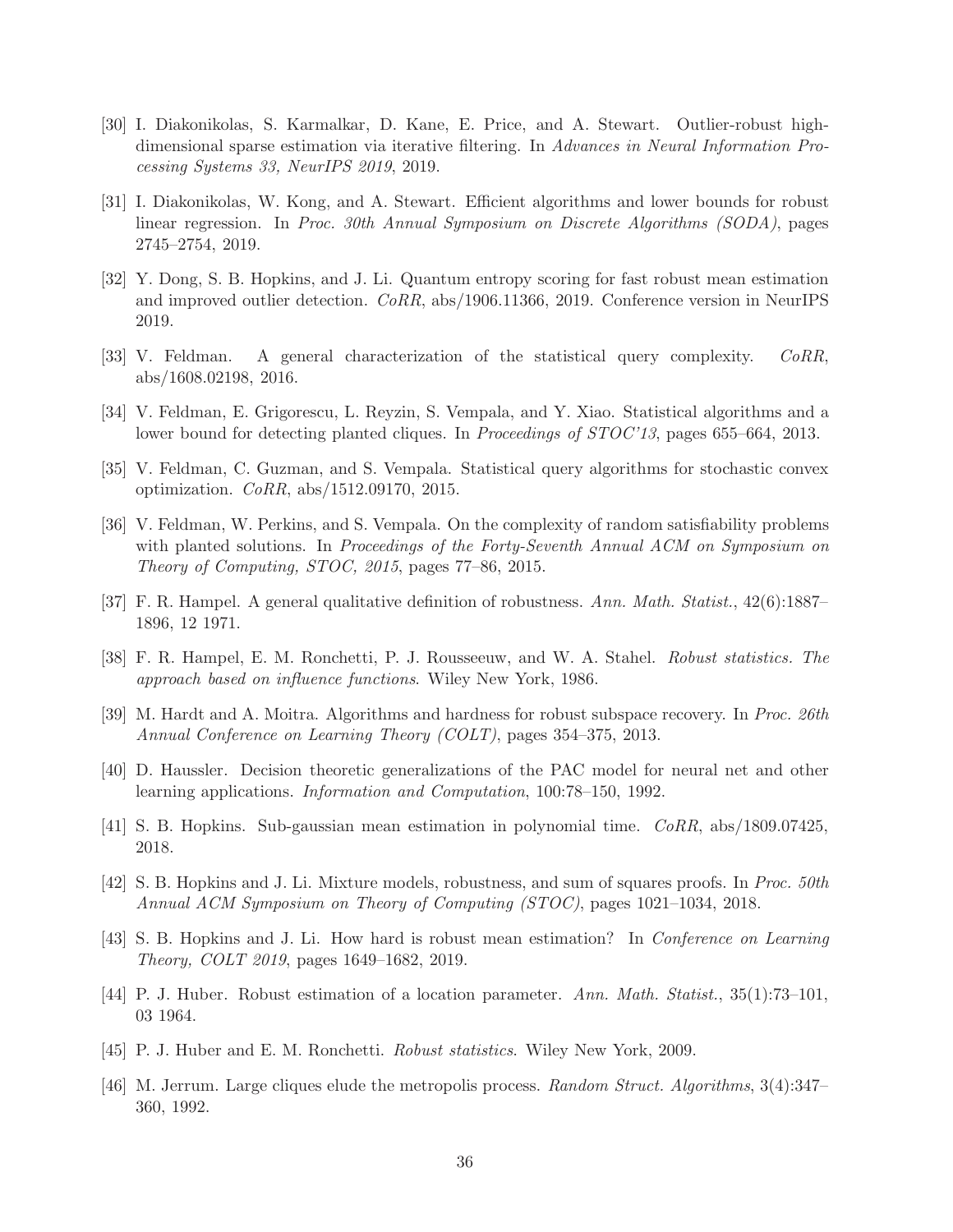- <span id="page-35-7"></span>[30] I. Diakonikolas, S. Karmalkar, D. Kane, E. Price, and A. Stewart. Outlier-robust highdimensional sparse estimation via iterative filtering. In Advances in Neural Information Processing Systems 33, NeurIPS 2019, 2019.
- <span id="page-35-6"></span>[31] I. Diakonikolas, W. Kong, and A. Stewart. Efficient algorithms and lower bounds for robust linear regression. In Proc. 30th Annual Symposium on Discrete Algorithms (SODA), pages 2745–2754, 2019.
- <span id="page-35-11"></span>[32] Y. Dong, S. B. Hopkins, and J. Li. Quantum entropy scoring for fast robust mean estimation and improved outlier detection. CoRR, abs/1906.11366, 2019. Conference version in NeurIPS 2019.
- <span id="page-35-16"></span>[33] V. Feldman. A general characterization of the statistical query complexity. CoRR, abs/1608.02198, 2016.
- <span id="page-35-15"></span><span id="page-35-13"></span>[34] V. Feldman, E. Grigorescu, L. Reyzin, S. Vempala, and Y. Xiao. Statistical algorithms and a lower bound for detecting planted cliques. In *Proceedings of STOC'13*, pages 655–664, 2013.
- <span id="page-35-14"></span>[35] V. Feldman, C. Guzman, and S. Vempala. Statistical query algorithms for stochastic convex optimization. CoRR, abs/1512.09170, 2015.
- [36] V. Feldman, W. Perkins, and S. Vempala. On the complexity of random satisfiability problems with planted solutions. In Proceedings of the Forty-Seventh Annual ACM on Symposium on Theory of Computing, STOC, 2015, pages 77–86, 2015.
- <span id="page-35-4"></span><span id="page-35-1"></span>[37] F. R. Hampel. A general qualitative definition of robustness. Ann. Math. Statist.,  $42(6):1887-$ 1896, 12 1971.
- <span id="page-35-3"></span>[38] F. R. Hampel, E. M. Ronchetti, P. J. Rousseeuw, and W. A. Stahel. Robust statistics. The approach based on influence functions. Wiley New York, 1986.
- <span id="page-35-5"></span>[39] M. Hardt and A. Moitra. Algorithms and hardness for robust subspace recovery. In Proc. 26th Annual Conference on Learning Theory (COLT), pages 354–375, 2013.
- <span id="page-35-10"></span>[40] D. Haussler. Decision theoretic generalizations of the PAC model for neural net and other learning applications. Information and Computation, 100:78–150, 1992.
- <span id="page-35-9"></span>[41] S. B. Hopkins. Sub-gaussian mean estimation in polynomial time. CoRR, abs/1809.07425, 2018.
- [42] S. B. Hopkins and J. Li. Mixture models, robustness, and sum of squares proofs. In Proc. 50th Annual ACM Symposium on Theory of Computing (STOC), pages 1021–1034, 2018.
- <span id="page-35-8"></span><span id="page-35-0"></span>[43] S. B. Hopkins and J. Li. How hard is robust mean estimation? In Conference on Learning Theory, COLT 2019, pages 1649–1682, 2019.
- <span id="page-35-2"></span>[44] P. J. Huber. Robust estimation of a location parameter. Ann. Math. Statist., 35(1):73–101, 03 1964.
- <span id="page-35-12"></span>[45] P. J. Huber and E. M. Ronchetti. Robust statistics. Wiley New York, 2009.
- [46] M. Jerrum. Large cliques elude the metropolis process. Random Struct. Algorithms, 3(4):347– 360, 1992.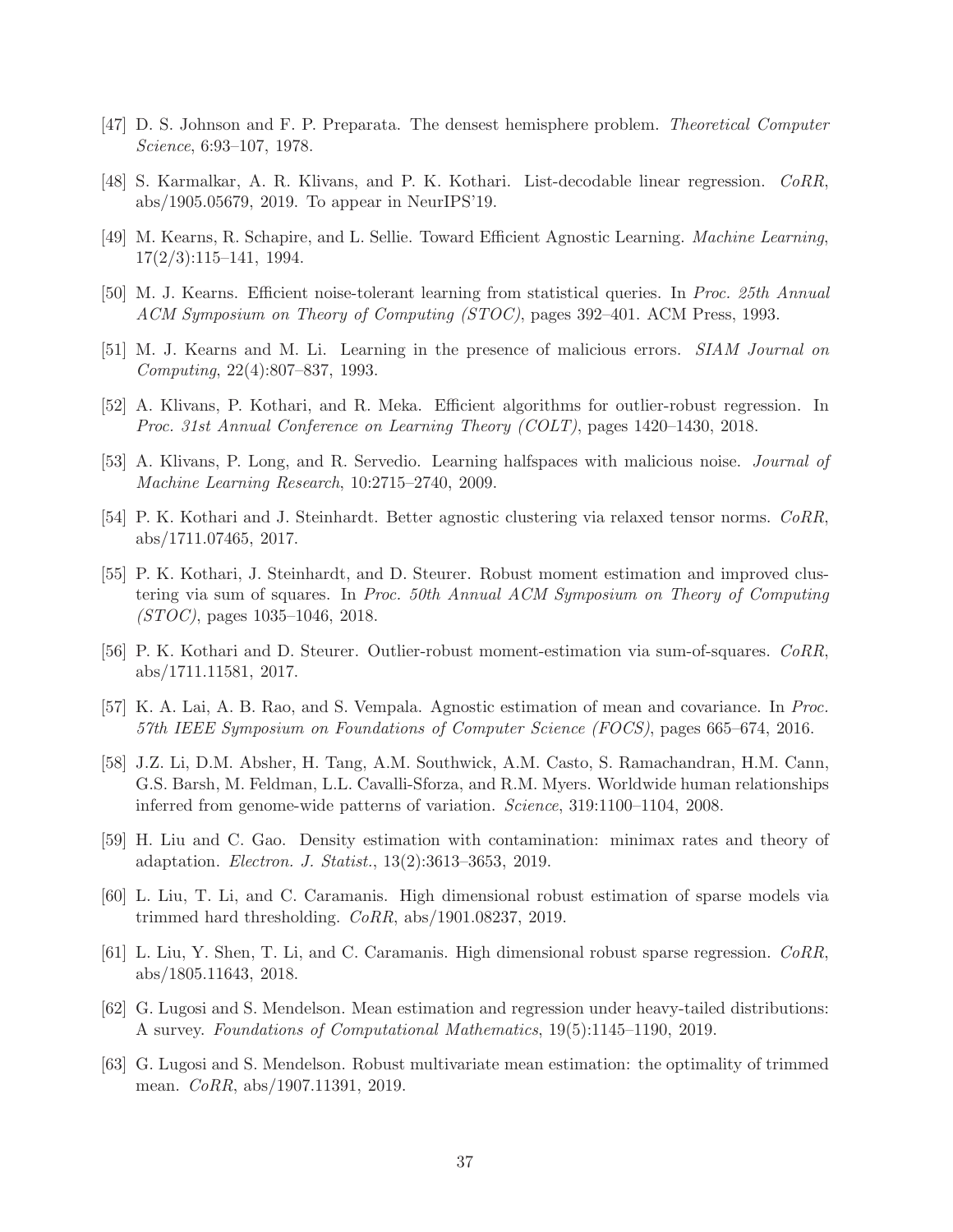- <span id="page-36-13"></span><span id="page-36-1"></span>[47] D. S. Johnson and F. P. Preparata. The densest hemisphere problem. Theoretical Computer Science, 6:93–107, 1978.
- <span id="page-36-3"></span>[48] S. Karmalkar, A. R. Klivans, and P. K. Kothari. List-decodable linear regression. CoRR, abs/1905.05679, 2019. To appear in NeurIPS'19.
- <span id="page-36-16"></span>[49] M. Kearns, R. Schapire, and L. Sellie. Toward Efficient Agnostic Learning. Machine Learning,  $17(2/3):115-141$ , 1994.
- <span id="page-36-4"></span>[50] M. J. Kearns. Efficient noise-tolerant learning from statistical queries. In Proc. 25th Annual ACM Symposium on Theory of Computing (STOC), pages 392–401. ACM Press, 1993.
- <span id="page-36-7"></span>[51] M. J. Kearns and M. Li. Learning in the presence of malicious errors. *SIAM Journal on* Computing, 22(4):807–837, 1993.
- <span id="page-36-6"></span>[52] A. Klivans, P. Kothari, and R. Meka. Efficient algorithms for outlier-robust regression. In Proc. 31st Annual Conference on Learning Theory (COLT), pages 1420–1430, 2018.
- <span id="page-36-11"></span>[53] A. Klivans, P. Long, and R. Servedio. Learning halfspaces with malicious noise. *Journal of* Machine Learning Research, 10:2715–2740, 2009.
- <span id="page-36-12"></span>[54] P. K. Kothari and J. Steinhardt. Better agnostic clustering via relaxed tensor norms. CoRR, abs/1711.07465, 2017.
- [55] P. K. Kothari, J. Steinhardt, and D. Steurer. Robust moment estimation and improved clustering via sum of squares. In Proc. 50th Annual ACM Symposium on Theory of Computing (STOC), pages 1035–1046, 2018.
- <span id="page-36-10"></span><span id="page-36-2"></span>[56] P. K. Kothari and D. Steurer. Outlier-robust moment-estimation via sum-of-squares. CoRR, abs/1711.11581, 2017.
- <span id="page-36-0"></span>[57] K. A. Lai, A. B. Rao, and S. Vempala. Agnostic estimation of mean and covariance. In Proc. 57th IEEE Symposium on Foundations of Computer Science (FOCS), pages 665–674, 2016.
- [58] J.Z. Li, D.M. Absher, H. Tang, A.M. Southwick, A.M. Casto, S. Ramachandran, H.M. Cann, G.S. Barsh, M. Feldman, L.L. Cavalli-Sforza, and R.M. Myers. Worldwide human relationships inferred from genome-wide patterns of variation. Science, 319:1100–1104, 2008.
- <span id="page-36-5"></span>[59] H. Liu and C. Gao. Density estimation with contamination: minimax rates and theory of adaptation. Electron. J. Statist., 13(2):3613–3653, 2019.
- <span id="page-36-9"></span>[60] L. Liu, T. Li, and C. Caramanis. High dimensional robust estimation of sparse models via trimmed hard thresholding. CoRR, abs/1901.08237, 2019.
- <span id="page-36-8"></span>[61] L. Liu, Y. Shen, T. Li, and C. Caramanis. High dimensional robust sparse regression. CoRR, abs/1805.11643, 2018.
- <span id="page-36-14"></span>[62] G. Lugosi and S. Mendelson. Mean estimation and regression under heavy-tailed distributions: A survey. Foundations of Computational Mathematics, 19(5):1145–1190, 2019.
- <span id="page-36-15"></span>[63] G. Lugosi and S. Mendelson. Robust multivariate mean estimation: the optimality of trimmed mean. CoRR, abs/1907.11391, 2019.